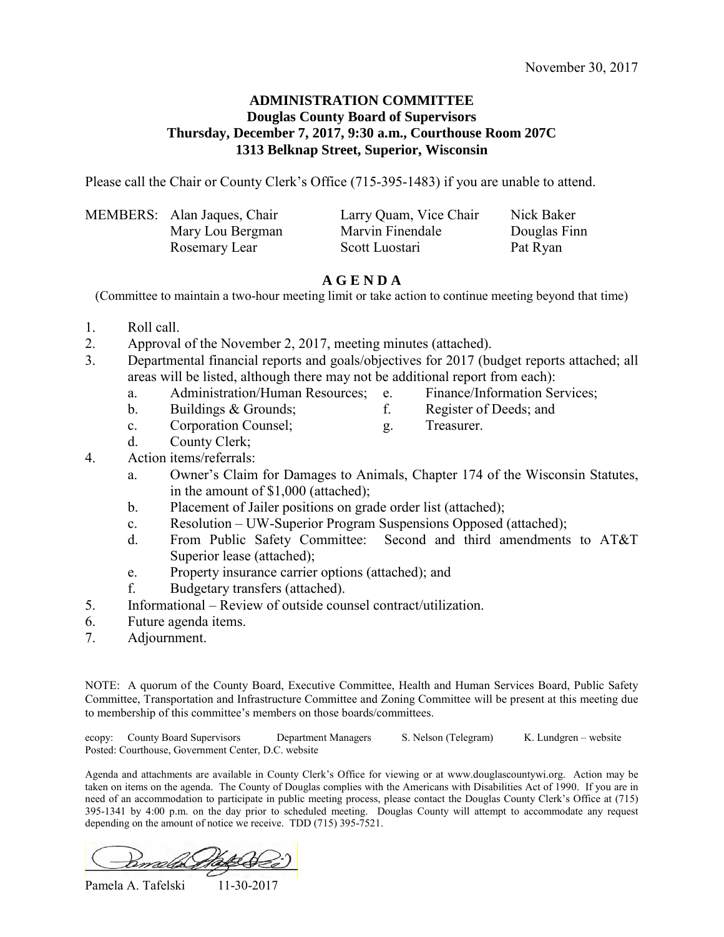### **ADMINISTRATION COMMITTEE Douglas County Board of Supervisors Thursday, December 7, 2017, 9:30 a.m., Courthouse Room 207C 1313 Belknap Street, Superior, Wisconsin**

Please call the Chair or County Clerk's Office (715-395-1483) if you are unable to attend.

| MEMBERS: Alan Jaques, Chair | Larry Quam, Vice Chair | Nick Baker   |
|-----------------------------|------------------------|--------------|
| Mary Lou Bergman            | Marvin Finendale       | Douglas Finn |
| Rosemary Lear               | Scott Luostari         | Pat Ryan     |

## **A G E N D A**

(Committee to maintain a two-hour meeting limit or take action to continue meeting beyond that time)

- 1. Roll call.
- 2. Approval of the November 2, 2017, meeting minutes (attached).
- 3. Departmental financial reports and goals/objectives for 2017 (budget reports attached; all areas will be listed, although there may not be additional report from each):
	- a. Administration/Human Resources; e. Finance/Information Services;
	- b. Buildings & Grounds; f. Register of Deeds; and
- -
	- c. Corporation Counsel; g. Treasurer.
		-
- d. County Clerk;
- 4. Action items/referrals:
	- a. Owner's Claim for Damages to Animals, Chapter 174 of the Wisconsin Statutes, in the amount of \$1,000 (attached);
	- b. Placement of Jailer positions on grade order list (attached);
	- c. Resolution UW-Superior Program Suspensions Opposed (attached);
	- d. From Public Safety Committee: Second and third amendments to AT&T Superior lease (attached);
	- e. Property insurance carrier options (attached); and
	- f. Budgetary transfers (attached).
- 5. Informational Review of outside counsel contract/utilization.
- 6. Future agenda items.
- 7. Adjournment.

NOTE: A quorum of the County Board, Executive Committee, Health and Human Services Board, Public Safety Committee, Transportation and Infrastructure Committee and Zoning Committee will be present at this meeting due to membership of this committee's members on those boards/committees.

ecopy: County Board Supervisors Department Managers S. Nelson (Telegram) K. Lundgren – website Posted: Courthouse, Government Center, D.C. website

Agenda and attachments are available in County Clerk's Office for viewing or at www.douglascountywi.org. Action may be taken on items on the agenda. The County of Douglas complies with the Americans with Disabilities Act of 1990. If you are in need of an accommodation to participate in public meeting process, please contact the Douglas County Clerk's Office at (715) 395-1341 by 4:00 p.m. on the day prior to scheduled meeting. Douglas County will attempt to accommodate any request depending on the amount of notice we receive. TDD (715) 395-7521.

Knall

Pamela A. Tafelski 11-30-2017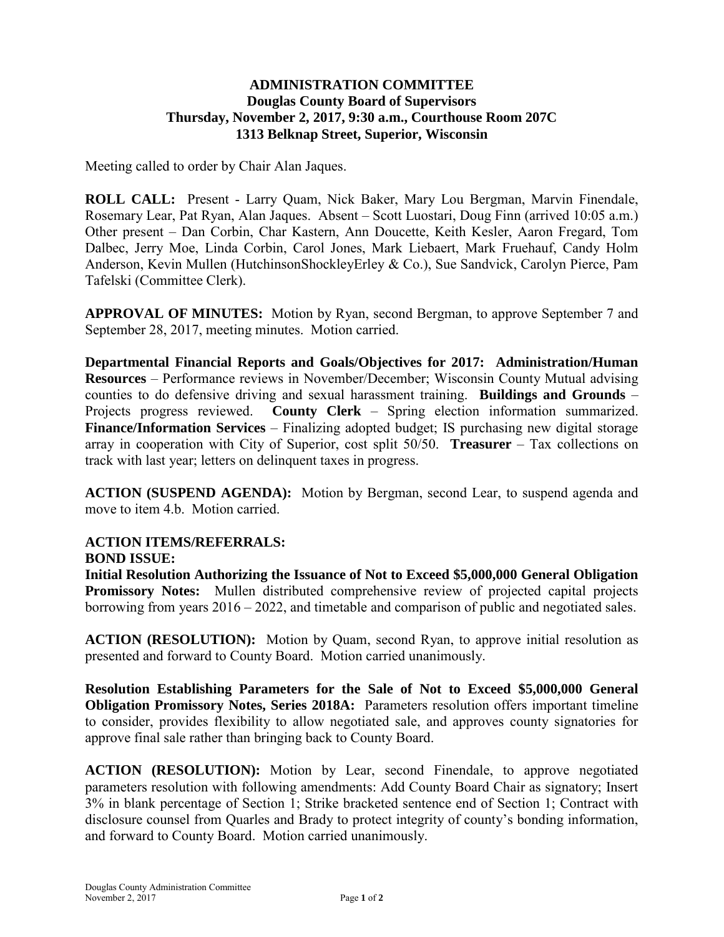## **ADMINISTRATION COMMITTEE Douglas County Board of Supervisors Thursday, November 2, 2017, 9:30 a.m., Courthouse Room 207C 1313 Belknap Street, Superior, Wisconsin**

Meeting called to order by Chair Alan Jaques.

**ROLL CALL:** Present - Larry Quam, Nick Baker, Mary Lou Bergman, Marvin Finendale, Rosemary Lear, Pat Ryan, Alan Jaques. Absent – Scott Luostari, Doug Finn (arrived 10:05 a.m.) Other present – Dan Corbin, Char Kastern, Ann Doucette, Keith Kesler, Aaron Fregard, Tom Dalbec, Jerry Moe, Linda Corbin, Carol Jones, Mark Liebaert, Mark Fruehauf, Candy Holm Anderson, Kevin Mullen (HutchinsonShockleyErley & Co.), Sue Sandvick, Carolyn Pierce, Pam Tafelski (Committee Clerk).

**APPROVAL OF MINUTES:** Motion by Ryan, second Bergman, to approve September 7 and September 28, 2017, meeting minutes. Motion carried.

**Departmental Financial Reports and Goals/Objectives for 2017: Administration/Human Resources** – Performance reviews in November/December; Wisconsin County Mutual advising counties to do defensive driving and sexual harassment training. **Buildings and Grounds** – Projects progress reviewed. **County Clerk** – Spring election information summarized. **Finance/Information Services** – Finalizing adopted budget; IS purchasing new digital storage array in cooperation with City of Superior, cost split 50/50. **Treasurer** – Tax collections on track with last year; letters on delinquent taxes in progress.

**ACTION (SUSPEND AGENDA):** Motion by Bergman, second Lear, to suspend agenda and move to item 4.b. Motion carried.

## **ACTION ITEMS/REFERRALS:**

#### **BOND ISSUE:**

**Initial Resolution Authorizing the Issuance of Not to Exceed \$5,000,000 General Obligation Promissory Notes:** Mullen distributed comprehensive review of projected capital projects borrowing from years 2016 – 2022, and timetable and comparison of public and negotiated sales.

**ACTION (RESOLUTION):** Motion by Quam, second Ryan, to approve initial resolution as presented and forward to County Board. Motion carried unanimously.

**Resolution Establishing Parameters for the Sale of Not to Exceed \$5,000,000 General Obligation Promissory Notes, Series 2018A:** Parameters resolution offers important timeline to consider, provides flexibility to allow negotiated sale, and approves county signatories for approve final sale rather than bringing back to County Board.

**ACTION (RESOLUTION):** Motion by Lear, second Finendale, to approve negotiated parameters resolution with following amendments: Add County Board Chair as signatory; Insert 3% in blank percentage of Section 1; Strike bracketed sentence end of Section 1; Contract with disclosure counsel from Quarles and Brady to protect integrity of county's bonding information, and forward to County Board. Motion carried unanimously.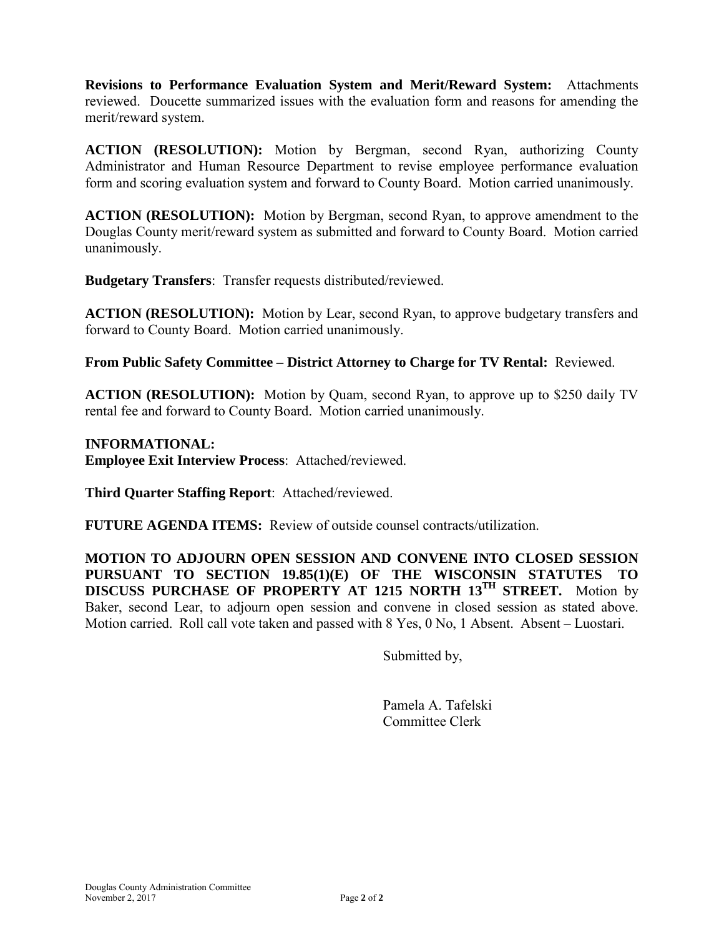**Revisions to Performance Evaluation System and Merit/Reward System:** Attachments reviewed. Doucette summarized issues with the evaluation form and reasons for amending the merit/reward system.

**ACTION (RESOLUTION):** Motion by Bergman, second Ryan, authorizing County Administrator and Human Resource Department to revise employee performance evaluation form and scoring evaluation system and forward to County Board. Motion carried unanimously.

**ACTION (RESOLUTION):** Motion by Bergman, second Ryan, to approve amendment to the Douglas County merit/reward system as submitted and forward to County Board. Motion carried unanimously.

**Budgetary Transfers**:Transfer requests distributed/reviewed.

**ACTION (RESOLUTION):** Motion by Lear, second Ryan, to approve budgetary transfers and forward to County Board. Motion carried unanimously.

**From Public Safety Committee – District Attorney to Charge for TV Rental:** Reviewed.

**ACTION (RESOLUTION):** Motion by Quam, second Ryan, to approve up to \$250 daily TV rental fee and forward to County Board. Motion carried unanimously.

## **INFORMATIONAL:**

**Employee Exit Interview Process**:Attached/reviewed.

**Third Quarter Staffing Report**:Attached/reviewed.

**FUTURE AGENDA ITEMS:** Review of outside counsel contracts/utilization.

**MOTION TO ADJOURN OPEN SESSION AND CONVENE INTO CLOSED SESSION PURSUANT TO SECTION 19.85(1)(E) OF THE WISCONSIN STATUTES TO DISCUSS PURCHASE OF PROPERTY AT 1215 NORTH 13TH STREET.** Motion by Baker, second Lear, to adjourn open session and convene in closed session as stated above. Motion carried. Roll call vote taken and passed with 8 Yes, 0 No, 1 Absent. Absent – Luostari.

Submitted by,

 Pamela A. Tafelski Committee Clerk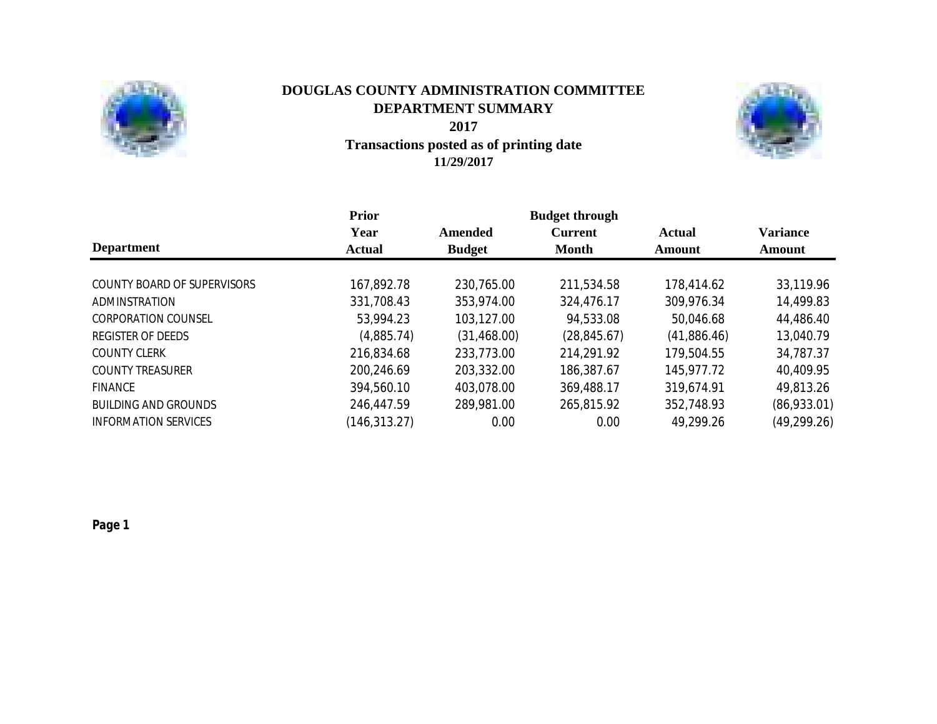

## **Transactions posted as of printing date 11/29/2017 DOUGLAS COUNTY ADMINISTRATION COMMITTEE DEPARTMENT SUMMARY 2017**



|                             | <b>Prior</b>  |               | <b>Budget through</b> |             |                 |  |  |
|-----------------------------|---------------|---------------|-----------------------|-------------|-----------------|--|--|
|                             | Year          | Amended       | <b>Current</b>        | Actual      | <b>Variance</b> |  |  |
| <b>Department</b>           | <b>Actual</b> | <b>Budget</b> | <b>Month</b>          | Amount      | Amount          |  |  |
| COUNTY BOARD OF SUPERVISORS | 167,892.78    | 230,765.00    | 211,534.58            | 178,414.62  | 33,119.96       |  |  |
| ADMINSTRATION               | 331,708.43    | 353,974.00    | 324,476.17            | 309,976.34  | 14,499.83       |  |  |
|                             |               |               |                       |             |                 |  |  |
| <b>CORPORATION COUNSEL</b>  | 53,994.23     | 103,127.00    | 94,533.08             | 50,046.68   | 44,486.40       |  |  |
| <b>REGISTER OF DEEDS</b>    | (4,885.74)    | (31, 468.00)  | (28, 845.67)          | (41,886.46) | 13,040.79       |  |  |
| <b>COUNTY CLERK</b>         | 216,834.68    | 233,773.00    | 214,291.92            | 179,504.55  | 34,787.37       |  |  |
| <b>COUNTY TREASURER</b>     | 200,246.69    | 203,332.00    | 186,387.67            | 145,977.72  | 40,409.95       |  |  |
| <b>FINANCE</b>              | 394,560.10    | 403,078.00    | 369,488.17            | 319,674.91  | 49,813.26       |  |  |
| <b>BUILDING AND GROUNDS</b> | 246,447.59    | 289,981.00    | 265,815.92            | 352,748.93  | (86,933.01)     |  |  |
| <b>INFORMATION SERVICES</b> | (146, 313.27) | 0.00          | 0.00                  | 49,299.26   | (49, 299.26)    |  |  |

*Page 1*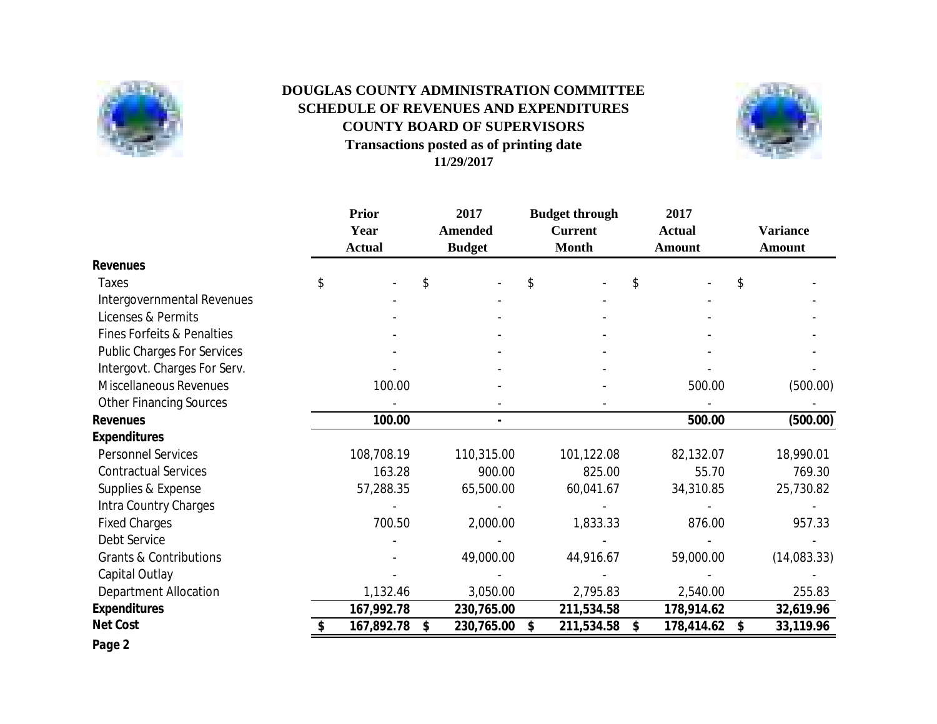

# **Transactions posted as of printing date 11/29/2017 DOUGLAS COUNTY ADMINISTRATION COMMITTEE SCHEDULE OF REVENUES AND EXPENDITURES COUNTY BOARD OF SUPERVISORS**



|                                       | <b>Prior</b><br>Year<br><b>Actual</b> | 2017<br><b>Amended</b><br><b>Budget</b> | <b>Budget through</b><br><b>Current</b><br><b>Month</b> | 2017<br><b>Actual</b><br><b>Amount</b> | <b>Variance</b><br>Amount |
|---------------------------------------|---------------------------------------|-----------------------------------------|---------------------------------------------------------|----------------------------------------|---------------------------|
| <b>Revenues</b>                       |                                       |                                         |                                                         |                                        |                           |
| <b>Taxes</b>                          | \$                                    | \$                                      | \$                                                      | \$                                     | \$                        |
| Intergovernmental Revenues            |                                       |                                         |                                                         |                                        |                           |
| Licenses & Permits                    |                                       |                                         |                                                         |                                        |                           |
| <b>Fines Forfeits &amp; Penalties</b> |                                       |                                         |                                                         |                                        |                           |
| <b>Public Charges For Services</b>    |                                       |                                         |                                                         |                                        |                           |
| Intergovt. Charges For Serv.          |                                       |                                         |                                                         |                                        |                           |
| <b>Miscellaneous Revenues</b>         | 100.00                                |                                         |                                                         | 500.00                                 | (500.00)                  |
| <b>Other Financing Sources</b>        |                                       |                                         |                                                         |                                        |                           |
| <b>Revenues</b>                       | 100.00                                |                                         |                                                         | 500.00                                 | (500.00)                  |
| <b>Expenditures</b>                   |                                       |                                         |                                                         |                                        |                           |
| <b>Personnel Services</b>             | 108,708.19                            | 110,315.00                              | 101,122.08                                              | 82,132.07                              | 18,990.01                 |
| <b>Contractual Services</b>           | 163.28                                | 900.00                                  | 825.00                                                  | 55.70                                  | 769.30                    |
| Supplies & Expense                    | 57,288.35                             | 65,500.00                               | 60,041.67                                               | 34,310.85                              | 25,730.82                 |
| Intra Country Charges                 |                                       |                                         |                                                         |                                        |                           |
| <b>Fixed Charges</b>                  | 700.50                                | 2,000.00                                | 1,833.33                                                | 876.00                                 | 957.33                    |
| Debt Service                          |                                       |                                         |                                                         |                                        |                           |
| <b>Grants &amp; Contributions</b>     |                                       | 49,000.00                               | 44,916.67                                               | 59,000.00                              | (14,083.33)               |
| Capital Outlay                        |                                       |                                         |                                                         |                                        |                           |
| <b>Department Allocation</b>          | 1,132.46                              | 3,050.00                                | 2,795.83                                                | 2,540.00                               | 255.83                    |
| <b>Expenditures</b>                   | 167,992.78                            | 230,765.00                              | 211,534.58                                              | 178,914.62                             | 32,619.96                 |
| <b>Net Cost</b>                       | 167,892.78                            | \$<br>230,765.00                        | 211,534.58<br>\$                                        | 178,414.62<br>\$                       | 33,119.96<br>\$           |
| Page 2                                |                                       |                                         |                                                         |                                        |                           |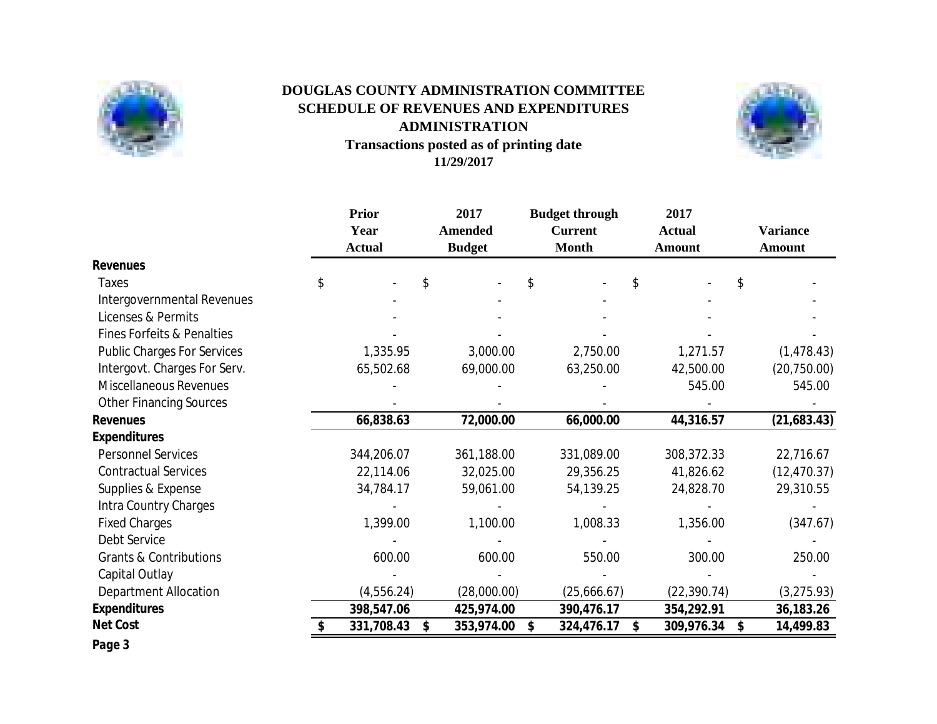

# **Transactions posted as of printing date 11/29/2017 DOUGLAS COUNTY ADMINISTRATION COMMITTEE SCHEDULE OF REVENUES AND EXPENDITURES ADMINISTRATION**



|                                       | <b>Prior</b><br>Year<br><b>Actual</b> | 2017<br><b>Amended</b><br><b>Budget</b> | <b>Budget through</b><br><b>Current</b><br><b>Month</b> | 2017<br><b>Actual</b><br><b>Amount</b> | <b>Variance</b><br><b>Amount</b> |
|---------------------------------------|---------------------------------------|-----------------------------------------|---------------------------------------------------------|----------------------------------------|----------------------------------|
| <b>Revenues</b>                       |                                       |                                         |                                                         |                                        |                                  |
| <b>Taxes</b>                          | \$                                    | \$                                      | \$                                                      | \$<br>\$                               |                                  |
| Intergovernmental Revenues            |                                       |                                         |                                                         |                                        |                                  |
| Licenses & Permits                    |                                       |                                         |                                                         |                                        |                                  |
| <b>Fines Forfeits &amp; Penalties</b> |                                       |                                         |                                                         |                                        |                                  |
| <b>Public Charges For Services</b>    | 1,335.95                              | 3,000.00                                | 2,750.00                                                | 1,271.57                               | (1, 478.43)                      |
| Intergovt. Charges For Serv.          | 65,502.68                             | 69,000.00                               | 63,250.00                                               | 42,500.00                              | (20, 750.00)                     |
| <b>Miscellaneous Revenues</b>         |                                       |                                         |                                                         | 545.00                                 | 545.00                           |
| <b>Other Financing Sources</b>        |                                       |                                         |                                                         |                                        |                                  |
| <b>Revenues</b>                       | 66,838.63                             | 72,000.00                               | 66,000.00                                               | 44,316.57                              | (21,683.43)                      |
| <b>Expenditures</b>                   |                                       |                                         |                                                         |                                        |                                  |
| <b>Personnel Services</b>             | 344,206.07                            | 361,188.00                              | 331,089.00                                              | 308,372.33                             | 22,716.67                        |
| <b>Contractual Services</b>           | 22,114.06                             | 32,025.00                               | 29,356.25                                               | 41,826.62                              | (12, 470.37)                     |
| Supplies & Expense                    | 34,784.17                             | 59,061.00                               | 54,139.25                                               | 24,828.70                              | 29,310.55                        |
| Intra Country Charges                 |                                       |                                         |                                                         |                                        |                                  |
| <b>Fixed Charges</b>                  | 1,399.00                              | 1,100.00                                | 1,008.33                                                | 1,356.00                               | (347.67)                         |
| Debt Service                          |                                       |                                         |                                                         |                                        |                                  |
| <b>Grants &amp; Contributions</b>     | 600.00                                | 600.00                                  | 550.00                                                  | 300.00                                 | 250.00                           |
| Capital Outlay                        |                                       |                                         |                                                         |                                        |                                  |
| <b>Department Allocation</b>          | (4,556.24)                            | (28,000.00)                             | (25,666.67)                                             | (22, 390.74)                           | (3,275.93)                       |
| <b>Expenditures</b>                   | 398,547.06                            | 425,974.00                              | 390,476.17                                              | 354,292.91                             | 36,183.26                        |
| <b>Net Cost</b>                       | 331,708.43                            | 353,974.00<br>\$                        | \$<br>324,476.17                                        | \$<br>309,976.34<br>\$                 | 14,499.83                        |
| Page 3                                |                                       |                                         |                                                         |                                        |                                  |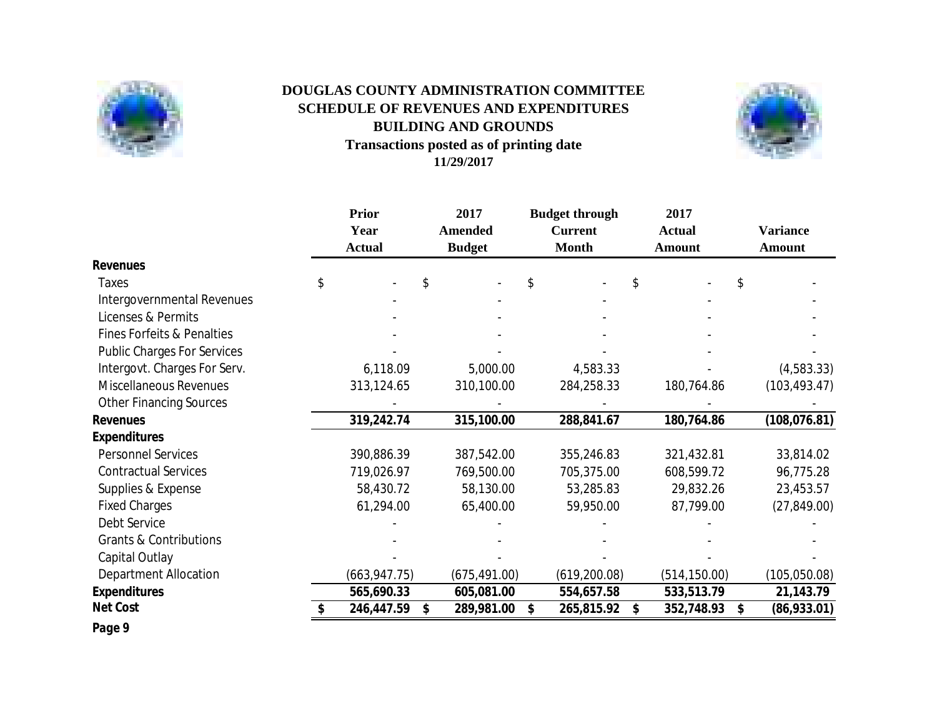

# **Transactions posted as of printing date 11/29/2017 SCHEDULE OF REVENUES AND EXPENDITURES BUILDING AND GROUNDS DOUGLAS COUNTY ADMINISTRATION COMMITTEE**



|                                       | <b>Prior</b><br>Year<br><b>Actual</b> | 2017<br><b>Amended</b><br><b>Budget</b> | <b>Budget through</b><br><b>Current</b><br><b>Month</b> | 2017<br><b>Actual</b><br>Amount | <b>Variance</b><br>Amount |
|---------------------------------------|---------------------------------------|-----------------------------------------|---------------------------------------------------------|---------------------------------|---------------------------|
| <b>Revenues</b>                       |                                       |                                         |                                                         |                                 |                           |
| Taxes                                 | \$                                    | \$                                      | \$                                                      | \$                              | \$                        |
| Intergovernmental Revenues            |                                       |                                         |                                                         |                                 |                           |
| Licenses & Permits                    |                                       |                                         |                                                         |                                 |                           |
| <b>Fines Forfeits &amp; Penalties</b> |                                       |                                         |                                                         |                                 |                           |
| <b>Public Charges For Services</b>    |                                       |                                         |                                                         |                                 |                           |
| Intergovt. Charges For Serv.          | 6,118.09                              | 5,000.00                                | 4,583.33                                                |                                 | (4,583.33)                |
| Miscellaneous Revenues                | 313,124.65                            | 310,100.00                              | 284,258.33                                              | 180,764.86                      | (103, 493.47)             |
| <b>Other Financing Sources</b>        |                                       |                                         |                                                         |                                 |                           |
| <b>Revenues</b>                       | 319,242.74                            | 315,100.00                              | 288,841.67                                              | 180,764.86                      | (108, 076.81)             |
| <b>Expenditures</b>                   |                                       |                                         |                                                         |                                 |                           |
| <b>Personnel Services</b>             | 390,886.39                            | 387,542.00                              | 355,246.83                                              | 321,432.81                      | 33,814.02                 |
| <b>Contractual Services</b>           | 719,026.97                            | 769,500.00                              | 705,375.00                                              | 608,599.72                      | 96,775.28                 |
| Supplies & Expense                    | 58,430.72                             | 58,130.00                               | 53,285.83                                               | 29,832.26                       | 23,453.57                 |
| <b>Fixed Charges</b>                  | 61,294.00                             | 65,400.00                               | 59,950.00                                               | 87,799.00                       | (27, 849.00)              |
| Debt Service                          |                                       |                                         |                                                         |                                 |                           |
| <b>Grants &amp; Contributions</b>     |                                       |                                         |                                                         |                                 |                           |
| Capital Outlay                        |                                       |                                         |                                                         |                                 |                           |
| <b>Department Allocation</b>          | (663, 947.75)                         | (675, 491.00)                           | (619, 200.08)                                           | (514, 150.00)                   | (105, 050.08)             |
| <b>Expenditures</b>                   | 565,690.33                            | 605,081.00                              | 554,657.58                                              | 533,513.79                      | 21,143.79                 |
| <b>Net Cost</b>                       | 246,447.59                            | \$<br>289,981.00                        | 265,815.92<br>\$                                        | 352,748.93<br>\$                | (86,933.01)<br>\$         |

*Page 9*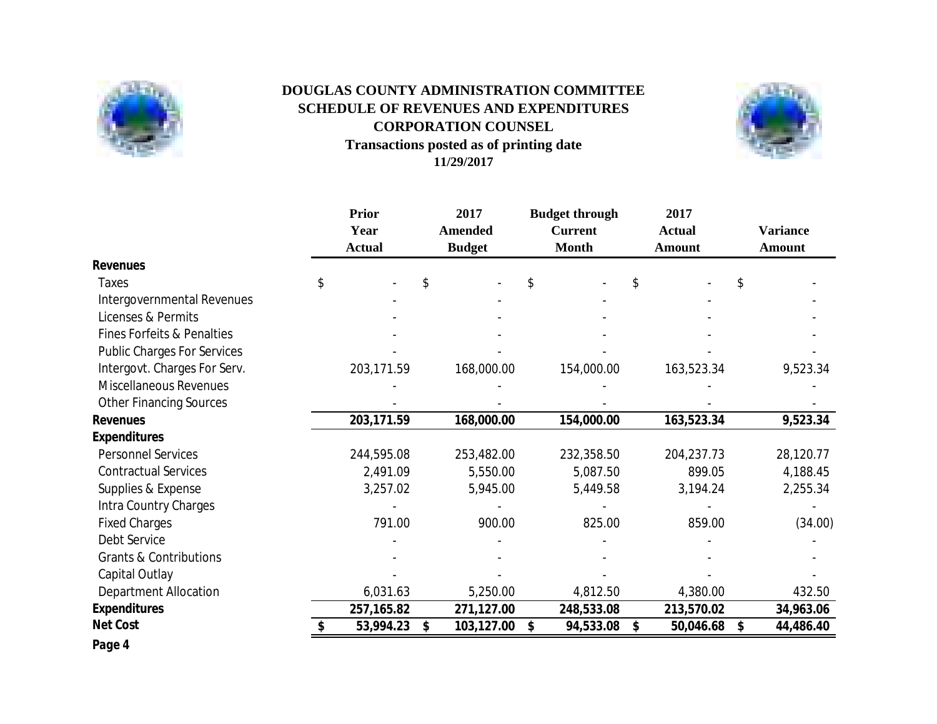

# **Transactions posted as of printing date 11/29/2017 CORPORATION COUNSEL DOUGLAS COUNTY ADMINISTRATION COMMITTEE SCHEDULE OF REVENUES AND EXPENDITURES**



|                                       | <b>Prior</b><br>Year<br><b>Actual</b> | 2017<br><b>Amended</b><br><b>Budget</b> | <b>Budget through</b><br><b>Current</b><br><b>Month</b> | 2017<br><b>Actual</b><br><b>Amount</b> | <b>Variance</b><br><b>Amount</b> |
|---------------------------------------|---------------------------------------|-----------------------------------------|---------------------------------------------------------|----------------------------------------|----------------------------------|
| <b>Revenues</b>                       |                                       |                                         |                                                         |                                        |                                  |
| <b>Taxes</b>                          | \$                                    | \$                                      | \$                                                      | \$                                     | \$                               |
| Intergovernmental Revenues            |                                       |                                         |                                                         |                                        |                                  |
| Licenses & Permits                    |                                       |                                         |                                                         |                                        |                                  |
| <b>Fines Forfeits &amp; Penalties</b> |                                       |                                         |                                                         |                                        |                                  |
| <b>Public Charges For Services</b>    |                                       |                                         |                                                         |                                        |                                  |
| Intergovt. Charges For Serv.          | 203,171.59                            | 168,000.00                              | 154,000.00                                              | 163,523.34                             | 9,523.34                         |
| Miscellaneous Revenues                |                                       |                                         |                                                         |                                        |                                  |
| <b>Other Financing Sources</b>        |                                       |                                         |                                                         |                                        |                                  |
| <b>Revenues</b>                       | 203,171.59                            | 168,000.00                              | 154,000.00                                              | 163,523.34                             | 9,523.34                         |
| <b>Expenditures</b>                   |                                       |                                         |                                                         |                                        |                                  |
| <b>Personnel Services</b>             | 244,595.08                            | 253,482.00                              | 232,358.50                                              | 204,237.73                             | 28,120.77                        |
| <b>Contractual Services</b>           | 2,491.09                              | 5,550.00                                | 5,087.50                                                | 899.05                                 | 4,188.45                         |
| Supplies & Expense                    | 3,257.02                              | 5,945.00                                | 5,449.58                                                | 3,194.24                               | 2,255.34                         |
| Intra Country Charges                 |                                       |                                         |                                                         |                                        |                                  |
| <b>Fixed Charges</b>                  | 791.00                                | 900.00                                  | 825.00                                                  | 859.00                                 | (34.00)                          |
| <b>Debt Service</b>                   |                                       |                                         |                                                         |                                        |                                  |
| <b>Grants &amp; Contributions</b>     |                                       |                                         |                                                         |                                        |                                  |
| Capital Outlay                        |                                       |                                         |                                                         |                                        |                                  |
| <b>Department Allocation</b>          | 6,031.63                              | 5,250.00                                | 4,812.50                                                | 4,380.00                               | 432.50                           |
| <b>Expenditures</b>                   | 257,165.82                            | 271,127.00                              | 248,533.08                                              | 213,570.02                             | 34,963.06                        |
| <b>Net Cost</b>                       | 53,994.23                             | \$<br>103,127.00                        | 94,533.08<br>\$                                         | 50,046.68<br>\$                        | \$<br>44,486.40                  |
| Page 4                                |                                       |                                         |                                                         |                                        |                                  |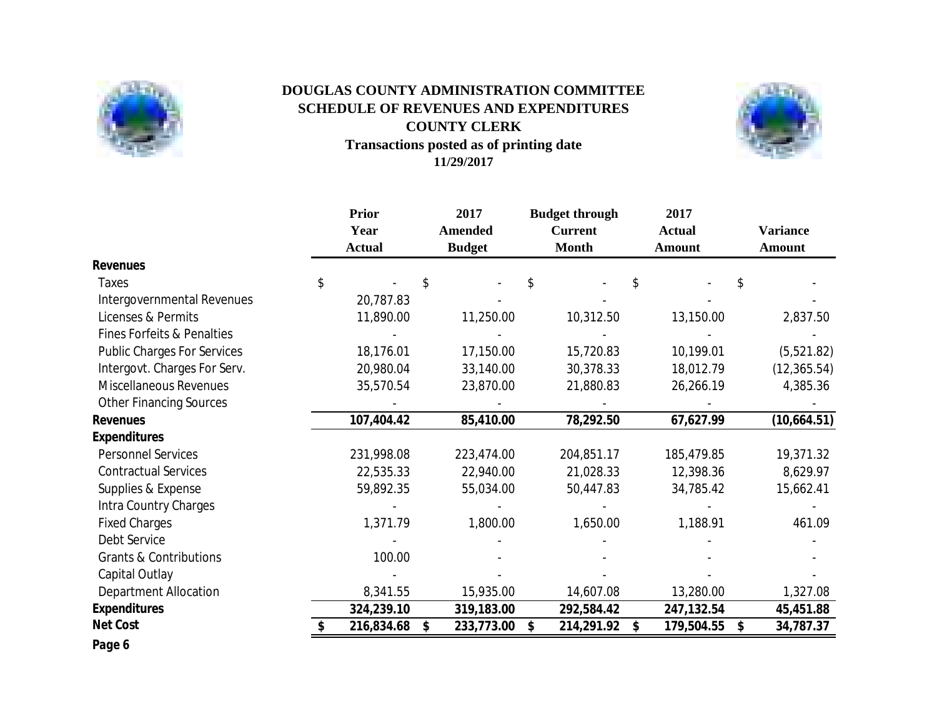

# **Transactions posted as of printing date 11/29/2017 DOUGLAS COUNTY ADMINISTRATION COMMITTEE SCHEDULE OF REVENUES AND EXPENDITURES COUNTY CLERK**



|                                       | <b>Prior</b><br>Year<br><b>Actual</b> | 2017<br><b>Amended</b><br><b>Budget</b> | <b>Budget through</b><br><b>Current</b><br><b>Month</b> | 2017<br><b>Actual</b><br><b>Amount</b> |     | <b>Variance</b><br><b>Amount</b> |
|---------------------------------------|---------------------------------------|-----------------------------------------|---------------------------------------------------------|----------------------------------------|-----|----------------------------------|
| <b>Revenues</b>                       |                                       |                                         |                                                         |                                        |     |                                  |
| Taxes                                 | \$                                    | \$                                      | \$                                                      | \$                                     | \$. |                                  |
| Intergovernmental Revenues            | 20,787.83                             |                                         |                                                         |                                        |     |                                  |
| Licenses & Permits                    | 11,890.00                             | 11,250.00                               | 10,312.50                                               | 13,150.00                              |     | 2,837.50                         |
| <b>Fines Forfeits &amp; Penalties</b> |                                       |                                         |                                                         |                                        |     |                                  |
| <b>Public Charges For Services</b>    | 18,176.01                             | 17,150.00                               | 15,720.83                                               | 10,199.01                              |     | (5,521.82)                       |
| Intergovt. Charges For Serv.          | 20,980.04                             | 33,140.00                               | 30,378.33                                               | 18,012.79                              |     | (12, 365.54)                     |
| <b>Miscellaneous Revenues</b>         | 35,570.54                             | 23,870.00                               | 21,880.83                                               | 26,266.19                              |     | 4,385.36                         |
| <b>Other Financing Sources</b>        |                                       |                                         |                                                         |                                        |     |                                  |
| <b>Revenues</b>                       | 107,404.42                            | 85,410.00                               | 78,292.50                                               | 67,627.99                              |     | (10,664.51)                      |
| <b>Expenditures</b>                   |                                       |                                         |                                                         |                                        |     |                                  |
| <b>Personnel Services</b>             | 231,998.08                            | 223,474.00                              | 204,851.17                                              | 185,479.85                             |     | 19,371.32                        |
| <b>Contractual Services</b>           | 22,535.33                             | 22,940.00                               | 21,028.33                                               | 12,398.36                              |     | 8,629.97                         |
| Supplies & Expense                    | 59,892.35                             | 55,034.00                               | 50,447.83                                               | 34,785.42                              |     | 15,662.41                        |
| Intra Country Charges                 |                                       |                                         |                                                         |                                        |     |                                  |
| <b>Fixed Charges</b>                  | 1,371.79                              | 1,800.00                                | 1,650.00                                                | 1,188.91                               |     | 461.09                           |
| Debt Service                          |                                       |                                         |                                                         |                                        |     |                                  |
| <b>Grants &amp; Contributions</b>     | 100.00                                |                                         |                                                         |                                        |     |                                  |
| Capital Outlay                        |                                       |                                         |                                                         |                                        |     |                                  |
| <b>Department Allocation</b>          | 8,341.55                              | 15,935.00                               | 14,607.08                                               | 13,280.00                              |     | 1,327.08                         |
| <b>Expenditures</b>                   | 324,239.10                            | 319,183.00                              | 292,584.42                                              | 247,132.54                             |     | 45,451.88                        |
| <b>Net Cost</b>                       | 216,834.68                            | \$<br>233,773.00                        | \$<br>214,291.92                                        | \$<br>179,504.55                       | \$  | 34,787.37                        |
| Page 6                                |                                       |                                         |                                                         |                                        |     |                                  |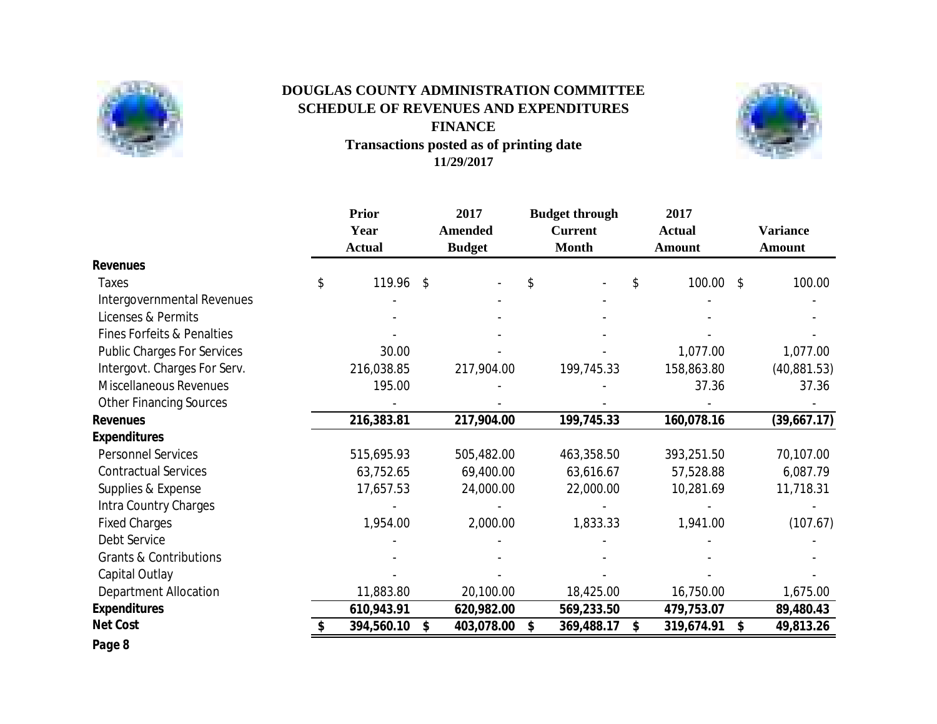

# **Transactions posted as of printing date 11/29/2017 DOUGLAS COUNTY ADMINISTRATION COMMITTEE SCHEDULE OF REVENUES AND EXPENDITURES FINANCE**



|                                       | <b>Prior</b><br>Year<br><b>Actual</b> | 2017<br><b>Amended</b><br><b>Budget</b> | <b>Budget through</b><br><b>Current</b><br><b>Month</b> | 2017<br><b>Actual</b><br><b>Amount</b>  | <b>Variance</b><br><b>Amount</b> |
|---------------------------------------|---------------------------------------|-----------------------------------------|---------------------------------------------------------|-----------------------------------------|----------------------------------|
| <b>Revenues</b>                       |                                       |                                         |                                                         |                                         |                                  |
| <b>Taxes</b>                          | \$<br>119.96                          | \$                                      | \$                                                      | \$<br>100.00<br>$\sqrt[6]{\frac{1}{2}}$ | 100.00                           |
| Intergovernmental Revenues            |                                       |                                         |                                                         |                                         |                                  |
| Licenses & Permits                    |                                       |                                         |                                                         |                                         |                                  |
| <b>Fines Forfeits &amp; Penalties</b> |                                       |                                         |                                                         |                                         |                                  |
| <b>Public Charges For Services</b>    | 30.00                                 |                                         |                                                         | 1,077.00                                | 1,077.00                         |
| Intergovt. Charges For Serv.          | 216,038.85                            | 217,904.00                              | 199,745.33                                              | 158,863.80                              | (40,881.53)                      |
| <b>Miscellaneous Revenues</b>         | 195.00                                |                                         |                                                         | 37.36                                   | 37.36                            |
| <b>Other Financing Sources</b>        |                                       |                                         |                                                         |                                         |                                  |
| <b>Revenues</b>                       | 216,383.81                            | 217,904.00                              | 199,745.33                                              | 160,078.16                              | (39,667.17)                      |
| <b>Expenditures</b>                   |                                       |                                         |                                                         |                                         |                                  |
| <b>Personnel Services</b>             | 515,695.93                            | 505,482.00                              | 463,358.50                                              | 393,251.50                              | 70,107.00                        |
| <b>Contractual Services</b>           | 63,752.65                             | 69,400.00                               | 63,616.67                                               | 57,528.88                               | 6,087.79                         |
| Supplies & Expense                    | 17,657.53                             | 24,000.00                               | 22,000.00                                               | 10,281.69                               | 11,718.31                        |
| Intra Country Charges                 |                                       |                                         |                                                         |                                         |                                  |
| <b>Fixed Charges</b>                  | 1,954.00                              | 2,000.00                                | 1,833.33                                                | 1,941.00                                | (107.67)                         |
| Debt Service                          |                                       |                                         |                                                         |                                         |                                  |
| <b>Grants &amp; Contributions</b>     |                                       |                                         |                                                         |                                         |                                  |
| Capital Outlay                        |                                       |                                         |                                                         |                                         |                                  |
| <b>Department Allocation</b>          | 11,883.80                             | 20,100.00                               | 18,425.00                                               | 16,750.00                               | 1,675.00                         |
| <b>Expenditures</b>                   | 610,943.91                            | 620,982.00                              | 569,233.50                                              | 479,753.07                              | 89,480.43                        |
| <b>Net Cost</b>                       | 394,560.10                            | \$<br>403,078.00                        | \$<br>369,488.17                                        | \$<br>319,674.91                        | \$<br>49,813.26                  |
| Page 8                                |                                       |                                         |                                                         |                                         |                                  |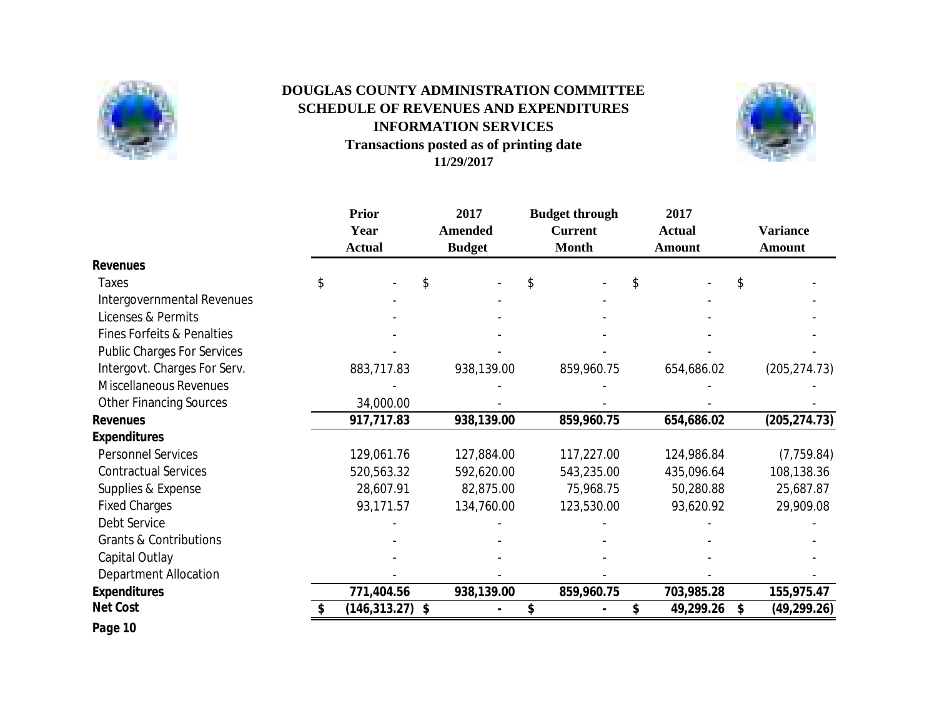

# **Transactions posted as of printing date 11/29/2017 DOUGLAS COUNTY ADMINISTRATION COMMITTEE SCHEDULE OF REVENUES AND EXPENDITURES INFORMATION SERVICES**



|                                       | <b>Prior</b><br>Year<br><b>Actual</b> | 2017<br><b>Amended</b><br><b>Budget</b> | <b>Budget through</b><br><b>Current</b><br><b>Month</b> | 2017<br><b>Actual</b><br><b>Amount</b> | <b>Variance</b><br><b>Amount</b> |
|---------------------------------------|---------------------------------------|-----------------------------------------|---------------------------------------------------------|----------------------------------------|----------------------------------|
| <b>Revenues</b>                       |                                       |                                         |                                                         |                                        |                                  |
| Taxes                                 | \$<br>\$                              |                                         | \$                                                      | \$                                     | \$                               |
| Intergovernmental Revenues            |                                       |                                         |                                                         |                                        |                                  |
| Licenses & Permits                    |                                       |                                         |                                                         |                                        |                                  |
| <b>Fines Forfeits &amp; Penalties</b> |                                       |                                         |                                                         |                                        |                                  |
| <b>Public Charges For Services</b>    |                                       |                                         |                                                         |                                        |                                  |
| Intergovt. Charges For Serv.          | 883,717.83                            | 938,139.00                              | 859,960.75                                              | 654,686.02                             | (205, 274.73)                    |
| <b>Miscellaneous Revenues</b>         |                                       |                                         |                                                         |                                        |                                  |
| <b>Other Financing Sources</b>        | 34,000.00                             |                                         |                                                         |                                        |                                  |
| <b>Revenues</b>                       | 917,717.83                            | 938,139.00                              | 859,960.75                                              | 654,686.02                             | (205, 274.73)                    |
| <b>Expenditures</b>                   |                                       |                                         |                                                         |                                        |                                  |
| <b>Personnel Services</b>             | 129,061.76                            | 127,884.00                              | 117,227.00                                              | 124,986.84                             | (7, 759.84)                      |
| <b>Contractual Services</b>           | 520,563.32                            | 592,620.00                              | 543,235.00                                              | 435,096.64                             | 108,138.36                       |
| Supplies & Expense                    | 28,607.91                             | 82,875.00                               | 75,968.75                                               | 50,280.88                              | 25,687.87                        |
| <b>Fixed Charges</b>                  | 93,171.57                             | 134,760.00                              | 123,530.00                                              | 93,620.92                              | 29,909.08                        |
| Debt Service                          |                                       |                                         |                                                         |                                        |                                  |
| <b>Grants &amp; Contributions</b>     |                                       |                                         |                                                         |                                        |                                  |
| Capital Outlay                        |                                       |                                         |                                                         |                                        |                                  |
| <b>Department Allocation</b>          |                                       |                                         |                                                         |                                        |                                  |
| <b>Expenditures</b>                   | 771,404.56                            | 938,139.00                              | 859,960.75                                              | 703,985.28                             | 155,975.47                       |
| <b>Net Cost</b>                       | $(146, 313.27)$ \$                    |                                         |                                                         | 49,299.26                              | (49, 299.26)<br>\$               |

*Page 10*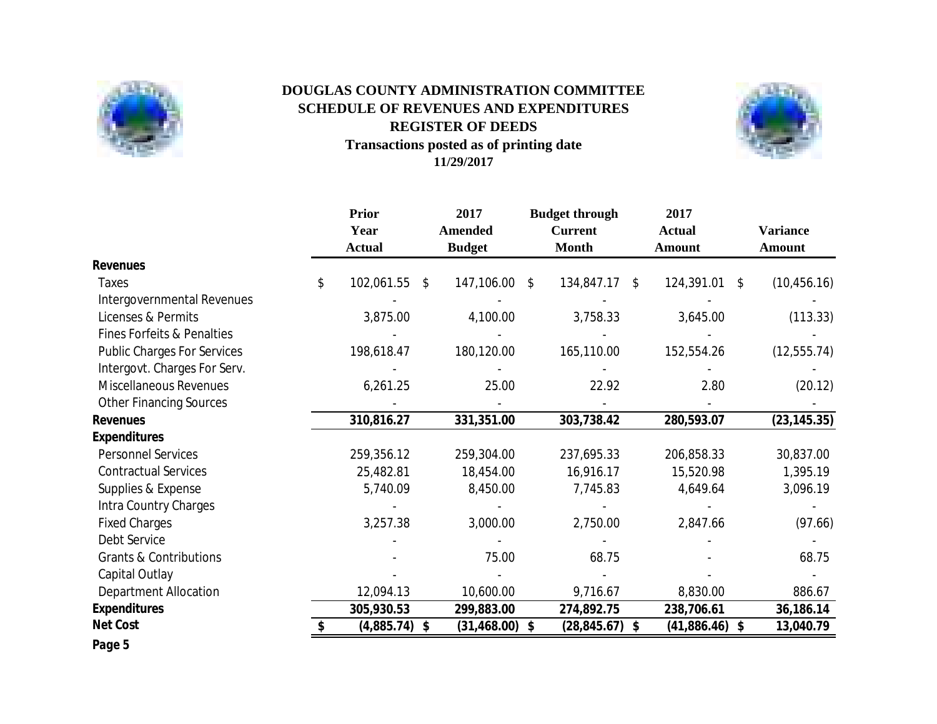

# **Transactions posted as of printing date 11/29/2017 REGISTER OF DEEDS DOUGLAS COUNTY ADMINISTRATION COMMITTEE SCHEDULE OF REVENUES AND EXPENDITURES**



|                                       | <b>Prior</b><br>Year<br><b>Actual</b> | 2017<br><b>Amended</b><br><b>Budget</b> | <b>Budget through</b><br><b>Current</b><br><b>Month</b> |    | 2017<br><b>Actual</b><br><b>Amount</b> |    | <b>Variance</b><br><b>Amount</b> |
|---------------------------------------|---------------------------------------|-----------------------------------------|---------------------------------------------------------|----|----------------------------------------|----|----------------------------------|
| <b>Revenues</b>                       |                                       |                                         |                                                         |    |                                        |    |                                  |
| Taxes                                 | \$<br>102,061.55                      | \$<br>147,106.00                        | \$<br>134,847.17                                        | S. | 124,391.01                             | S. | (10, 456.16)                     |
| Intergovernmental Revenues            |                                       |                                         |                                                         |    |                                        |    |                                  |
| Licenses & Permits                    | 3,875.00                              | 4,100.00                                | 3,758.33                                                |    | 3,645.00                               |    | (113.33)                         |
| <b>Fines Forfeits &amp; Penalties</b> |                                       |                                         |                                                         |    |                                        |    |                                  |
| <b>Public Charges For Services</b>    | 198,618.47                            | 180,120.00                              | 165,110.00                                              |    | 152,554.26                             |    | (12, 555.74)                     |
| Intergovt. Charges For Serv.          |                                       |                                         |                                                         |    |                                        |    |                                  |
| <b>Miscellaneous Revenues</b>         | 6,261.25                              | 25.00                                   | 22.92                                                   |    | 2.80                                   |    | (20.12)                          |
| <b>Other Financing Sources</b>        |                                       |                                         |                                                         |    |                                        |    |                                  |
| <b>Revenues</b>                       | 310,816.27                            | 331,351.00                              | 303,738.42                                              |    | 280,593.07                             |    | (23, 145.35)                     |
| <b>Expenditures</b>                   |                                       |                                         |                                                         |    |                                        |    |                                  |
| <b>Personnel Services</b>             | 259,356.12                            | 259,304.00                              | 237,695.33                                              |    | 206,858.33                             |    | 30,837.00                        |
| <b>Contractual Services</b>           | 25,482.81                             | 18,454.00                               | 16,916.17                                               |    | 15,520.98                              |    | 1,395.19                         |
| Supplies & Expense                    | 5,740.09                              | 8,450.00                                | 7,745.83                                                |    | 4,649.64                               |    | 3,096.19                         |
| Intra Country Charges                 |                                       |                                         |                                                         |    |                                        |    |                                  |
| <b>Fixed Charges</b>                  | 3,257.38                              | 3,000.00                                | 2,750.00                                                |    | 2,847.66                               |    | (97.66)                          |
| Debt Service                          |                                       |                                         |                                                         |    |                                        |    |                                  |
| <b>Grants &amp; Contributions</b>     |                                       | 75.00                                   | 68.75                                                   |    |                                        |    | 68.75                            |
| Capital Outlay                        |                                       |                                         |                                                         |    |                                        |    |                                  |
| <b>Department Allocation</b>          | 12,094.13                             | 10,600.00                               | 9,716.67                                                |    | 8,830.00                               |    | 886.67                           |
| <b>Expenditures</b>                   | 305,930.53                            | 299,883.00                              | 274,892.75                                              |    | 238,706.61                             |    | 36,186.14                        |
| <b>Net Cost</b>                       | $(4,885.74)$ \$                       | $(31, 468.00)$ \$                       | $(28, 845.67)$ \$                                       |    | $(41,886.46)$ \$                       |    | 13,040.79                        |
| Page 5                                |                                       |                                         |                                                         |    |                                        |    |                                  |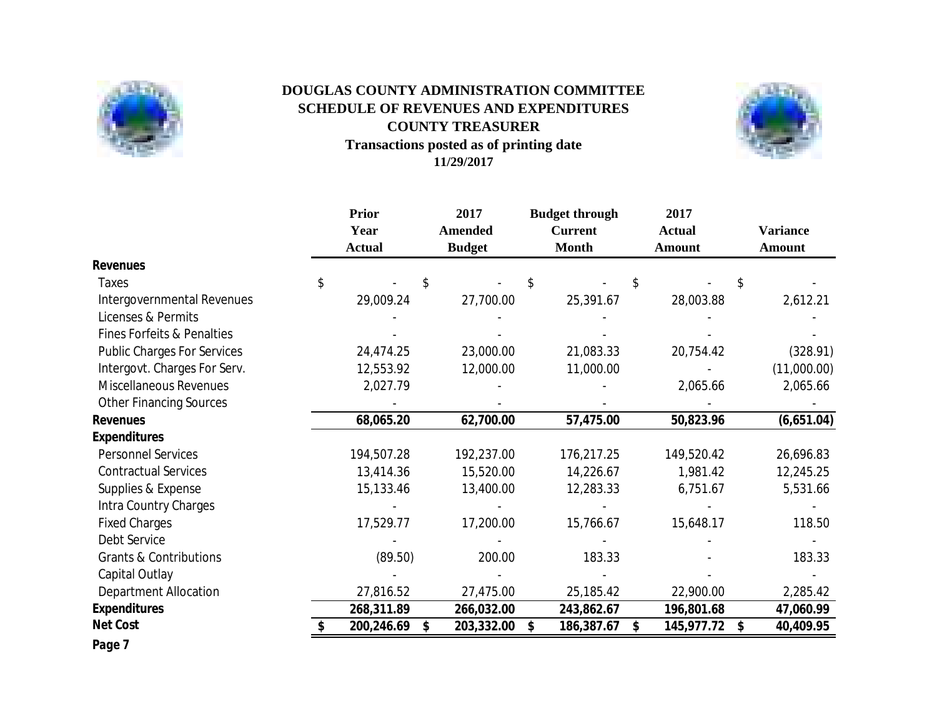

# **Transactions posted as of printing date 11/29/2017 DOUGLAS COUNTY ADMINISTRATION COMMITTEE SCHEDULE OF REVENUES AND EXPENDITURES COUNTY TREASURER**



|                                       | <b>Prior</b><br>Year<br><b>Actual</b> | 2017<br><b>Amended</b><br><b>Budget</b> | <b>Budget through</b><br><b>Current</b><br><b>Month</b> | 2017<br><b>Actual</b><br><b>Amount</b> |     | <b>Variance</b><br>Amount |
|---------------------------------------|---------------------------------------|-----------------------------------------|---------------------------------------------------------|----------------------------------------|-----|---------------------------|
| <b>Revenues</b>                       |                                       |                                         |                                                         |                                        |     |                           |
| <b>Taxes</b>                          | \$                                    | \$                                      | \$                                                      | \$                                     | \$. |                           |
| Intergovernmental Revenues            | 29,009.24                             | 27,700.00                               | 25,391.67                                               | 28,003.88                              |     | 2,612.21                  |
| Licenses & Permits                    |                                       |                                         |                                                         |                                        |     |                           |
| <b>Fines Forfeits &amp; Penalties</b> |                                       |                                         |                                                         |                                        |     |                           |
| <b>Public Charges For Services</b>    | 24,474.25                             | 23,000.00                               | 21,083.33                                               | 20,754.42                              |     | (328.91)                  |
| Intergovt. Charges For Serv.          | 12,553.92                             | 12,000.00                               | 11,000.00                                               |                                        |     | (11,000.00)               |
| <b>Miscellaneous Revenues</b>         | 2,027.79                              |                                         |                                                         | 2,065.66                               |     | 2,065.66                  |
| <b>Other Financing Sources</b>        |                                       |                                         |                                                         |                                        |     |                           |
| <b>Revenues</b>                       | 68,065.20                             | 62,700.00                               | 57,475.00                                               | 50,823.96                              |     | (6,651.04)                |
| <b>Expenditures</b>                   |                                       |                                         |                                                         |                                        |     |                           |
| <b>Personnel Services</b>             | 194,507.28                            | 192,237.00                              | 176,217.25                                              | 149,520.42                             |     | 26,696.83                 |
| <b>Contractual Services</b>           | 13,414.36                             | 15,520.00                               | 14,226.67                                               | 1,981.42                               |     | 12,245.25                 |
| Supplies & Expense                    | 15,133.46                             | 13,400.00                               | 12,283.33                                               | 6,751.67                               |     | 5,531.66                  |
| Intra Country Charges                 |                                       |                                         |                                                         |                                        |     |                           |
| <b>Fixed Charges</b>                  | 17,529.77                             | 17,200.00                               | 15,766.67                                               | 15,648.17                              |     | 118.50                    |
| Debt Service                          |                                       |                                         |                                                         |                                        |     |                           |
| <b>Grants &amp; Contributions</b>     | (89.50)                               | 200.00                                  | 183.33                                                  |                                        |     | 183.33                    |
| Capital Outlay                        |                                       |                                         |                                                         |                                        |     |                           |
| <b>Department Allocation</b>          | 27,816.52                             | 27,475.00                               | 25,185.42                                               | 22,900.00                              |     | 2,285.42                  |
| <b>Expenditures</b>                   | 268,311.89                            | 266,032.00                              | 243,862.67                                              | 196,801.68                             |     | 47,060.99                 |
| <b>Net Cost</b>                       | 200,246.69                            | \$<br>203,332.00                        | \$<br>186,387.67                                        | \$<br>145,977.72                       | \$  | 40,409.95                 |
| Page 7                                |                                       |                                         |                                                         |                                        |     |                           |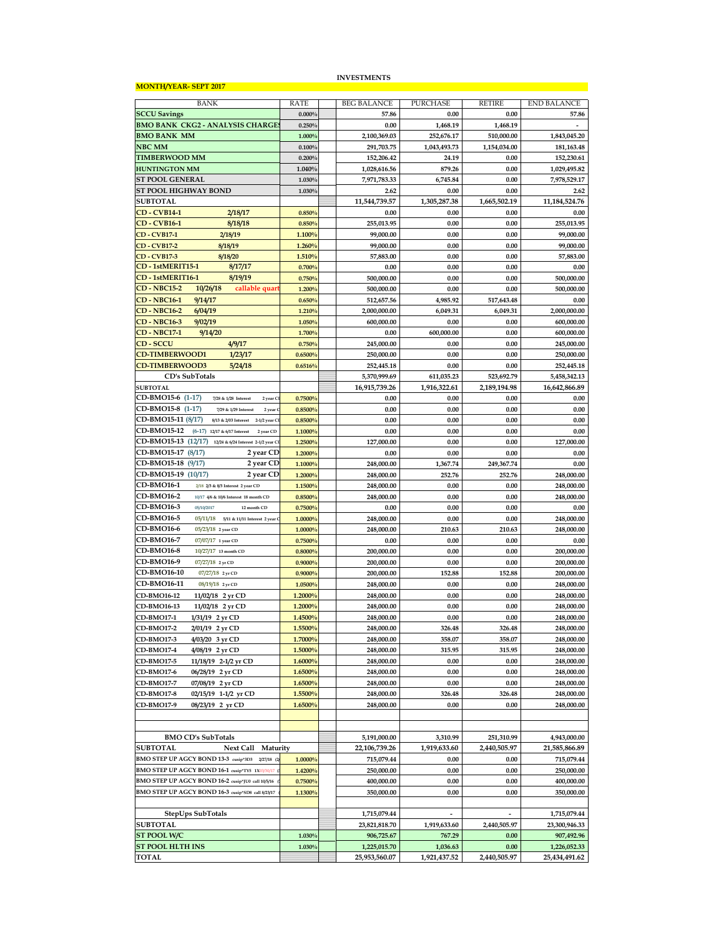#### **MONTH/YEAR- SEPT 2017**

#### **INVESTMENTS**

| BANK                                                          | <b>RATE</b> | <b>BEG BALANCE</b> | PURCHASE                 | <b>RETIRE</b>            | <b>END BALANCE</b> |
|---------------------------------------------------------------|-------------|--------------------|--------------------------|--------------------------|--------------------|
| <b>SCCU Savings</b>                                           | 0.000%      | 57.86              | 0.00                     | 0.00                     | 57.86              |
| <b>BMO BANK CKG2 - ANALYSIS CHARGE</b>                        | 0.250%      | 0.00               | 1,468.19                 | 1,468.19                 |                    |
| <b>BMO BANK MM</b>                                            | 1.000%      | 2,100,369.03       | 252,676.17               | 510,000.00               | 1,843,045.20       |
| <b>NBC MM</b>                                                 | 0.100%      | 291,703.75         | 1,043,493.73             | 1,154,034.00             | 181,163.48         |
| <b>TIMBERWOOD MM</b>                                          | 0.200%      | 152,206.42         | 24.19                    | 0.00                     | 152,230.61         |
| <b>HUNTINGTON MM</b>                                          | 1.040%      | 1,028,616.56       | 879.26                   | 0.00                     | 1,029,495.82       |
| <b>ST POOL GENERAL</b>                                        | 1.030%      | 7,971,783.33       | 6,745.84                 | 0.00                     | 7,978,529.17       |
| ST POOL HIGHWAY BOND                                          | 1.030%      | 2.62               | 0.00                     | 0.00                     | 2.62               |
| <b>SUBTOTAL</b>                                               |             | 11,544,739.57      | 1,305,287.38             | 1,665,502.19             | 11,184,524.76      |
| 2/18/17<br><b>CD</b> - <b>CVB14-1</b>                         | 0.850%      | 0.00               | 0.00                     | 0.00                     | 0.00               |
| <b>CD-CVB16-1</b><br>8/18/18                                  | 0.850%      | 255,013.95         | 0.00                     | 0.00                     | 255,013.95         |
| <b>CD-CVB17-1</b><br>2/18/19                                  | 1.100%      | 99,000.00          | 0.00                     | 0.00                     | 99,000.00          |
| <b>CD-CVB17-2</b><br>8/18/19                                  | 1.260%      | 99,000.00          | 0.00                     | 0.00                     | 99.000.00          |
| 8/18/20<br><b>CD-CVB17-3</b>                                  | 1.510%      | 57,883.00          | 0.00                     | 0.00                     | 57,883.00          |
| CD-1stMERIT15-1<br>8/17/17                                    | 0.700%      | 0.00               | 0.00                     | 0.00                     | 0.00               |
| CD-1stMERIT16-1<br>8/19/19                                    | 0.750%      | 500,000.00         | 0.00                     | 0.00                     | 500,000.00         |
| <b>CD - NBC15-2</b><br>10/26/18<br>callable quar              | 1.200%      | 500,000.00         | 0.00                     | 0.00                     | 500,000.00         |
|                                                               |             |                    |                          |                          |                    |
| <b>CD-NBC16-1</b><br>9/14/17                                  | 0.650%      | 512,657.56         | 4,985.92                 | 517,643.48               | 0.00               |
| <b>CD - NBC16-2</b><br>6/04/19                                | 1.210%      | 2,000,000.00       | 6,049.31                 | 6,049.31                 | 2,000,000.00       |
| <b>CD - NBC16-3</b><br>9/02/19                                | 1.050%      | 600,000.00         | 0.00                     | 0.00                     | 600,000.00         |
| <b>CD-NBC17-1</b><br>9/14/20                                  | 1.700%      | 0.00               | 600,000.00               | 0.00                     | 600,000.00         |
| 4/9/17<br><b>CD-SCCU</b>                                      | 0.750%      | 245,000.00         | 0.00                     | 0.00                     | 245,000.00         |
| <b>CD-TIMBERWOOD1</b><br>1/23/17                              | 0.6500%     | 250,000.00         | 0.00                     | 0.00                     | 250.000.00         |
| <b>CD-TIMBERWOOD3</b><br>5/24/18                              | 0.6516%     | 252,445.18         | 0.00                     | 0.00                     | 252,445.18         |
| CD's SubTotals                                                |             | 5,370,999.69       | 611,035.23               | 523,692.79               | 5,458,342.13       |
| <b>SUBTOTAL</b>                                               |             | 16,915,739.26      | 1,916,322.61             | 2,189,194.98             | 16,642,866.89      |
| CD-BMO15-6 (1-17)<br>7/28 & 1/28 Interest<br>2 year C         | 0.7500%     | 0.00               | 0.00                     | 0.00                     | 0.00               |
| CD-BMO15-8 (1-17)<br>7/29 & 1/29 Interest<br>2 year           | 0.8500%     | 0.00               | 0.00                     | 0.00                     | 0.00               |
| CD-BMO15-11 (8/17)<br>8/13 & 2/03 Interest<br>2-1/2 year C    | 0.8500%     | 0.00               | 0.00                     | 0.00                     | 0.00               |
| CD-BMO15-12<br>$(6-17)$<br>12/17 & 6/17 Interest<br>2 year CD | 1.1000%     | 0.00               | 0.00                     | 0.00                     | 0.00               |
| CD-BMO15-13 (12/17)<br>12/24 & 6/24 Interest 2-1/2 year Cl    | 1.2500%     | 127,000.00         | 0.00                     | 0.00                     | 127,000.00         |
| CD-BMO15-17 (8/17)<br>2 year CD                               | 1.2000%     | 0.00               | 0.00                     | 0.00                     | 0.00               |
| CD-BMO15-18<br>2 year CD<br>(9/17)                            | 1.1000%     | 248,000.00         | 1,367.74                 | 249,367.74               | 0.00               |
| CD-BMO15-19<br>(10/17)<br>2 year CD                           | 1.2000%     | 248,000.00         | 252.76                   | 252.76                   | 248,000.00         |
| <b>CD-BMO16-1</b><br>2/18 2/3 & 8/3 Interest 2 year CD        | 1.1500%     | 248,000.00         | 0.00                     | 0.00                     | 248,000.00         |
| <b>CD-BMO16-2</b><br>10/17 4/6 & 10/6 Interest 18 month CD    | 0.8500%     | 248,000.00         | 0.00                     | 0.00                     | 248,000.00         |
| <b>CD-BMO16-3</b><br>05/10/2017<br>12 month CD                | 0.7500%     | 0.00               | 0.00                     | 0.00                     | 0.00               |
| CD-BMO16-5<br>05/11/18<br>5/11 & 11/11 Interest 2 year        | 1.0000%     | 248,000.00         | 0.00                     | 0.00                     | 248,000.00         |
| <b>CD-BMO16-6</b><br>05/23/18 2 year CD                       | 1.0000%     | 248,000.00         | 210.63                   | 210.63                   | 248,000.00         |
| CD-BMO16-7<br>07/07/17 1 year CD                              | 0.7500%     | 0.00               | 0.00                     | 0.00                     | 0.00               |
| CD-BMO16-8<br>10/27/17 13 month CD                            | 0.8000%     | 200,000.00         | 0.00                     | 0.00                     | 200,000.00         |
| CD-BMO16-9<br>07/27/18 2 yr CD                                | 0.9000%     | 200,000.00         | 0.00                     | 0.00                     | 200,000.00         |
| CD-BMO16-10                                                   | 0.9000%     | 200,000.00         | 152.88                   | 152.88                   |                    |
| 07/27/18 2 yr CD<br>CD-BMO16-11                               |             |                    |                          |                          | 200,000.00         |
| 08/19/18 2 yr CD                                              | 1.0500%     | 248,000.00         | 0.00                     | 0.00                     | 248,000.00         |
| CD-BMO16-12<br>11/02/18 2 yr CD                               | 1.2000%     | 248,000.00         | 0.00                     | 0.00                     | 248,000.00         |
| CD-BMO16-13<br>11/02/18 2 yr CD                               | 1.2000%     | 248,000.00         | 0.00                     | 0.00                     | 248,000.00         |
| <b>CD-BMO17-1</b><br>1/31/19 2 yr CD                          | 1.4500%     | 248,000.00         | 0.00                     | 0.00                     | 248,000.00         |
| CD-BMO17-2<br>2/01/19 2 yr CD                                 | 1.5500%     | 248,000.00         | 326.48                   | 326.48                   | 248,000.00         |
| CD-BMO17-3<br>4/03/20 3 yr CD                                 | 1.7000%     | 248,000.00         | 358.07                   | 358.07                   | 248,000.00         |
| CD-BMO17-4<br>4/08/19 2 yr CD                                 | 1.5000%     | 248,000.00         | 315.95                   | 315.95                   | 248,000.00         |
| CD-BMO17-5<br>11/18/19 2-1/2 yr CD                            | 1.6000%     | 248,000.00         | 0.00                     | 0.00                     | 248,000.00         |
| <b>CD-BMO17-6</b><br>06/28/19 2 yr CD                         | 1.6500%     | 248,000.00         | 0.00                     | 0.00                     | 248,000.00         |
| CD-BMO17-7<br>07/08/19 2 yr CD                                | 1.6500%     | 248,000.00         | 0.00                     | 0.00                     | 248,000.00         |
| CD-BMO17-8<br>02/15/19 1-1/2 yr CD                            | 1.5500%     | 248,000.00         | 326.48                   | 326.48                   | 248,000.00         |
| CD-BMO17-9<br>08/23/19 2 yr CD                                | 1.6500%     | 248,000.00         | 0.00                     | 0.00                     | 248,000.00         |
|                                                               |             |                    |                          |                          |                    |
|                                                               |             |                    |                          |                          |                    |
| <b>BMO CD's SubTotals</b>                                     |             | 5,191,000.00       | 3,310.99                 | 251,310.99               | 4,943,000.00       |
| <b>SUBTOTAL</b><br>Next Call Maturity                         |             | 22,106,739.26      | 1,919,633.60             | 2,440,505.97             | 21,585,866.89      |
| BMO STEP UP AGCY BOND 13-3 cusip*3D3<br>$2/27/18$ (2)         | 1.0000%     | 715,079.44         | 0.00                     | 0.00                     | 715,079.44         |
| BMO STEP UP AGCY BOND 16-1 cusip*TY5 1X03/30/17               | 1.4200%     | 250,000.00         | 0.00                     | 0.00                     | 250,000.00         |
| BMO STEP UP AGCY BOND 16-2 cusip*JU0 call 10/5/16             | 0.7500%     | 400,000.00         | 0.00                     | 0.00                     | 400,000.00         |
| BMO STEP UP AGCY BOND 16-3 cusip*SD8 call 8/23/17             | 1.1300%     | 350,000.00         | 0.00                     | 0.00                     | 350,000.00         |
|                                                               |             |                    |                          |                          |                    |
| StepUps SubTotals                                             |             | 1,715,079.44       | $\overline{\phantom{a}}$ | $\overline{\phantom{a}}$ | 1,715,079.44       |
| <b>SUBTOTAL</b>                                               |             | 23,821,818.70      | 1,919,633.60             | 2,440,505.97             | 23,300,946.33      |
| ST POOL W/C                                                   | 1.030%      | 906,725.67         | 767.29                   | 0.00                     | 907,492.96         |
| <b>ST POOL HLTH INS</b>                                       | 1.030%      | 1,225,015.70       | 1,036.63                 | 0.00                     | 1,226,052.33       |
| <b>TOTAL</b>                                                  |             | 25,953,560.07      | 1,921,437.52             | 2,440,505.97             | 25,434,491.62      |
|                                                               |             |                    |                          |                          |                    |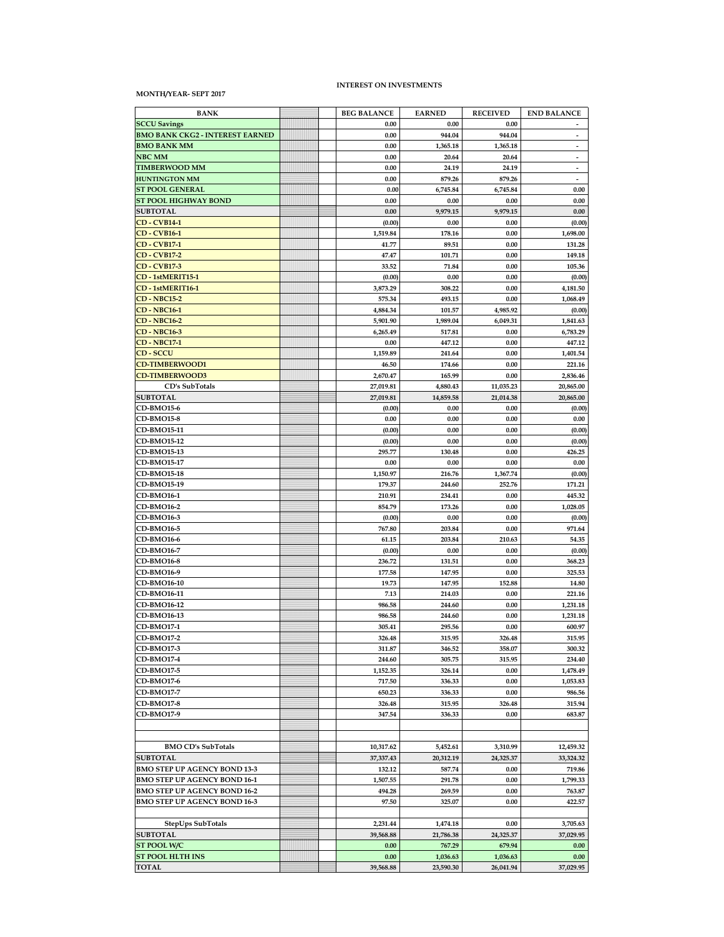#### **MONTH/YEAR- SEPT 2017**

#### **INTEREST ON INVESTMENTS**

| <b>BANK</b>                            | <b>BEG BALANCE</b> | <b>EARNED</b> | <b>RECEIVED</b> | <b>END BALANCE</b>       |
|----------------------------------------|--------------------|---------------|-----------------|--------------------------|
| <b>SCCU Savings</b>                    | 0.00               | 0.00          | 0.00            |                          |
| <b>BMO BANK CKG2 - INTEREST EARNED</b> | 0.00               | 944.04        | 944.04          | $\overline{\phantom{a}}$ |
| <b>BMO BANK MM</b>                     | 0.00               | 1,365.18      | 1,365.18        | $\overline{\phantom{a}}$ |
| NBC MM                                 | 0.00               | 20.64         | 20.64           | $\overline{\phantom{a}}$ |
| <b>TIMBERWOOD MM</b>                   | 0.00               | 24.19         | 24.19           | $\overline{\phantom{a}}$ |
| <b>HUNTINGTON MM</b>                   | 0.00               | 879.26        | 879.26          | $\overline{\phantom{a}}$ |
| <b>ST POOL GENERAL</b>                 | 0.00               | 6,745.84      | 6,745.84        | 0.00                     |
| <b>ST POOL HIGHWAY BOND</b>            | 0.00               | 0.00          | 0.00            | 0.00                     |
| <b>SUBTOTAL</b>                        | 0.00               | 9,979.15      | 9,979.15        | $0.00\,$                 |
| <b>CD-CVB14-1</b>                      | (0.00)             | 0.00          | 0.00            | (0.00)                   |
| <b>CD-CVB16-1</b>                      | 1,519.84           | 178.16        | 0.00            | 1,698.00                 |
| <b>CD</b> - <b>CVB17-1</b>             | 41.77              | 89.51         | 0.00            | 131.28                   |
| <b>CD-CVB17-2</b>                      | 47.47              | 101.71        | 0.00            | 149.18                   |
| <b>CD-CVB17-3</b>                      | 33.52              | 71.84         | 0.00            | 105.36                   |
| CD-1stMERIT15-1                        | (0.00)             | 0.00          | 0.00            | (0.00)                   |
| CD-1stMERIT16-1                        | 3,873.29           | 308.22        | 0.00            | 4,181.50                 |
| <b>CD - NBC15-2</b>                    | 575.34             | 493.15        | 0.00            | 1,068.49                 |
| <b>CD - NBC16-1</b>                    | 4,884.34           | 101.57        | 4,985.92        | (0.00)                   |
| $CD - NBC16-2$                         | 5,901.90           | 1,989.04      | 6,049.31        | 1,841.63                 |
| <b>CD - NBC16-3</b>                    | 6,265.49           | 517.81        | 0.00            | 6,783.29                 |
| <b>CD - NBC17-1</b>                    | 0.00               | 447.12        | 0.00            | 447.12                   |
| <b>CD-SCCU</b>                         | 1,159.89           | 241.64        | 0.00            | 1,401.54                 |
| <b>CD-TIMBERWOOD1</b>                  | 46.50              | 174.66        | 0.00            | 221.16                   |
| <b>CD-TIMBERWOOD3</b>                  | 2,670.47           | 165.99        | 0.00            | 2,836.46                 |
| CD's SubTotals                         | 27,019.81          | 4,880.43      | 11,035.23       | 20,865.00                |
| <b>SUBTOTAL</b>                        | 27,019.81          | 14,859.58     | 21,014.38       | 20,865.00                |
| <b>CD-BMO15-6</b>                      | (0.00)             | 0.00          | 0.00            | (0.00)                   |
| <b>CD-BMO15-8</b>                      | 0.00               | 0.00          | 0.00            | 0.00                     |
| CD-BMO15-11                            | (0.00)             | 0.00          | 0.00            | (0.00)                   |
| CD-BMO15-12                            | (0.00)             | 0.00          | 0.00            | (0.00)                   |
| CD-BMO15-13                            | 295.77             | 130.48        | 0.00            | 426.25                   |
| <b>CD-BMO15-17</b>                     | 0.00               | 0.00          | 0.00            | 0.00                     |
| <b>CD-BMO15-18</b>                     | 1,150.97           | 216.76        | 1,367.74        | (0.00)                   |
| CD-BMO15-19                            | 179.37             | 244.60        | 252.76          | 171.21                   |
| <b>CD-BMO16-1</b>                      | 210.91             | 234.41        | 0.00            | 445.32                   |
| <b>CD-BMO16-2</b>                      | 854.79             | 173.26        | 0.00            | 1,028.05                 |
| CD-BMO16-3                             | (0.00)             | 0.00          | 0.00            | (0.00)                   |
| <b>CD-BMO16-5</b>                      | 767.80             | 203.84        | 0.00            | 971.64                   |
| <b>CD-BMO16-6</b>                      | 61.15              | 203.84        | 210.63          | 54.35                    |
| CD-BMO16-7                             | (0.00)             | 0.00          | 0.00            | (0.00)                   |
| CD-BMO16-8                             | 236.72             | 131.51        | 0.00            | 368.23                   |
| CD-BMO16-9                             | 177.58             | 147.95        | 0.00            | 325.53                   |
| <b>CD-BMO16-10</b>                     | 19.73              | 147.95        | 152.88          | 14.80                    |
| CD-BMO16-11                            | 7.13               | 214.03        | 0.00            | 221.16                   |
| <b>CD-BMO16-12</b>                     | 986.58             | 244.60        | 0.00            | 1,231.18                 |
| CD-BMO16-13                            | 986.58             | 244.60        | 0.00            | 1,231.18                 |
| <b>CD-BMO17-1</b>                      | 305.41             | 295.56        | 0.00            | 600.97                   |
| CD-BMO17-2                             | 326.48             | 315.95        | 326.48          | 315.95                   |
| <b>CD-BMO17-3</b>                      | 311.87             | 346.52        | 358.07          | 300.32                   |
| <b>CD-BMO17-4</b>                      | 244.60             | 305.75        | 315.95          | 234.40                   |
| CD-BMO17-5                             | 1,152.35           | 326.14        | 0.00            | 1,478.49                 |
| CD-BMO17-6                             | 717.50             | 336.33        | 0.00            | 1,053.83                 |
| CD-BMO17-7                             | 650.23             | 336.33        | 0.00            | 986.56                   |
| CD-BMO17-8                             | 326.48             | 315.95        | 326.48          | 315.94                   |
| CD-BMO17-9                             | 347.54             | 336.33        | 0.00            | 683.87                   |
|                                        |                    |               |                 |                          |
|                                        |                    |               |                 |                          |
| <b>BMO CD's SubTotals</b>              | 10,317.62          | 5,452.61      | 3,310.99        | 12,459.32                |
| <b>SUBTOTAL</b>                        | 37,337.43          | 20,312.19     | 24,325.37       | 33,324.32                |
| <b>BMO STEP UP AGENCY BOND 13-3</b>    | 132.12             | 587.74        | 0.00            | 719.86                   |
| <b>BMO STEP UP AGENCY BOND 16-1</b>    | 1,507.55           | 291.78        | 0.00            | 1,799.33                 |
| <b>BMO STEP UP AGENCY BOND 16-2</b>    | 494.28             | 269.59        | 0.00            | 763.87                   |
| <b>BMO STEP UP AGENCY BOND 16-3</b>    | 97.50              | 325.07        | 0.00            | 422.57                   |
|                                        |                    |               |                 |                          |
| StepUps SubTotals                      | 2,231.44           | 1,474.18      | 0.00            | 3,705.63                 |
| <b>SUBTOTAL</b>                        | 39,568.88          | 21,786.38     | 24,325.37       | 37,029.95                |
| ST POOL W/C                            | 0.00               | 767.29        | 679.94          | 0.00                     |
| <b>ST POOL HLTH INS</b>                | 0.00               | 1,036.63      | 1,036.63        | 0.00                     |
| <b>TOTAL</b>                           | 39,568.88          | 23,590.30     | 26,041.94       | 37,029.95                |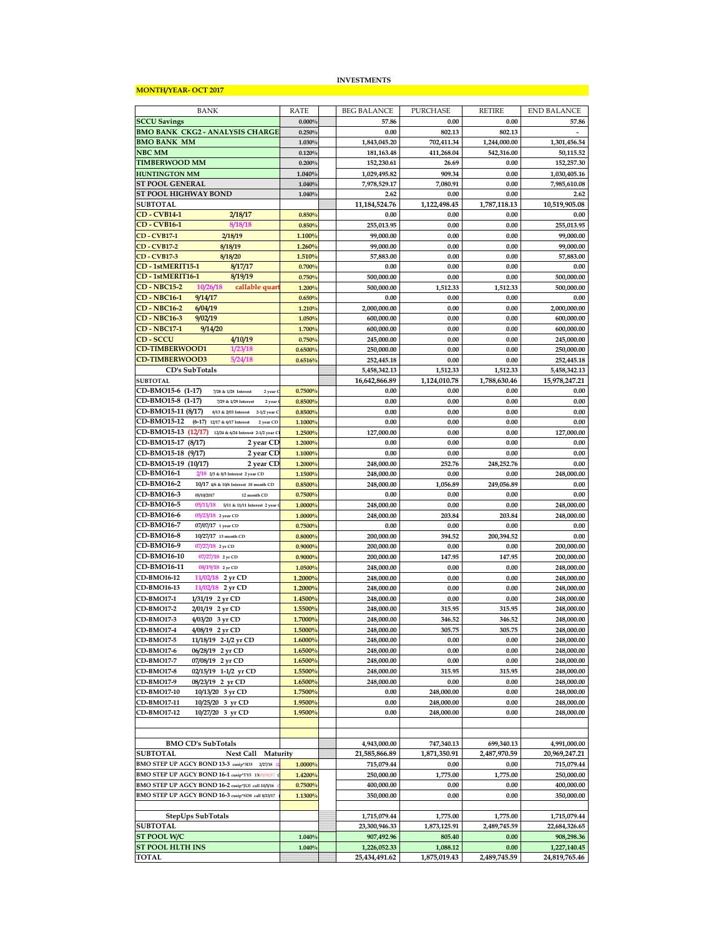#### **MONTH/YEAR- OCT 2017**

#### **INVESTMENTS**

| BANK                                                         | <b>RATE</b> | <b>BEG BALANCE</b> | <b>PURCHASE</b> | <b>RETIRE</b> | <b>END BALANCE</b> |
|--------------------------------------------------------------|-------------|--------------------|-----------------|---------------|--------------------|
| <b>SCCU Savings</b>                                          | 0.000%      | 57.86              | 0.00            | 0.00          | 57.86              |
|                                                              |             |                    |                 |               |                    |
| <b>BMO BANK CKG2 - ANALYSIS CHARGE</b>                       | 0.250%      | 0.00               | 802.13          | 802.13        |                    |
| <b>BMO BANK MM</b>                                           | 1.030%      | 1,843,045.20       | 702,411.34      | 1,244,000.00  | 1,301,456.54       |
| <b>NBC MM</b>                                                | 0.120%      | 181,163.48         | 411,268.04      | 542,316.00    | 50,115.52          |
| <b>TIMBERWOOD MM</b>                                         | 0.200%      | 152,230.61         | 26.69           | 0.00          | 152,257.30         |
| <b>HUNTINGTON MM</b>                                         | 1.040%      | 1,029,495.82       | 909.34          | 0.00          | 1,030,405.16       |
|                                                              |             |                    |                 |               |                    |
| <b>ST POOL GENERAL</b>                                       | 1.040%      | 7,978,529.17       | 7,080.91        | 0.00          | 7,985,610.08       |
| <b>ST POOL HIGHWAY BOND</b>                                  | 1.040%      | 2.62               | 0.00            | 0.00          | 2.62               |
| <b>SUBTOTAL</b>                                              |             | 11, 184, 524. 76   | 1,122,498.45    | 1,787,118.13  | 10,519,905.08      |
| <b>CD-CVB14-1</b><br>2/18/17                                 | 0.850%      | 0.00               | 0.00            | 0.00          | 0.00               |
| <b>CD-CVB16-1</b><br>8/18/18                                 | 0.850%      | 255,013.95         | 0.00            | 0.00          | 255,013.95         |
|                                                              |             |                    |                 |               |                    |
| <b>CD-CVB17-1</b><br>2/18/19                                 | 1.100%      | 99,000.00          | 0.00            | 0.00          | 99,000.00          |
| <b>CD - CVB17-2</b><br>8/18/19                               | 1.260%      | 99,000.00          | 0.00            | 0.00          | 99,000.00          |
| <b>CD-CVB17-3</b><br>8/18/20                                 | 1.510%      | 57,883.00          | 0.00            | 0.00          | 57,883.00          |
| CD-1stMERIT15-1<br>8/17/17                                   | 0.700%      | 0.00               | 0.00            | 0.00          | 0.00               |
| CD-1stMERIT16-1<br>8/19/19                                   |             |                    |                 |               |                    |
|                                                              | 0.750%      | 500,000.00         | 0.00            | 0.00          | 500,000.00         |
| <b>CD - NBC15-2</b><br>10/26/18<br>callable quar             | 1.200%      | 500,000.00         | 1,512.33        | 1,512.33      | 500,000.00         |
| <b>CD - NBC16-1</b><br>9/14/17                               | 0.650%      | 0.00               | 0.00            | 0.00          | 0.00               |
| <b>CD - NBC16-2</b><br>6/04/19                               | 1.210%      | 2,000,000.00       | 0.00            | 0.00          | 2,000,000.00       |
|                                                              |             |                    |                 |               |                    |
| <b>CD - NBC16-3</b><br>9/02/19                               | 1.050%      | 600,000.00         | 0.00            | 0.00          | 600,000.00         |
| <b>CD - NBC17-1</b><br>9/14/20                               | 1.700%      | 600,000.00         | 0.00            | 0.00          | 600,000.00         |
| 4/10/19<br><b>CD - SCCU</b>                                  | 0.750%      | 245,000.00         | 0.00            | 0.00          | 245,000.00         |
| <b>CD-TIMBERWOOD1</b><br>1/23/18                             | 0.6500%     | 250,000.00         | 0.00            | 0.00          | 250,000.00         |
| <b>CD-TIMBERWOOD3</b><br>5/24/18                             | 0.6516%     | 252,445.18         | 0.00            | 0.00          | 252,445.18         |
|                                                              |             |                    |                 |               |                    |
| CD's SubTotals                                               |             | 5,458,342.13       | 1,512.33        | 1,512.33      | 5,458,342.13       |
| <b>SUBTOTAL</b>                                              |             | 16,642,866.89      | 1.124.010.78    | 1,788,630.46  | 15,978,247.21      |
| CD-BMO15-6 (1-17)<br>7/28 & 1/28 Interest<br>2 year 0        | 0.7500%     | 0.00               | 0.00            | 0.00          | 0.00               |
| CD-BMO15-8 (1-17)<br>7/29 & 1/29 Interest<br>2 year          | 0.8500%     | 0.00               | 0.00            | 0.00          | 0.00               |
| CD-BMO15-11 (8/17)<br>8/13 & 2/03 Interest 2-1/2 year C      | 0.8500%     | 0.00               | 0.00            | 0.00          | 0.00               |
|                                                              |             |                    |                 |               |                    |
| CD-BMO15-12<br>(6-17) 12/17 & 6/17 Interest<br>2 year CD     | 1.1000%     | 0.00               | 0.00            | 0.00          | 0.00               |
| CD-BMO15-13<br>(12/17)<br>12/24 & 6/24 Interest 2-1/2 year C | 1.2500%     | 127,000.00         | 0.00            | 0.00          | 127,000.00         |
| CD-BMO15-17 (8/17)<br>2 year CD                              | 1.2000%     | 0.00               | 0.00            | 0.00          | 0.00               |
| CD-BMO15-18 (9/17)<br>2 year CD                              | 1.1000%     | 0.00               | 0.00            | 0.00          | 0.00               |
|                                                              |             |                    |                 |               |                    |
| CD-BMO15-19 (10/17)<br>2 year CD                             | 1.2000%     | 248,000.00         | 252.76          | 248,252.76    | 0.00               |
| <b>CD-BMO16-1</b><br>2/18 2/3 & 8/3 Interest 2 year CD       | 1.1500%     | 248,000.00         | 0.00            | 0.00          | 248,000.00         |
| <b>CD-BMO16-2</b><br>10/17 4/6 & 10/6 Interest 18 month CD   | 0.8500%     | 248,000.00         | 1,056.89        | 249,056.89    | 0.00               |
| CD-BMO16-3<br>05/10/2017<br>12 month CD                      | 0.7500%     | 0.00               | 0.00            | 0.00          | 0.00               |
| CD-BMO16-5<br>05/11/18<br>5/11 & 11/11 Interest 2 year       | 1.0000%     | 248,000.00         | 0.00            | 0.00          | 248,000.00         |
|                                                              |             |                    |                 |               |                    |
| <b>CD-BMO16-6</b><br>05/23/18 2 year CD                      | 1.0000%     | 248,000.00         | 203.84          | 203.84        | 248,000.00         |
| CD-BMO16-7<br>07/07/17 1 year CD                             | 0.7500%     | 0.00               | 0.00            | 0.00          | 0.00               |
| CD-BMO16-8<br>10/27/17 13 month CD                           | 0.8000%     | 200,000.00         | 394.52          | 200,394.52    | 0.00               |
| CD-BMO16-9<br>07/27/18 2 yr CD                               | 0.9000%     | 200,000.00         | 0.00            | 0.00          | 200,000.00         |
| CD-BMO16-10<br>07/27/18 2 yr CD                              | 0.9000%     | 200,000.00         | 147.95          | 147.95        | 200,000.00         |
|                                                              |             |                    |                 |               |                    |
| CD-BMO16-11<br>08/19/18 2 yr CD                              | 1.0500%     | 248,000.00         | 0.00            | 0.00          | 248,000.00         |
| CD-BMO16-12<br>11/02/18 2 yr CD                              | 1.2000%     | 248,000.00         | 0.00            | 0.00          | 248,000.00         |
| <b>CD-BMO16-13</b><br>11/02/18 2 yr CD                       | 1.2000%     | 248,000.00         | 0.00            | 0.00          | 248,000.00         |
| <b>CD-BMO17-1</b><br>1/31/19 2 yr CD                         | 1.4500%     | 248,000.00         | 0.00            | 0.00          | 248,000.00         |
|                                                              |             |                    |                 |               |                    |
| <b>CD-BMO17-2</b><br>2/01/19 2 yr CD                         | 1.5500%     | 248,000.00         | 315.95          | 315.95        | 248,000.00         |
| CD-BMO17-3<br>4/03/20 3 yr CD                                | 1.7000%     | 248,000.00         | 346.52          | 346.52        | 248,000.00         |
| CD-BMO17-4<br>4/08/19 2 yr CD                                | 1.5000%     | 248,000.00         | 305.75          | 305.75        | 248,000.00         |
| CD-BMO17-5<br>11/18/19 2-1/2 yr CD                           | 1.6000%     | 248,000.00         | 0.00            | 0.00          | 248,000.00         |
| <b>CD-BMO17-6</b><br>06/28/19 2 yr CD                        | 1.6500%     | 248,000.00         | 0.00            | 0.00          | 248,000.00         |
|                                                              |             |                    |                 |               |                    |
| <b>CD-BMO17-7</b><br>07/08/19 2 yr CD                        | 1.6500%     | 248,000.00         | 0.00            | 0.00          | 248,000.00         |
| CD-BMO17-8<br>02/15/19 1-1/2 yr CD                           | 1.5500%     | 248,000.00         | 315.95          | 315.95        | 248,000.00         |
| CD-BMO17-9<br>08/23/19 2 yr CD                               | 1.6500%     | 248,000.00         | 0.00            | 0.00          | 248,000.00         |
| CD-BMO17-10<br>10/13/20 3 yr CD                              | 1.7500%     | 0.00               | 248,000.00      | 0.00          | 248,000.00         |
| CD-BMO17-11<br>10/25/20 3 yr CD                              | 1.9500%     | 0.00               | 248,000.00      | 0.00          | 248,000.00         |
|                                                              |             |                    |                 |               |                    |
| CD-BMO17-12<br>10/27/20 3 yr CD                              | 1.9500%     | 0.00               | 248,000.00      | 0.00          | 248,000.00         |
|                                                              |             |                    |                 |               |                    |
|                                                              |             |                    |                 |               |                    |
| <b>BMO CD's SubTotals</b>                                    |             | 4,943,000.00       | 747,340.13      | 699,340.13    | 4,991,000.00       |
| <b>SUBTOTAL</b><br>Next Call Maturity                        |             | 21,585,866.89      | 1,871,350.91    | 2,487,970.59  | 20,969,247.21      |
|                                                              |             |                    |                 |               |                    |
| BMO STEP UP AGCY BOND 13-3 cusip*3D3<br>2/27/18              | 1.0000%     | 715,079.44         | 0.00            | 0.00          | 715,079.44         |
| BMO STEP UP AGCY BOND 16-1 cusip*TY5 1X03/30/17 (            | 1.4200%     | 250,000.00         | 1,775.00        | 1,775.00      | 250,000.00         |
| BMO STEP UP AGCY BOND 16-2 cusip*JU0 call 10/5/16            | 0.7500%     | 400,000.00         | 0.00            | 0.00          | 400,000.00         |
| BMO STEP UP AGCY BOND 16-3 cusip*SD8 call 8/23/17            | 1.1300%     | 350,000.00         | 0.00            | 0.00          | 350,000.00         |
|                                                              |             |                    |                 |               |                    |
|                                                              |             |                    |                 |               |                    |
| StepUps SubTotals                                            |             | 1,715,079.44       | 1,775.00        | 1,775.00      | 1,715,079.44       |
| <b>SUBTOTAL</b>                                              |             | 23,300,946.33      | 1,873,125.91    | 2,489,745.59  | 22,684,326.65      |
| ST POOL W/C                                                  | 1.040%      | 907,492.96         | 805.40          | 0.00          | 908,298.36         |
| <b>ST POOL HLTH INS</b>                                      | 1.040%      | 1,226,052.33       | 1,088.12        | 0.00          | 1,227,140.45       |
|                                                              |             | 25,434,491.62      | 1,875,019.43    | 2,489,745.59  | 24,819,765.46      |
| <b>TOTAL</b>                                                 |             |                    |                 |               |                    |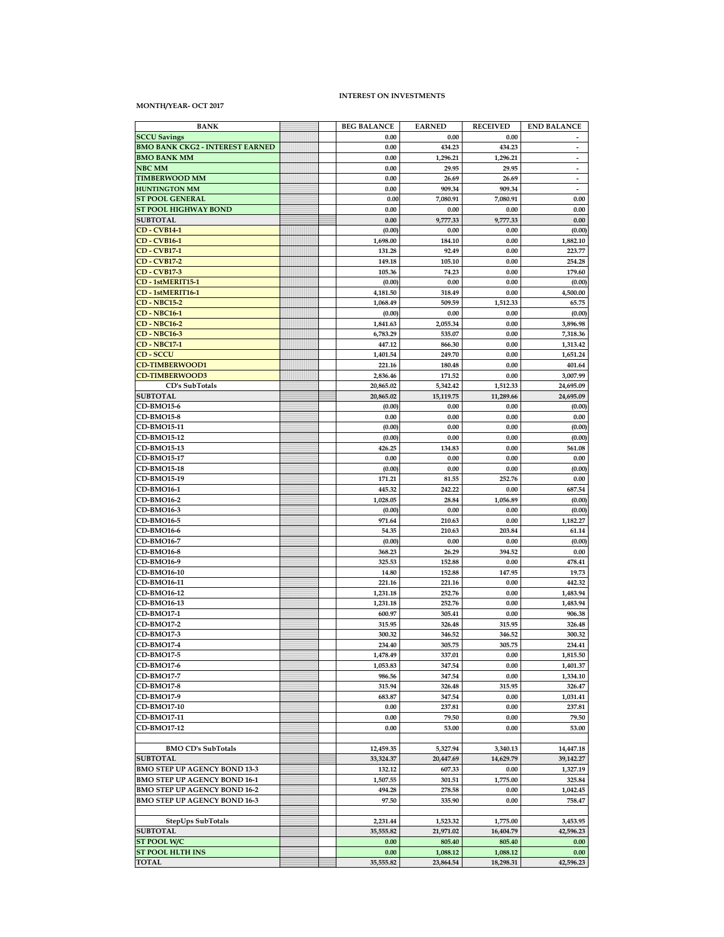#### **MONTH/YEAR- OCT 2017**

#### **INTEREST ON INVESTMENTS**

| <b>BANK</b>                                    | <b>BEG BALANCE</b>   | <b>EARNED</b>      | <b>RECEIVED</b>    | <b>END BALANCE</b>       |
|------------------------------------------------|----------------------|--------------------|--------------------|--------------------------|
| <b>SCCU Savings</b>                            | 0.00                 | 0.00               | 0.00               |                          |
| <b>BMO BANK CKG2 - INTEREST EARNED</b>         | 0.00                 | 434.23             | 434.23             | $\overline{\phantom{a}}$ |
| <b>BMO BANK MM</b>                             | 0.00                 | 1,296.21           | 1,296.21           | $\overline{\phantom{a}}$ |
| NBC MM                                         | 0.00                 | 29.95              | 29.95              | $\overline{\phantom{a}}$ |
| <b>TIMBERWOOD MM</b>                           | 0.00                 | 26.69              | 26.69              | $\overline{a}$           |
| <b>HUNTINGTON MM</b><br><b>ST POOL GENERAL</b> | 0.00<br>0.00         | 909.34<br>7,080.91 | 909.34<br>7,080.91 | 0.00                     |
| ST POOL HIGHWAY BOND                           | 0.00                 | 0.00               | 0.00               | 0.00                     |
| <b>SUBTOTAL</b>                                | 0.00                 | 9,777.33           | 9,777.33           | 0.00                     |
| <b>CD-CVB14-1</b>                              | (0.00)               | 0.00               | 0.00               | (0.00)                   |
| <b>CD</b> - <b>CVB16-1</b>                     | 1,698.00             | 184.10             | 0.00               | 1,882.10                 |
| <b>CD-CVB17-1</b>                              | 131.28               | 92.49              | 0.00               | 223.77                   |
| <b>CD-CVB17-2</b>                              | 149.18               | 105.10             | 0.00               | 254.28                   |
| <b>CD-CVB17-3</b>                              | 105.36               | 74.23              | 0.00               | 179.60                   |
| CD-1stMERIT15-1                                | (0.00)               | 0.00               | 0.00               | (0.00)                   |
| CD-1stMERIT16-1                                | 4,181.50             | 318.49             | 0.00               | 4,500.00                 |
| <b>CD - NBC15-2</b>                            | 1,068.49             | 509.59             | 1,512.33           | 65.75                    |
| <b>CD - NBC16-1</b>                            | (0.00)               | 0.00               | 0.00               | (0.00)                   |
| <b>CD - NBC16-2</b><br><b>CD - NBC16-3</b>     | 1,841.63<br>6,783.29 | 2,055.34<br>535.07 | 0.00<br>0.00       | 3,896.98<br>7,318.36     |
| <b>CD - NBC17-1</b>                            | 447.12               | 866.30             | 0.00               | 1,313.42                 |
| <b>CD-SCCU</b>                                 | 1,401.54             | 249.70             | 0.00               | 1,651.24                 |
| <b>CD-TIMBERWOOD1</b>                          | 221.16               | 180.48             | 0.00               | 401.64                   |
| <b>CD-TIMBERWOOD3</b>                          | 2,836.46             | 171.52             | 0.00               | 3,007.99                 |
| CD's SubTotals                                 | 20,865.02            | 5,342.42           | 1,512.33           | 24,695.09                |
| <b>SUBTOTAL</b>                                | 20,865.02            | 15,119.75          | 11,289.66          | 24,695.09                |
| CD-BMO15-6                                     | (0.00)               | 0.00               | 0.00               | (0.00)                   |
| CD-BMO15-8                                     | 0.00                 | 0.00               | 0.00               | 0.00                     |
| CD-BMO15-11                                    | (0.00)               | 0.00               | 0.00               | (0.00)                   |
| CD-BMO15-12                                    | (0.00)               | 0.00               | 0.00               | (0.00)                   |
| CD-BMO15-13                                    | 426.25               | 134.83             | 0.00               | 561.08                   |
| CD-BMO15-17<br>CD-BMO15-18                     | 0.00<br>(0.00)       | 0.00<br>0.00       | 0.00<br>0.00       | 0.00<br>(0.00)           |
| CD-BMO15-19                                    | 171.21               | 81.55              | 252.76             | 0.00                     |
| CD-BMO16-1                                     | 445.32               | 242.22             | 0.00               | 687.54                   |
| <b>CD-BMO16-2</b>                              | 1,028.05             | 28.84              | 1,056.89           | (0.00)                   |
| CD-BMO16-3                                     | (0.00)               | 0.00               | 0.00               | (0.00)                   |
| CD-BMO16-5                                     | 971.64               | 210.63             | 0.00               | 1,182.27                 |
| CD-BMO16-6                                     | 54.35                | 210.63             | 203.84             | 61.14                    |
| CD-BMO16-7                                     | (0.00)               | 0.00               | 0.00               | (0.00)                   |
| CD-BMO16-8                                     | 368.23               | 26.29              | 394.52             | 0.00                     |
| CD-BMO16-9                                     | 325.53               | 152.88             | 0.00               | 478.41                   |
| CD-BMO16-10<br>CD-BMO16-11                     | 14.80<br>221.16      | 152.88<br>221.16   | 147.95<br>0.00     | 19.73<br>442.32          |
| <b>CD-BMO16-12</b>                             | 1,231.18             | 252.76             | 0.00               | 1,483.94                 |
| CD-BMO16-13                                    | 1,231.18             | 252.76             | 0.00               | 1,483.94                 |
| CD-BMO17-1                                     | 600.97               | 305.41             | 0.00               | 906.38                   |
| <b>CD-BMO17-2</b>                              | 315.95               | 326.48             | 315.95             | 326.48                   |
| CD-BMO17-3                                     | 300.32               | 346.52             | 346.52             | 300.32                   |
| CD-BMO17-4                                     | 234.40               | 305.75             | 305.75             | 234.41                   |
| CD-BMO17-5                                     | 1,478.49             | 337.01             | 0.00               | 1,815.50                 |
| CD-BMO17-6                                     | 1,053.83             | 347.54             | 0.00               | 1,401.37                 |
| CD-BMO17-7                                     | 986.56               | 347.54             | 0.00               | 1,334.10                 |
| CD-BMO17-8                                     | 315.94               | 326.48             | 315.95             | 326.47                   |
| CD-BMO17-9<br><b>CD-BMO17-10</b>               | 683.87<br>0.00       | 347.54<br>237.81   | 0.00<br>0.00       | 1,031.41<br>237.81       |
| CD-BMO17-11                                    | 0.00                 | 79.50              | 0.00               | 79.50                    |
| CD-BMO17-12                                    | 0.00                 | 53.00              | 0.00               | 53.00                    |
|                                                |                      |                    |                    |                          |
| <b>BMO CD's SubTotals</b>                      | 12,459.35            | 5,327.94           | 3,340.13           | 14,447.18                |
| <b>SUBTOTAL</b>                                | 33,324.37            | 20,447.69          | 14,629.79          | 39,142.27                |
| <b>BMO STEP UP AGENCY BOND 13-3</b>            | 132.12               | 607.33             | 0.00               | 1,327.19                 |
| BMO STEP UP AGENCY BOND 16-1                   | 1,507.55             | 301.51             | 1,775.00           | 325.84                   |
| BMO STEP UP AGENCY BOND 16-2                   | 494.28               | 278.58             | 0.00               | 1,042.45                 |
| <b>BMO STEP UP AGENCY BOND 16-3</b>            | 97.50                | 335.90             | 0.00               | 758.47                   |
| <b>StepUps SubTotals</b>                       | 2,231.44             | 1,523.32           | 1,775.00           | 3,453.95                 |
| <b>SUBTOTAL</b>                                | 35,555.82            | 21,971.02          | 16,404.79          | 42,596.23                |
| ST POOL W/C                                    | 0.00                 | 805.40             | 805.40             | 0.00                     |
| <b>ST POOL HLTH INS</b>                        | 0.00                 | 1,088.12           | 1,088.12           | 0.00                     |
| TOTAL                                          | 35,555.82            | 23,864.54          | 18,298.31          | 42,596.23                |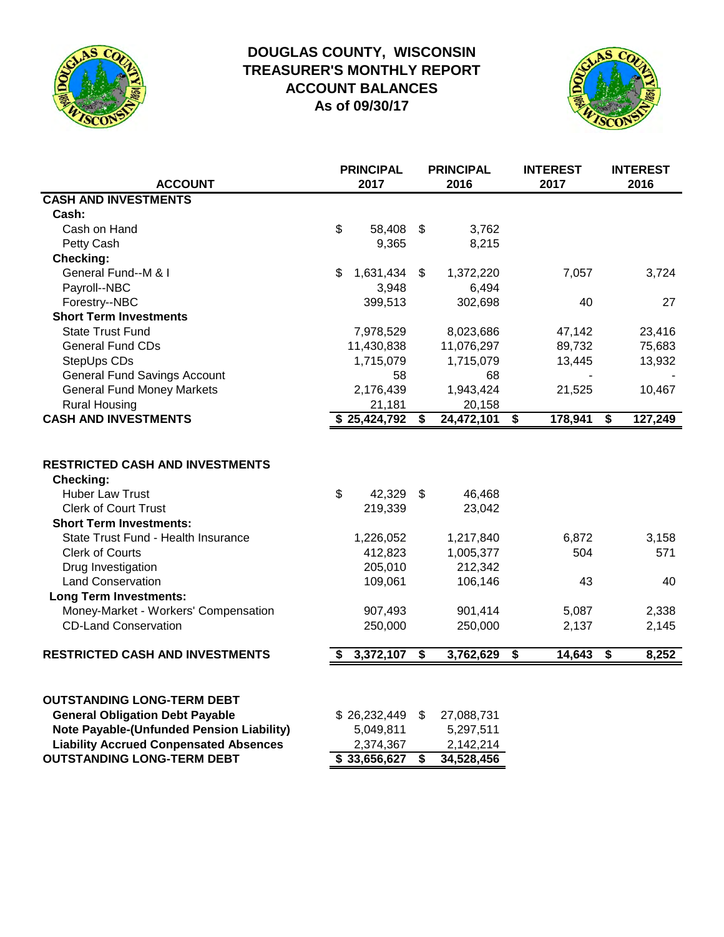

# **DOUGLAS COUNTY, WISCONSIN TREASURER'S MONTHLY REPORT ACCOUNT BALANCES As of 09/30/17**



| <b>ACCOUNT</b>                                                                                                                                                                                                                                                                                                                                                                   | <b>PRINCIPAL</b><br>2017                                                                       |                                      | <b>PRINCIPAL</b><br>2016                                                               | <b>INTEREST</b><br>2017                |                                      | <b>INTEREST</b><br>2016              |
|----------------------------------------------------------------------------------------------------------------------------------------------------------------------------------------------------------------------------------------------------------------------------------------------------------------------------------------------------------------------------------|------------------------------------------------------------------------------------------------|--------------------------------------|----------------------------------------------------------------------------------------|----------------------------------------|--------------------------------------|--------------------------------------|
| <b>CASH AND INVESTMENTS</b>                                                                                                                                                                                                                                                                                                                                                      |                                                                                                |                                      |                                                                                        |                                        |                                      |                                      |
| Cash:                                                                                                                                                                                                                                                                                                                                                                            |                                                                                                |                                      |                                                                                        |                                        |                                      |                                      |
| Cash on Hand                                                                                                                                                                                                                                                                                                                                                                     | \$<br>58,408                                                                                   | \$                                   | 3,762                                                                                  |                                        |                                      |                                      |
| Petty Cash                                                                                                                                                                                                                                                                                                                                                                       | 9,365                                                                                          |                                      | 8,215                                                                                  |                                        |                                      |                                      |
| Checking:                                                                                                                                                                                                                                                                                                                                                                        |                                                                                                |                                      |                                                                                        |                                        |                                      |                                      |
| General Fund--M & I                                                                                                                                                                                                                                                                                                                                                              | \$<br>1,631,434                                                                                | \$                                   | 1,372,220                                                                              | 7,057                                  |                                      | 3,724                                |
| Payroll--NBC                                                                                                                                                                                                                                                                                                                                                                     | 3,948                                                                                          |                                      | 6,494                                                                                  |                                        |                                      |                                      |
| Forestry--NBC                                                                                                                                                                                                                                                                                                                                                                    | 399,513                                                                                        |                                      | 302,698                                                                                | 40                                     |                                      | 27                                   |
| <b>Short Term Investments</b>                                                                                                                                                                                                                                                                                                                                                    |                                                                                                |                                      |                                                                                        |                                        |                                      |                                      |
| <b>State Trust Fund</b>                                                                                                                                                                                                                                                                                                                                                          | 7,978,529                                                                                      |                                      | 8,023,686                                                                              | 47,142                                 |                                      | 23,416                               |
| <b>General Fund CDs</b>                                                                                                                                                                                                                                                                                                                                                          | 11,430,838                                                                                     |                                      | 11,076,297                                                                             | 89,732                                 |                                      | 75,683                               |
| StepUps CDs                                                                                                                                                                                                                                                                                                                                                                      | 1,715,079                                                                                      |                                      | 1,715,079                                                                              | 13,445                                 |                                      | 13,932                               |
| <b>General Fund Savings Account</b>                                                                                                                                                                                                                                                                                                                                              | 58                                                                                             |                                      | 68                                                                                     |                                        |                                      |                                      |
| <b>General Fund Money Markets</b>                                                                                                                                                                                                                                                                                                                                                | 2,176,439                                                                                      |                                      | 1,943,424                                                                              | 21,525                                 |                                      | 10,467                               |
| <b>Rural Housing</b>                                                                                                                                                                                                                                                                                                                                                             | 21,181                                                                                         |                                      | 20,158                                                                                 |                                        |                                      |                                      |
| <b>CASH AND INVESTMENTS</b>                                                                                                                                                                                                                                                                                                                                                      | \$25,424,792                                                                                   | $\overline{\mathbf{s}}$              | 24,472,101                                                                             | $\overline{\boldsymbol{s}}$<br>178,941 | \$                                   | 127,249                              |
| <b>RESTRICTED CASH AND INVESTMENTS</b><br><b>Checking:</b><br><b>Huber Law Trust</b><br><b>Clerk of Court Trust</b><br><b>Short Term Investments:</b><br>State Trust Fund - Health Insurance<br><b>Clerk of Courts</b><br>Drug Investigation<br><b>Land Conservation</b><br><b>Long Term Investments:</b><br>Money-Market - Workers' Compensation<br><b>CD-Land Conservation</b> | \$<br>42,329 \$<br>219,339<br>1,226,052<br>412,823<br>205,010<br>109,061<br>907,493<br>250,000 |                                      | 46,468<br>23,042<br>1,217,840<br>1,005,377<br>212,342<br>106,146<br>901,414<br>250,000 | 6,872<br>504<br>43<br>5,087<br>2,137   |                                      | 3,158<br>571<br>40<br>2,338<br>2,145 |
| <b>RESTRICTED CASH AND INVESTMENTS</b>                                                                                                                                                                                                                                                                                                                                           | 3,372,107                                                                                      | $\overline{\boldsymbol{\mathsf{s}}}$ | 3,762,629                                                                              | $\overline{\boldsymbol{s}}$<br>14,643  | $\overline{\boldsymbol{\mathsf{s}}}$ | 8,252                                |
| <b>OUTSTANDING LONG-TERM DEBT</b><br><b>General Obligation Debt Payable</b><br><b>Note Payable-(Unfunded Pension Liability)</b><br><b>Liability Accrued Conpensated Absences</b><br><b>OUTSTANDING LONG-TERM DEBT</b>                                                                                                                                                            | \$26,232,449<br>5,049,811<br>2,374,367<br>\$33,656,627                                         | \$<br>\$                             | 27,088,731<br>5,297,511<br>2,142,214<br>34,528,456                                     |                                        |                                      |                                      |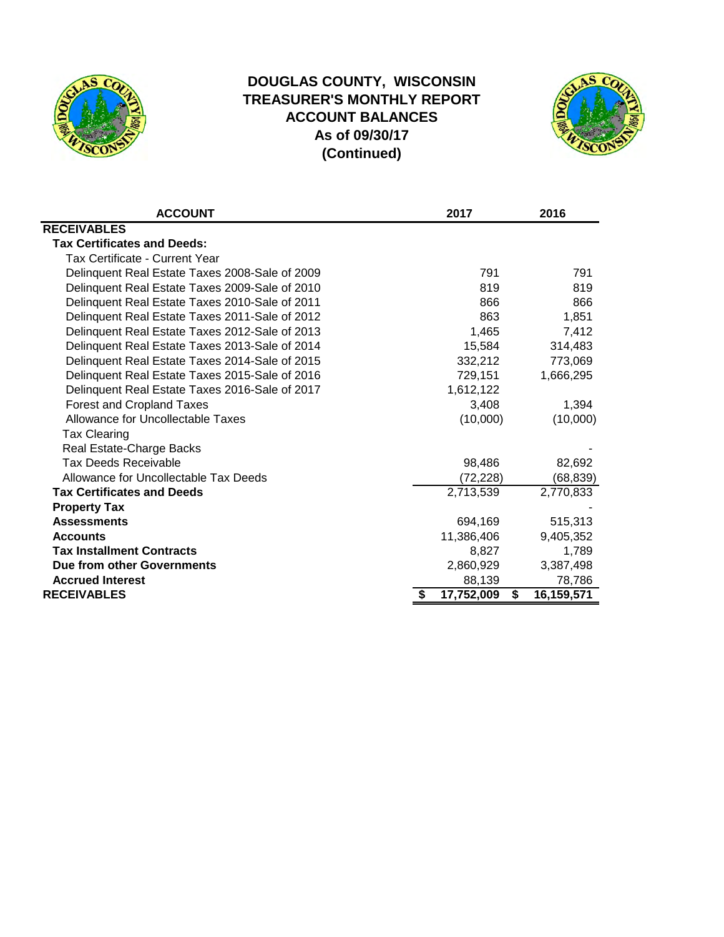

# **DOUGLAS COUNTY, WISCONSIN TREASURER'S MONTHLY REPORT ACCOUNT BALANCES As of 09/30/17 (Continued)**



| <b>ACCOUNT</b>                                 | 2017             |   | 2016       |
|------------------------------------------------|------------------|---|------------|
| <b>RECEIVABLES</b>                             |                  |   |            |
| <b>Tax Certificates and Deeds:</b>             |                  |   |            |
| <b>Tax Certificate - Current Year</b>          |                  |   |            |
| Delinquent Real Estate Taxes 2008-Sale of 2009 | 791              |   | 791        |
| Delinquent Real Estate Taxes 2009-Sale of 2010 | 819              |   | 819        |
| Delinquent Real Estate Taxes 2010-Sale of 2011 | 866              |   | 866        |
| Delinquent Real Estate Taxes 2011-Sale of 2012 | 863              |   | 1,851      |
| Delinquent Real Estate Taxes 2012-Sale of 2013 | 1,465            |   | 7,412      |
| Delinquent Real Estate Taxes 2013-Sale of 2014 | 15,584           |   | 314,483    |
| Delinquent Real Estate Taxes 2014-Sale of 2015 | 332,212          |   | 773,069    |
| Delinquent Real Estate Taxes 2015-Sale of 2016 | 729,151          |   | 1,666,295  |
| Delinquent Real Estate Taxes 2016-Sale of 2017 | 1,612,122        |   |            |
| Forest and Cropland Taxes                      | 3,408            |   | 1,394      |
| Allowance for Uncollectable Taxes              | (10,000)         |   | (10,000)   |
| <b>Tax Clearing</b>                            |                  |   |            |
| Real Estate-Charge Backs                       |                  |   |            |
| <b>Tax Deeds Receivable</b>                    | 98,486           |   | 82,692     |
| Allowance for Uncollectable Tax Deeds          | (72, 228)        |   | (68, 839)  |
| <b>Tax Certificates and Deeds</b>              | 2,713,539        |   | 2,770,833  |
| <b>Property Tax</b>                            |                  |   |            |
| <b>Assessments</b>                             | 694,169          |   | 515,313    |
| <b>Accounts</b>                                | 11,386,406       |   | 9,405,352  |
| <b>Tax Installment Contracts</b>               | 8,827            |   | 1,789      |
| Due from other Governments                     | 2,860,929        |   | 3,387,498  |
| <b>Accrued Interest</b>                        | 88,139           |   | 78,786     |
| <b>RECEIVABLES</b>                             | \$<br>17,752,009 | S | 16,159,571 |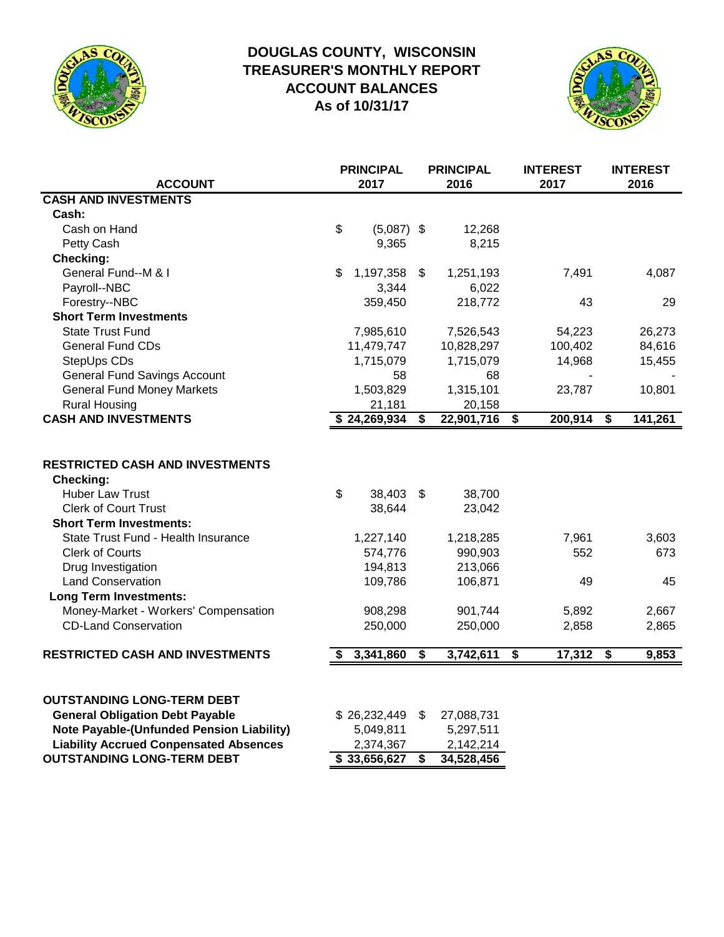

# **DOUGLAS COUNTY, WISCONSIN TREASURER'S MONTHLY REPORT ACCOUNT BALANCES As of 10/31/17**



| <b>ACCOUNT</b>                                                                                                                                                                                                                                                                                                                                                            |                           | <b>PRINCIPAL</b><br>2017                                                             |          | <b>PRINCIPAL</b><br>2016                                                             |                             | <b>INTEREST</b><br>2017              | <b>INTEREST</b><br>2016              |
|---------------------------------------------------------------------------------------------------------------------------------------------------------------------------------------------------------------------------------------------------------------------------------------------------------------------------------------------------------------------------|---------------------------|--------------------------------------------------------------------------------------|----------|--------------------------------------------------------------------------------------|-----------------------------|--------------------------------------|--------------------------------------|
| <b>CASH AND INVESTMENTS</b>                                                                                                                                                                                                                                                                                                                                               |                           |                                                                                      |          |                                                                                      |                             |                                      |                                      |
| Cash:                                                                                                                                                                                                                                                                                                                                                                     |                           |                                                                                      |          |                                                                                      |                             |                                      |                                      |
| Cash on Hand                                                                                                                                                                                                                                                                                                                                                              | $\boldsymbol{\mathsf{S}}$ | $(5,087)$ \$                                                                         |          | 12,268                                                                               |                             |                                      |                                      |
| Petty Cash                                                                                                                                                                                                                                                                                                                                                                |                           | 9,365                                                                                |          | 8,215                                                                                |                             |                                      |                                      |
| Checking:                                                                                                                                                                                                                                                                                                                                                                 |                           |                                                                                      |          |                                                                                      |                             |                                      |                                      |
| General Fund--M & I                                                                                                                                                                                                                                                                                                                                                       | \$                        | 1,197,358                                                                            | \$       | 1,251,193                                                                            |                             | 7,491                                | 4,087                                |
| Payroll--NBC                                                                                                                                                                                                                                                                                                                                                              |                           | 3,344                                                                                |          | 6,022                                                                                |                             |                                      |                                      |
| Forestry--NBC                                                                                                                                                                                                                                                                                                                                                             |                           | 359,450                                                                              |          | 218,772                                                                              |                             | 43                                   | 29                                   |
| <b>Short Term Investments</b>                                                                                                                                                                                                                                                                                                                                             |                           |                                                                                      |          |                                                                                      |                             |                                      |                                      |
| <b>State Trust Fund</b>                                                                                                                                                                                                                                                                                                                                                   |                           | 7,985,610                                                                            |          | 7,526,543                                                                            |                             | 54,223                               | 26,273                               |
| <b>General Fund CDs</b>                                                                                                                                                                                                                                                                                                                                                   |                           | 11,479,747                                                                           |          | 10,828,297                                                                           |                             | 100,402                              | 84,616                               |
| StepUps CDs                                                                                                                                                                                                                                                                                                                                                               |                           | 1,715,079                                                                            |          | 1,715,079                                                                            |                             | 14,968                               | 15,455                               |
| <b>General Fund Savings Account</b>                                                                                                                                                                                                                                                                                                                                       |                           | 58                                                                                   |          | 68                                                                                   |                             |                                      |                                      |
| <b>General Fund Money Markets</b>                                                                                                                                                                                                                                                                                                                                         |                           | 1,503,829                                                                            |          | 1,315,101                                                                            |                             | 23,787                               | 10,801                               |
| <b>Rural Housing</b>                                                                                                                                                                                                                                                                                                                                                      |                           | 21,181                                                                               |          | 20,158                                                                               |                             |                                      |                                      |
| <b>CASH AND INVESTMENTS</b>                                                                                                                                                                                                                                                                                                                                               |                           | \$24,269,934                                                                         | \$       | 22,901,716                                                                           | $\overline{\boldsymbol{s}}$ | 200,914                              | \$<br>141,261                        |
| <b>RESTRICTED CASH AND INVESTMENTS</b><br>Checking:<br><b>Huber Law Trust</b><br><b>Clerk of Court Trust</b><br><b>Short Term Investments:</b><br>State Trust Fund - Health Insurance<br><b>Clerk of Courts</b><br>Drug Investigation<br><b>Land Conservation</b><br><b>Long Term Investments:</b><br>Money-Market - Workers' Compensation<br><b>CD-Land Conservation</b> | $\boldsymbol{\mathsf{S}}$ | 38,403<br>38,644<br>1,227,140<br>574,776<br>194,813<br>109,786<br>908,298<br>250,000 | \$       | 38,700<br>23,042<br>1,218,285<br>990,903<br>213,066<br>106,871<br>901,744<br>250,000 |                             | 7,961<br>552<br>49<br>5,892<br>2,858 | 3,603<br>673<br>45<br>2,667<br>2,865 |
| <b>RESTRICTED CASH AND INVESTMENTS</b>                                                                                                                                                                                                                                                                                                                                    |                           | 3,341,860                                                                            | \$       | 3,742,611                                                                            | \$                          | 17,312                               | \$<br>9,853                          |
| <b>OUTSTANDING LONG-TERM DEBT</b><br><b>General Obligation Debt Payable</b><br><b>Note Payable-(Unfunded Pension Liability)</b><br><b>Liability Accrued Conpensated Absences</b><br><b>OUTSTANDING LONG-TERM DEBT</b>                                                                                                                                                     |                           | \$26,232,449<br>5,049,811<br>2,374,367<br>$\overline{\$}33,656,627$                  | \$<br>\$ | 27,088,731<br>5,297,511<br>2,142,214<br>34,528,456                                   |                             |                                      |                                      |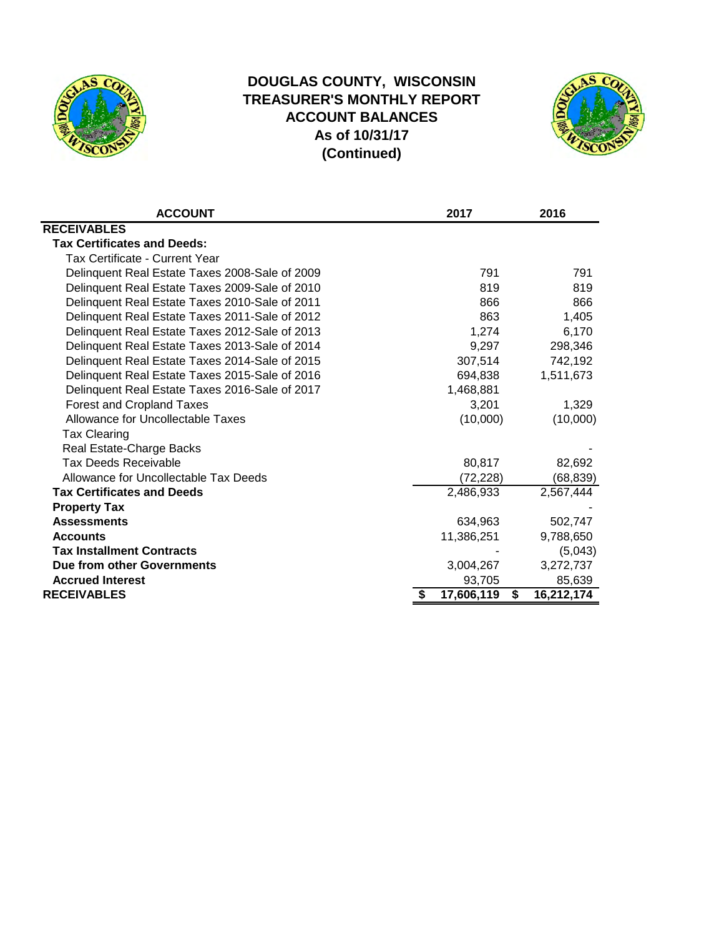

# **DOUGLAS COUNTY, WISCONSIN TREASURER'S MONTHLY REPORT ACCOUNT BALANCES As of 10/31/17 (Continued)**



| <b>ACCOUNT</b>                                 | 2017       | 2016             |
|------------------------------------------------|------------|------------------|
| <b>RECEIVABLES</b>                             |            |                  |
| <b>Tax Certificates and Deeds:</b>             |            |                  |
| Tax Certificate - Current Year                 |            |                  |
| Delinquent Real Estate Taxes 2008-Sale of 2009 | 791        | 791              |
| Delinquent Real Estate Taxes 2009-Sale of 2010 | 819        | 819              |
| Delinquent Real Estate Taxes 2010-Sale of 2011 | 866        | 866              |
| Delinquent Real Estate Taxes 2011-Sale of 2012 | 863        | 1,405            |
| Delinquent Real Estate Taxes 2012-Sale of 2013 | 1,274      | 6,170            |
| Delinquent Real Estate Taxes 2013-Sale of 2014 | 9,297      | 298,346          |
| Delinquent Real Estate Taxes 2014-Sale of 2015 | 307,514    | 742,192          |
| Delinquent Real Estate Taxes 2015-Sale of 2016 | 694,838    | 1,511,673        |
| Delinquent Real Estate Taxes 2016-Sale of 2017 | 1,468,881  |                  |
| <b>Forest and Cropland Taxes</b>               | 3,201      | 1,329            |
| Allowance for Uncollectable Taxes              | (10,000)   | (10,000)         |
| <b>Tax Clearing</b>                            |            |                  |
| Real Estate-Charge Backs                       |            |                  |
| <b>Tax Deeds Receivable</b>                    | 80,817     | 82,692           |
| Allowance for Uncollectable Tax Deeds          | (72, 228)  | (68, 839)        |
| <b>Tax Certificates and Deeds</b>              | 2,486,933  | 2,567,444        |
| <b>Property Tax</b>                            |            |                  |
| <b>Assessments</b>                             | 634,963    | 502,747          |
| <b>Accounts</b>                                | 11,386,251 | 9,788,650        |
| <b>Tax Installment Contracts</b>               |            | (5,043)          |
| Due from other Governments                     | 3,004,267  | 3,272,737        |
| <b>Accrued Interest</b>                        | 93,705     | 85,639           |
| <b>RECEIVABLES</b>                             | 17,606,119 | \$<br>16,212,174 |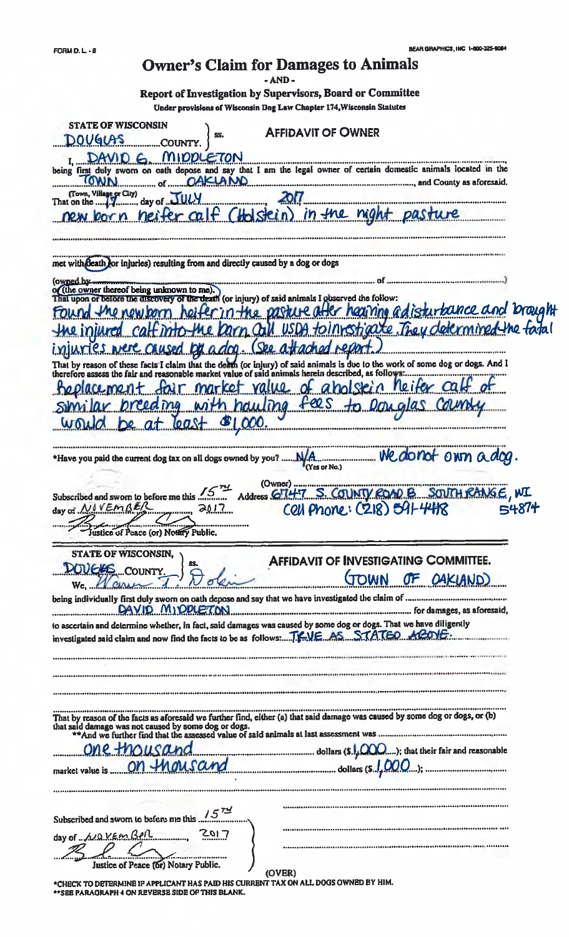# **Owner's Claim for Damages to Animals**

Report of Investigation by Supervisors, Board or Committee

-<br>Tinder arovisions of Wisconsin Dog Law Chapter 174. Wisconsin Statutes

| Angel blasban at ia pennsni nai rus e mahen tuòli mennan                                                                                                                                                                          |
|-----------------------------------------------------------------------------------------------------------------------------------------------------------------------------------------------------------------------------------|
| <b>STATE OF WISCONSIN</b><br><b>AFFIDAVIT OF OWNER</b><br>SS.<br><u>DOVGLAS</u><br>COUNTY                                                                                                                                         |
| LETON                                                                                                                                                                                                                             |
| being first duly sworn on oath depose and say that I am the legal owner of certain domestic animals located in the                                                                                                                |
|                                                                                                                                                                                                                                   |
| (Holstein) in the night pasti<br>calF                                                                                                                                                                                             |
|                                                                                                                                                                                                                                   |
| met with death for injuries) resulting from and directly caused by a dog or dogs                                                                                                                                                  |
| owned b)                                                                                                                                                                                                                          |
| the owner thereof being unknown to me)<br>discovery of the death (or injury) of said animals I goserved the follow:                                                                                                               |
| pasture after hearing adisturbance and Drought                                                                                                                                                                                    |
| n Call USDA tointestigate They determined the fatal                                                                                                                                                                               |
| used by adop<br>See attached report                                                                                                                                                                                               |
| That by reason of these facts I claim that the death (or injury) of said animals is due to the work of some dog or dogs. And I<br>therefore assess the fair and reasonable market value of said animals herein described, as foll |
| <i>reiter</i> calf of<br><u>- value of aholstein</u>                                                                                                                                                                              |
| hauling fees                                                                                                                                                                                                                      |
| \$1,000.<br>00s                                                                                                                                                                                                                   |
|                                                                                                                                                                                                                                   |
| (Yes or No.)                                                                                                                                                                                                                      |
| (Owner)                                                                                                                                                                                                                           |
| Address GT47 S. COUNTY ROAD B SOUTH RANGE, WI<br>Subscribed and sworn to before me this<br>Cell Phone: (218) 591-4418<br>day of NOVEMBER<br><b>SUTT</b><br>Justice of Peace (or) Notary Public.                                   |
|                                                                                                                                                                                                                                   |
| <b>STATE OF WISCONSIN,</b><br><b>AFFIDAVIT OF INVESTIGATING COMMITTEE.</b>                                                                                                                                                        |
| <b>DOVERS</b> COUNTY<br>GOWN<br>OF OAKLAND)                                                                                                                                                                                       |
| We Well                                                                                                                                                                                                                           |
| DAVID MIDDLETON                                                                                                                                                                                                                   |
| to ascertain and determine whether, in fact, said damages was caused by some dog or dogs. That we have diligently                                                                                                                 |
| investigated said claim and now find the facts to be as follows: TRUE AS STATED AROVE.                                                                                                                                            |
|                                                                                                                                                                                                                                   |
|                                                                                                                                                                                                                                   |
|                                                                                                                                                                                                                                   |
|                                                                                                                                                                                                                                   |
| That by reason of the facts as aforesaid we further find, either (a) that said damage was caused by some dog or dogs, or (b)<br>that said damage was not caused by some dog or dogs.                                              |
| $One+MOLSAnd$ dollars $(s.l, QOO);$ that their fair and reasonable                                                                                                                                                                |
| on thousand dollars (s.1,000);<br>market value is                                                                                                                                                                                 |
|                                                                                                                                                                                                                                   |
|                                                                                                                                                                                                                                   |
| Subscribed and swom to before mo this $157$<br>2017                                                                                                                                                                               |
|                                                                                                                                                                                                                                   |
| day of  A/Q VEM BPIL                                                                                                                                                                                                              |
| Justice of Peace (or) Notary Public.<br>(OVER)                                                                                                                                                                                    |

"CHECK TO DETERMINE IF APPLICANT HAS PAID HIS CURRENT TAX ON ALL DOGS OWNED BY HIM.<br>"SEE PARAGRAPH 4 ON REVERSE SIDE OF THIS BLANK.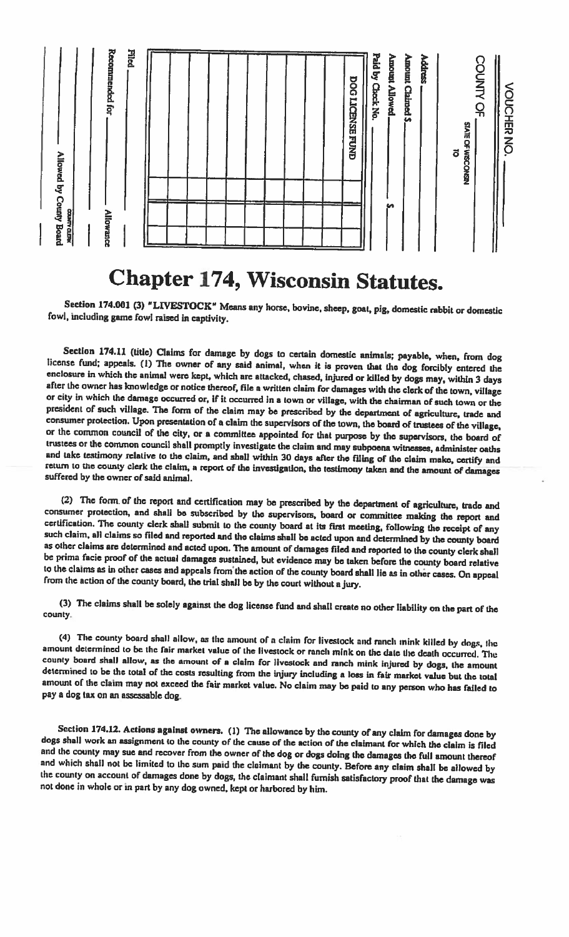

# **Chapter 174, Wisconsin Statutes.**

Section 174.001 (3) "LIVESTOCK" Means any horse, bovine, sheep, goat, pig, domestic rabbit or domestic fowl, including game fowl raised in captivity.

Section 174.11 (title) Claims for damage by dogs to certain domestic animals; payable, when, from dog license fund; appeals. (1) The owner of any said animal, when it is proven that the dog forcibly entered the enclosure in which the animal were kept, which are attacked, chased, injured or killed by dogs may, within 3 days after the owner has knowledge or notice thereof, file a written claim for damages with the clerk of the town, village or city in which the damage occurred or, if it occurred in a town or village, with the chairman of such town or the president of such village. The form of the claim may be prescribed by the department of agriculture, trade and consumer protection. Upon presentation of a claim the supervisors of the town, the board of trustees of the village, or the common council of the city, or a committee appointed for that purpose by the supervisors, the board of trustees or the common council shall promptly investigate the claim and may subpoena witnesses, administer oaths and take testimony relative to the claim, and shall within 30 days after the filing of the claim make, certify and return to the county clerk the claim, a report of the investigation, the testimony taken and the amount of damages suffered by the owner of said animal.

(2) The form of the report and certification may be prescribed by the department of agriculture, trade and consumer protection, and shall be subscribed by the supervisors, board or committee making the report and certification. The county clerk shall submit to the county board at its first meeting, following the receipt of any such claim, all claims so filed and reported and the claims shall be acted upon and determined by the county board as other claims are determined and acted upon. The amount of damages filed and reported to the county clerk shall be prima facie proof of the actual damages sustained, but evidence may be taken before the county board relative to the claims as in other cases and appeals from the action of the county board shall lie as in other cases. On appeal from the action of the county board, the trial shall be by the court without a jury.

(3) The claims shall be solely against the dog license fund and shall create no other liability on the part of the county.

(4) The county board shall allow, as the amount of a claim for livestock and ranch mink killed by dogs, the amount determined to be the fair market value of the livestock or ranch mink on the date the death occurred. The county board shall allow, as the amount of a claim for livestock and ranch mink injured by dogs, the amount determined to be the total of the costs resulting from the injury including a loss in fair market value but the total amount of the claim may not exceed the fair market value. No claim may be paid to any person who has failed to pay a dog tax on an assessable dog.

Section 174.12. Actions against owners. (1) The allowance by the county of any claim for damages done by dogs shall work an assignment to the county of the cause of the action of the claimant for which the claim is filed and the county may sue and recover from the owner of the dog or dogs doing the damages the full amount thereof and which shall not be limited to the sum paid the claimant by the county. Before any claim shall be allowed by the county on account of damages done by dogs, the claimant shall furnish satisfactory proof that the damage was not done in whole or in part by any dog owned, kept or harbored by him.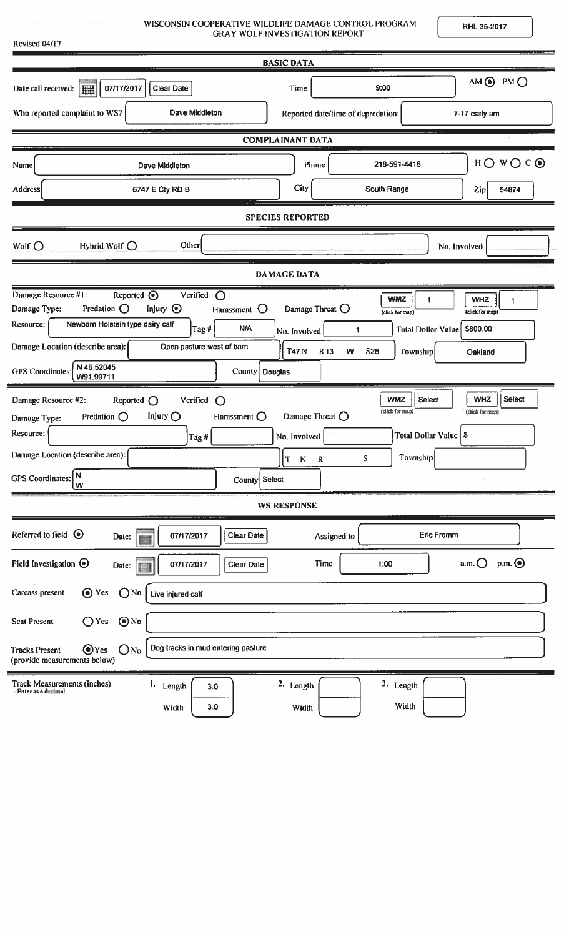| WISCONSIN COOPERATIVE WILDLIFE DAMAGE CONTROL PROGRAM |
|-------------------------------------------------------|
| <b>GRAY WOLF INVESTIGATION REPORT</b>                 |

Revised 04/17

RHL 35-2017

|                                                                                                                                                                                                                                                                                                                                                                           | <b>BASIC DATA</b>                                                                                                                                                                                                                                                                        |
|---------------------------------------------------------------------------------------------------------------------------------------------------------------------------------------------------------------------------------------------------------------------------------------------------------------------------------------------------------------------------|------------------------------------------------------------------------------------------------------------------------------------------------------------------------------------------------------------------------------------------------------------------------------------------|
| 07/17/2017<br>Date call received:  <br><b>Clear Date</b>                                                                                                                                                                                                                                                                                                                  | AM ⓒ PM O<br>9:00<br>Time                                                                                                                                                                                                                                                                |
| Who reported complaint to WS?<br>Dave Middleton                                                                                                                                                                                                                                                                                                                           | Reported date/time of depredation:<br>7-17 early am                                                                                                                                                                                                                                      |
|                                                                                                                                                                                                                                                                                                                                                                           | <b>COMPLAINANT DATA</b>                                                                                                                                                                                                                                                                  |
| Dave Middleton<br>Name                                                                                                                                                                                                                                                                                                                                                    | $H$ $\bigcirc$ $W$ $\bigcirc$ $C$ $\bigcirc$<br>218-591-4418<br>Phone                                                                                                                                                                                                                    |
| Address<br>6747 E Cty RD B                                                                                                                                                                                                                                                                                                                                                | City<br>South Range<br>54874<br>Zip                                                                                                                                                                                                                                                      |
|                                                                                                                                                                                                                                                                                                                                                                           | <b>SPECIES REPORTED</b>                                                                                                                                                                                                                                                                  |
| Other<br>Hybrid Wolf $\bigcirc$<br>Wolf $\bigcirc$                                                                                                                                                                                                                                                                                                                        | No. Involved                                                                                                                                                                                                                                                                             |
|                                                                                                                                                                                                                                                                                                                                                                           | <b>DAMAGE DATA</b>                                                                                                                                                                                                                                                                       |
| Damage Resource #1:<br>Reported $\odot$<br>Verified<br>$\circ$<br>Predation $\bigcirc$<br>Injury $\odot$<br>Damage Type:<br>Harassment $\bigcirc$<br>Newborn Holstein type dairy calf<br>Resource:<br><b>N/A</b><br>$\left  \text{Tag} \# \right $<br>Damage Location (describe area):<br>Open pasture west of barn<br>N 46.52045<br><b>GPS</b> Coordinates:<br>W91.99711 | <b>WMZ</b><br><b>WHZ</b><br>$\blacksquare$<br>$\mathbf{1}$<br>Damage Threat $\bigcirc$<br>(click for map)<br>(click for map)<br>\$800,00<br><b>Total Dollar Value</b><br>1<br>No. Involved<br><b>T47N</b><br>R <sub>13</sub><br>W<br><b>S28</b><br>Township<br>Oakland<br>County Douglas |
| Verified<br>Damage Resource #2:<br>Reported $\bigcirc$<br>$\bigcirc$<br>Predation $\bigcirc$<br>Injury $\bigcirc$<br>Harassment $\bigcirc$<br>Damage Type:<br>Resource:<br>Tag#<br>Damage Location (describe area):<br> N<br><b>GPS</b> Coordinates:<br>County Select<br>w                                                                                                | <b>WHZ</b><br>Select<br>Select<br><b>WMZ</b><br>(click for map)<br>(click for map)<br>Damage Threat $\bigcirc$<br>Total Dollar Value   \$<br>No. Involved<br>Township<br>S<br>T<br>${\bf N}$<br>$\mathbf R$                                                                              |
|                                                                                                                                                                                                                                                                                                                                                                           | <b>WS RESPONSE</b>                                                                                                                                                                                                                                                                       |
| Referred to field $\odot$<br><b>Clear Date</b><br>07/17/2017<br>Date:<br>圖<br>Field Investigation $\odot$<br>07/17/2017<br><b>Clear Date</b><br>Date:                                                                                                                                                                                                                     | <b>Eric Fromm</b><br>Assigned to<br>$p.m.$ $\odot$<br>$a.m.$ $\bigcirc$<br>Time<br>1:00                                                                                                                                                                                                  |
| ⊙ Yes<br>Carcass present<br>$\bigcap$ No<br>Live injured calf                                                                                                                                                                                                                                                                                                             |                                                                                                                                                                                                                                                                                          |
| $\bigcirc$ No<br>$O$ Yes<br><b>Scat Present</b><br>Dog tracks in mud entering pasture<br>$\bigcirc$ Yes<br>$O$ No<br><b>Tracks Present</b><br>(provide measurements below)                                                                                                                                                                                                |                                                                                                                                                                                                                                                                                          |
| <b>Track Measurements (inches)</b><br>1. Length<br>3.0<br>Enter as a declinal<br>Width<br>3.0                                                                                                                                                                                                                                                                             | 2. Length<br>3. Length<br>Width<br>Width                                                                                                                                                                                                                                                 |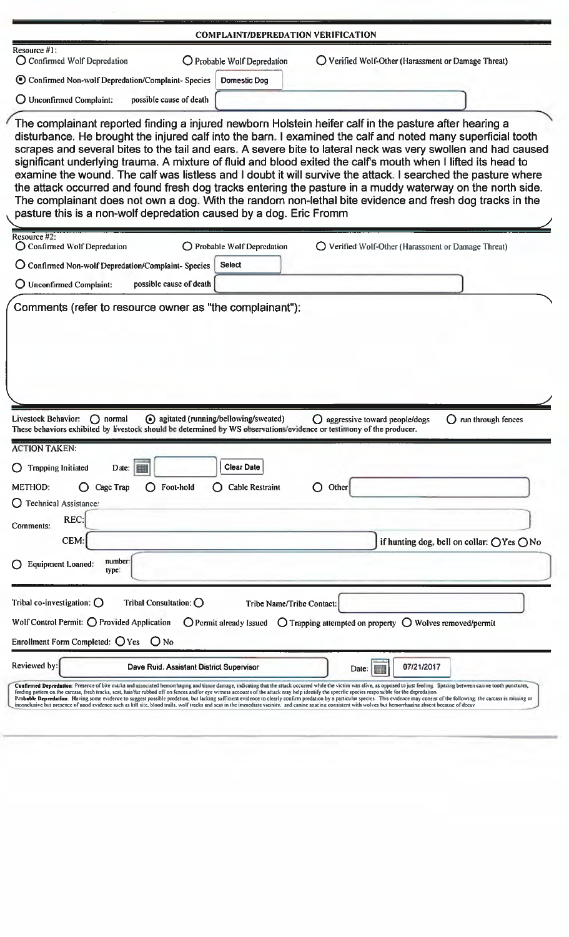|                                                                                          |                                                                         | <b>COMPLAINT/DEPREDATION VERIFICATION</b>                                                                                                                     |                                                                                                                                                                                                                                                                                                                                                                                                                                                                                                                                                                                                                                                                                                                                                                                                     |
|------------------------------------------------------------------------------------------|-------------------------------------------------------------------------|---------------------------------------------------------------------------------------------------------------------------------------------------------------|-----------------------------------------------------------------------------------------------------------------------------------------------------------------------------------------------------------------------------------------------------------------------------------------------------------------------------------------------------------------------------------------------------------------------------------------------------------------------------------------------------------------------------------------------------------------------------------------------------------------------------------------------------------------------------------------------------------------------------------------------------------------------------------------------------|
| Resource $#1$ :<br>O Confirmed Wolf Depredation                                          |                                                                         | O Probable Wolf Depredation                                                                                                                                   | O Verified Wolf-Other (Harassment or Damage Threat)                                                                                                                                                                                                                                                                                                                                                                                                                                                                                                                                                                                                                                                                                                                                                 |
|                                                                                          | ⊙ Confirmed Non-wolf Depredation/Complaint- Species                     | Domestic Dog                                                                                                                                                  |                                                                                                                                                                                                                                                                                                                                                                                                                                                                                                                                                                                                                                                                                                                                                                                                     |
| $\bigcirc$ Unconfirmed Complaint:                                                        | possible cause of death                                                 |                                                                                                                                                               |                                                                                                                                                                                                                                                                                                                                                                                                                                                                                                                                                                                                                                                                                                                                                                                                     |
|                                                                                          |                                                                         |                                                                                                                                                               |                                                                                                                                                                                                                                                                                                                                                                                                                                                                                                                                                                                                                                                                                                                                                                                                     |
|                                                                                          |                                                                         | pasture this is a non-wolf depredation caused by a dog. Eric Fromm                                                                                            | The complainant reported finding a injured newborn Holstein heifer calf in the pasture after hearing a<br>disturbance. He brought the injured calf into the barn. I examined the calf and noted many superficial tooth<br>scrapes and several bites to the tail and ears. A severe bite to lateral neck was very swollen and had caused<br>significant underlying trauma. A mixture of fluid and blood exited the calf's mouth when I lifted its head to<br>examine the wound. The calf was listless and I doubt it will survive the attack. I searched the pasture where<br>the attack occurred and found fresh dog tracks entering the pasture in a muddy waterway on the north side.<br>The complainant does not own a dog. With the random non-lethal bite evidence and fresh dog tracks in the |
| Resource #2:<br>○ Confirmed Wolf Depredation                                             |                                                                         | O Probable Wolf Depredation                                                                                                                                   | O Verified Wolf-Other (Harassment or Damage Threat)                                                                                                                                                                                                                                                                                                                                                                                                                                                                                                                                                                                                                                                                                                                                                 |
|                                                                                          | O Confirmed Non-wolf Depredation/Complaint-Species                      | <b>Select</b>                                                                                                                                                 |                                                                                                                                                                                                                                                                                                                                                                                                                                                                                                                                                                                                                                                                                                                                                                                                     |
| O Unconfirmed Complaint:                                                                 | possible cause of death                                                 |                                                                                                                                                               |                                                                                                                                                                                                                                                                                                                                                                                                                                                                                                                                                                                                                                                                                                                                                                                                     |
|                                                                                          |                                                                         |                                                                                                                                                               |                                                                                                                                                                                                                                                                                                                                                                                                                                                                                                                                                                                                                                                                                                                                                                                                     |
|                                                                                          |                                                                         |                                                                                                                                                               |                                                                                                                                                                                                                                                                                                                                                                                                                                                                                                                                                                                                                                                                                                                                                                                                     |
|                                                                                          | normal                                                                  | agitated (running/bellowing/sweated)<br>These behaviors exhibited by livestock should be determined by WS observations/evidence or testimony of the producer. | $\bigcirc$ aggressive toward people/dogs<br>$\bigcirc$ run through fences                                                                                                                                                                                                                                                                                                                                                                                                                                                                                                                                                                                                                                                                                                                           |
|                                                                                          |                                                                         |                                                                                                                                                               |                                                                                                                                                                                                                                                                                                                                                                                                                                                                                                                                                                                                                                                                                                                                                                                                     |
| <b>Trapping Initiated</b>                                                                | E<br>Date:                                                              | <b>Clear Date</b>                                                                                                                                             |                                                                                                                                                                                                                                                                                                                                                                                                                                                                                                                                                                                                                                                                                                                                                                                                     |
|                                                                                          | Foot-hold<br>Cage Trap                                                  | <b>Cable Restraint</b>                                                                                                                                        | Other                                                                                                                                                                                                                                                                                                                                                                                                                                                                                                                                                                                                                                                                                                                                                                                               |
| <b>Technical Assistance:</b>                                                             |                                                                         |                                                                                                                                                               |                                                                                                                                                                                                                                                                                                                                                                                                                                                                                                                                                                                                                                                                                                                                                                                                     |
| Livestock Behavior:<br><b>ACTION TAKEN:</b><br><b>METHOD:</b><br>REC:<br>Comments:       |                                                                         |                                                                                                                                                               |                                                                                                                                                                                                                                                                                                                                                                                                                                                                                                                                                                                                                                                                                                                                                                                                     |
| CEM:                                                                                     |                                                                         |                                                                                                                                                               |                                                                                                                                                                                                                                                                                                                                                                                                                                                                                                                                                                                                                                                                                                                                                                                                     |
| <b>Equipment Loaned:</b>                                                                 | number<br>type:                                                         |                                                                                                                                                               |                                                                                                                                                                                                                                                                                                                                                                                                                                                                                                                                                                                                                                                                                                                                                                                                     |
|                                                                                          |                                                                         |                                                                                                                                                               |                                                                                                                                                                                                                                                                                                                                                                                                                                                                                                                                                                                                                                                                                                                                                                                                     |
|                                                                                          | Tribal Consultation: $\bigcirc$                                         | <b>Tribe Name/Tribe Contact:</b>                                                                                                                              | if hunting dog, bell on collar: ○ Yes ○ No                                                                                                                                                                                                                                                                                                                                                                                                                                                                                                                                                                                                                                                                                                                                                          |
|                                                                                          | Wolf Control Permit: $\bigcirc$ Provided Application<br>O <sub>No</sub> | O Permit already Issued                                                                                                                                       | $\bigcirc$ Trapping attempted on property $\bigcirc$ Wolves removed/permit                                                                                                                                                                                                                                                                                                                                                                                                                                                                                                                                                                                                                                                                                                                          |
| Tribal co-investigation: $\bigcirc$<br>Enrollment Form Completed: $QYes$<br>Reviewed by: |                                                                         | Dave Ruid, Assistant District Supervisor                                                                                                                      | 07/21/2017<br>Date:                                                                                                                                                                                                                                                                                                                                                                                                                                                                                                                                                                                                                                                                                                                                                                                 |
|                                                                                          |                                                                         |                                                                                                                                                               | Confirmed Depredation: Presence of bite marks and associated bemorrhaging and tissue damage, indicating that the attack occurred while the victim was alive, as opposed to just feeding. Spacing between canne tooth punctures<br>feeding pattern on the carcass, fresh tracks, scat, hair/fur rubbed off on fences and/or eye witness accounts of the attack may help identify the specific species responsible for the depredation.                                                                                                                                                                                                                                                                                                                                                               |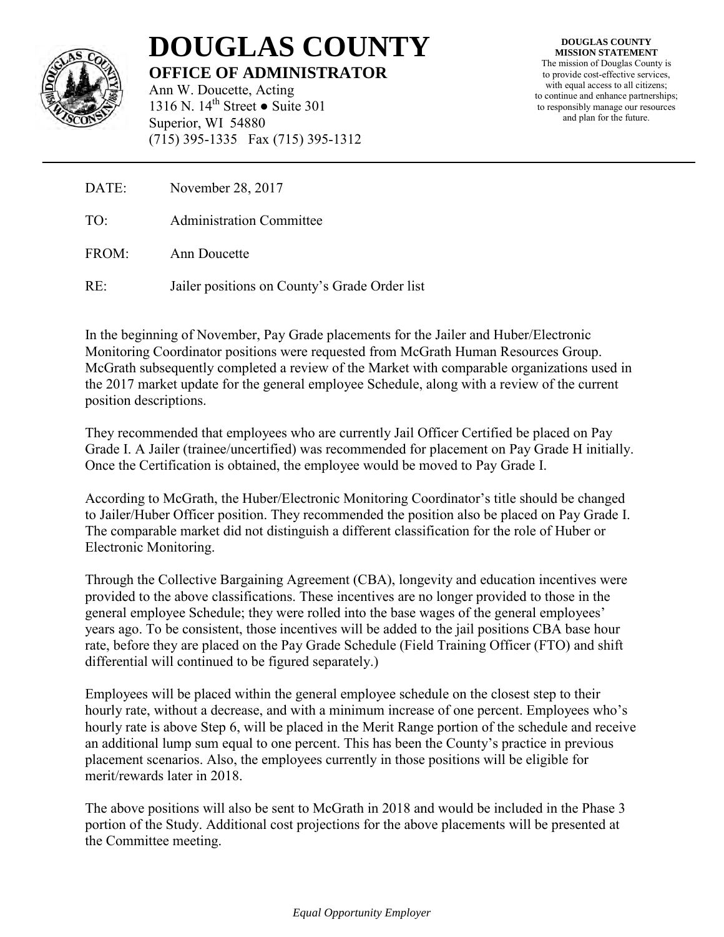

# **DOUGLAS COUNTY OFFICE OF ADMINISTRATOR**

Ann W. Doucette, Acting 1316 N. 14<sup>th</sup> Street ● Suite 301 Superior, WI 54880 (715) 395-1335 Fax (715) 395-1312

**DOUGLAS COUNTY MISSION STATEMENT** The mission of Douglas County is to provide cost-effective services, with equal access to all citizens; to continue and enhance partnerships; to responsibly manage our resources and plan for the future.

DATE: November 28, 2017

TO: Administration Committee

FROM: Ann Doucette

RE: Jailer positions on County's Grade Order list

In the beginning of November, Pay Grade placements for the Jailer and Huber/Electronic Monitoring Coordinator positions were requested from McGrath Human Resources Group. McGrath subsequently completed a review of the Market with comparable organizations used in the 2017 market update for the general employee Schedule, along with a review of the current position descriptions.

They recommended that employees who are currently Jail Officer Certified be placed on Pay Grade I. A Jailer (trainee/uncertified) was recommended for placement on Pay Grade H initially. Once the Certification is obtained, the employee would be moved to Pay Grade I.

According to McGrath, the Huber/Electronic Monitoring Coordinator's title should be changed to Jailer/Huber Officer position. They recommended the position also be placed on Pay Grade I. The comparable market did not distinguish a different classification for the role of Huber or Electronic Monitoring.

Through the Collective Bargaining Agreement (CBA), longevity and education incentives were provided to the above classifications. These incentives are no longer provided to those in the general employee Schedule; they were rolled into the base wages of the general employees' years ago. To be consistent, those incentives will be added to the jail positions CBA base hour rate, before they are placed on the Pay Grade Schedule (Field Training Officer (FTO) and shift differential will continued to be figured separately.)

Employees will be placed within the general employee schedule on the closest step to their hourly rate, without a decrease, and with a minimum increase of one percent. Employees who's hourly rate is above Step 6, will be placed in the Merit Range portion of the schedule and receive an additional lump sum equal to one percent. This has been the County's practice in previous placement scenarios. Also, the employees currently in those positions will be eligible for merit/rewards later in 2018.

The above positions will also be sent to McGrath in 2018 and would be included in the Phase 3 portion of the Study. Additional cost projections for the above placements will be presented at the Committee meeting.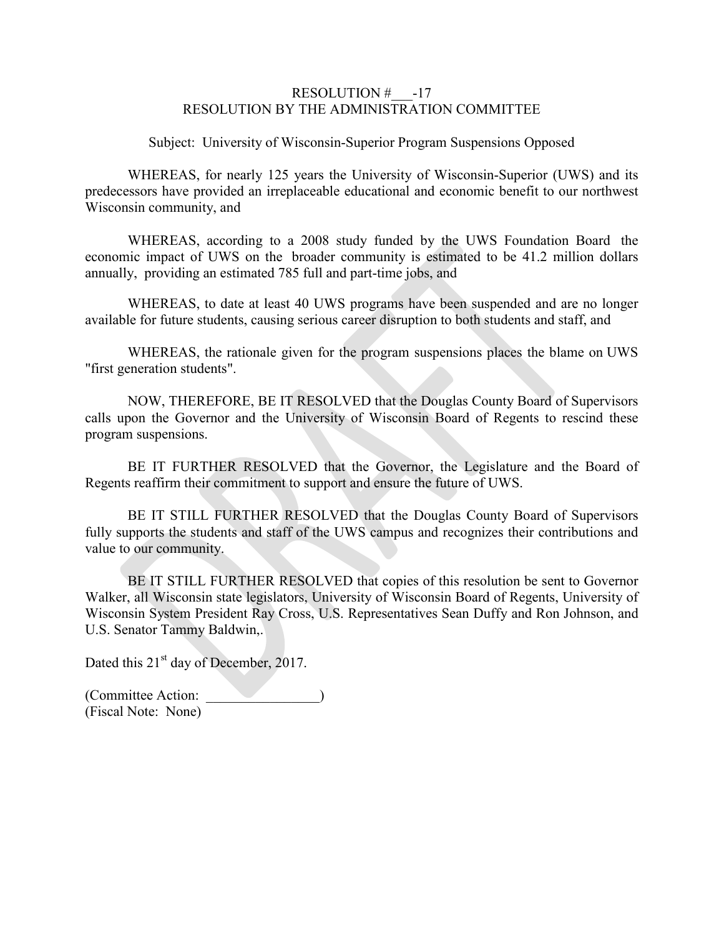#### RESOLUTION  $\#$  -17 RESOLUTION BY THE ADMINISTRATION COMMITTEE

Subject: University of Wisconsin-Superior Program Suspensions Opposed

WHEREAS, for nearly 125 years the University of Wisconsin-Superior (UWS) and its predecessors have provided an irreplaceable educational and economic benefit to our northwest Wisconsin community, and

WHEREAS, according to a 2008 study funded by the UWS Foundation Board the economic impact of UWS on the broader community is estimated to be 41.2 million dollars annually, providing an estimated 785 full and part-time jobs, and

WHEREAS, to date at least 40 UWS programs have been suspended and are no longer available for future students, causing serious career disruption to both students and staff, and

WHEREAS, the rationale given for the program suspensions places the blame on UWS "first generation students".

NOW, THEREFORE, BE IT RESOLVED that the Douglas County Board of Supervisors calls upon the Governor and the University of Wisconsin Board of Regents to rescind these program suspensions.

BE IT FURTHER RESOLVED that the Governor, the Legislature and the Board of Regents reaffirm their commitment to support and ensure the future of UWS.

BE IT STILL FURTHER RESOLVED that the Douglas County Board of Supervisors fully supports the students and staff of the UWS campus and recognizes their contributions and value to our community.

BE IT STILL FURTHER RESOLVED that copies of this resolution be sent to Governor Walker, all Wisconsin state legislators, University of Wisconsin Board of Regents, University of Wisconsin System President Ray Cross, U.S. Representatives Sean Duffy and Ron Johnson, and U.S. Senator Tammy Baldwin,.

Dated this 21<sup>st</sup> day of December, 2017.

(Committee Action: \_\_\_\_\_\_\_\_\_\_\_\_\_\_\_\_) (Fiscal Note: None)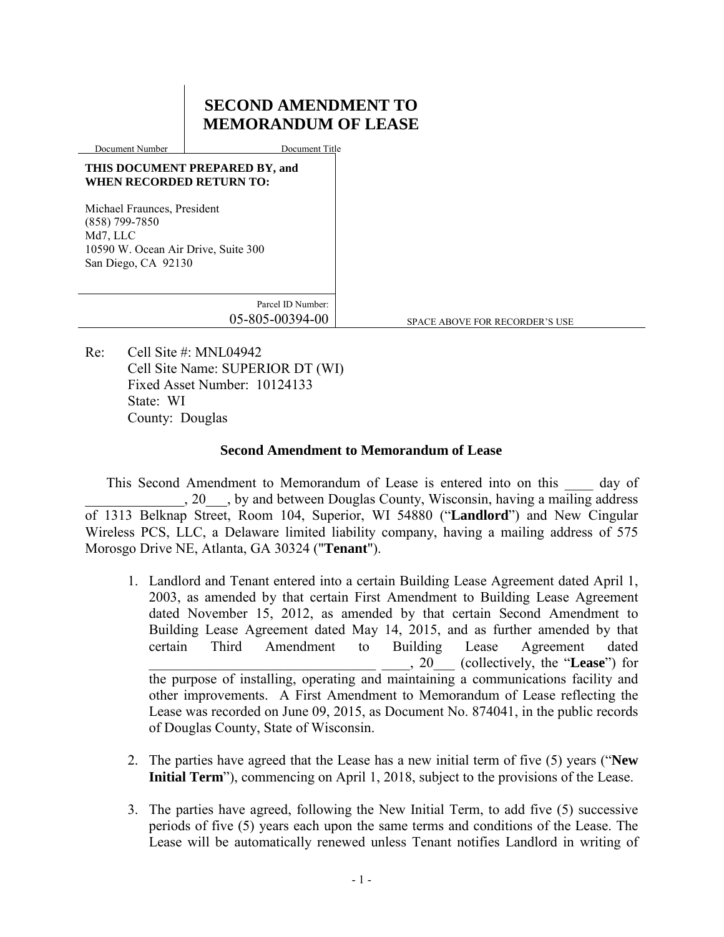# **SECOND AMENDMENT TO MEMORANDUM OF LEASE**

Document Number Document Title

#### **THIS DOCUMENT PREPARED BY, and WHEN RECORDED RETURN TO:**

Michael Fraunces, President (858) 799-7850 Md7, LLC 10590 W. Ocean Air Drive, Suite 300 San Diego, CA 92130

> Parcel ID Number: 05-805-00394-00

SPACE ABOVE FOR RECORDER'S USE

Re: Cell Site #: MNL04942 Cell Site Name: SUPERIOR DT (WI) Fixed Asset Number: 10124133 State: WI County: Douglas

## **Second Amendment to Memorandum of Lease**

This Second Amendment to Memorandum of Lease is entered into on this day of \_\_\_\_\_\_\_\_\_\_\_\_\_\_, 20\_\_\_, by and between Douglas County, Wisconsin, having a mailing address of 1313 Belknap Street, Room 104, Superior, WI 54880 ("**Landlord**") and New Cingular Wireless PCS, LLC, a Delaware limited liability company, having a mailing address of 575 Morosgo Drive NE, Atlanta, GA 30324 ("**Tenant**").

- 1. Landlord and Tenant entered into a certain Building Lease Agreement dated April 1, 2003, as amended by that certain First Amendment to Building Lease Agreement dated November 15, 2012, as amended by that certain Second Amendment to Building Lease Agreement dated May 14, 2015, and as further amended by that certain Third Amendment to Building Lease Agreement dated \_\_\_\_\_\_\_\_\_\_\_\_\_\_\_\_\_\_\_\_\_\_\_\_\_\_\_\_\_\_\_\_ \_\_\_\_, 20\_\_\_ (collectively, the "**Lease**") for the purpose of installing, operating and maintaining a communications facility and other improvements. A First Amendment to Memorandum of Lease reflecting the Lease was recorded on June 09, 2015, as Document No. 874041, in the public records of Douglas County, State of Wisconsin.
- 2. The parties have agreed that the Lease has a new initial term of five (5) years ("**New Initial Term**"), commencing on April 1, 2018, subject to the provisions of the Lease.
- 3. The parties have agreed, following the New Initial Term, to add five (5) successive periods of five (5) years each upon the same terms and conditions of the Lease. The Lease will be automatically renewed unless Tenant notifies Landlord in writing of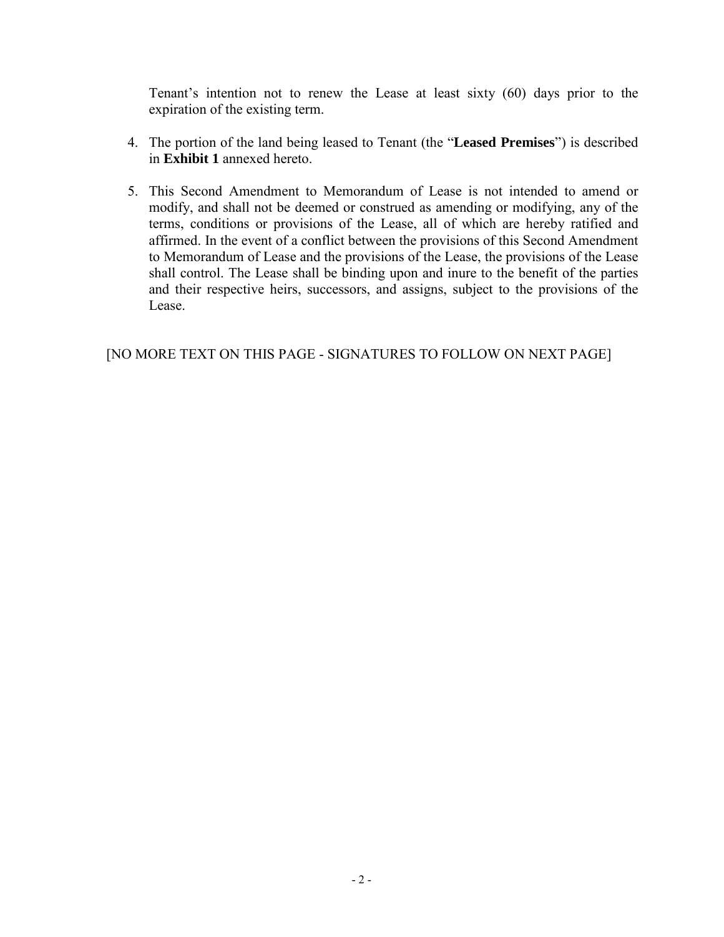Tenant's intention not to renew the Lease at least sixty (60) days prior to the expiration of the existing term.

- 4. The portion of the land being leased to Tenant (the "**Leased Premises**") is described in **Exhibit 1** annexed hereto.
- 5. This Second Amendment to Memorandum of Lease is not intended to amend or modify, and shall not be deemed or construed as amending or modifying, any of the terms, conditions or provisions of the Lease, all of which are hereby ratified and affirmed. In the event of a conflict between the provisions of this Second Amendment to Memorandum of Lease and the provisions of the Lease, the provisions of the Lease shall control. The Lease shall be binding upon and inure to the benefit of the parties and their respective heirs, successors, and assigns, subject to the provisions of the Lease.

[NO MORE TEXT ON THIS PAGE - SIGNATURES TO FOLLOW ON NEXT PAGE]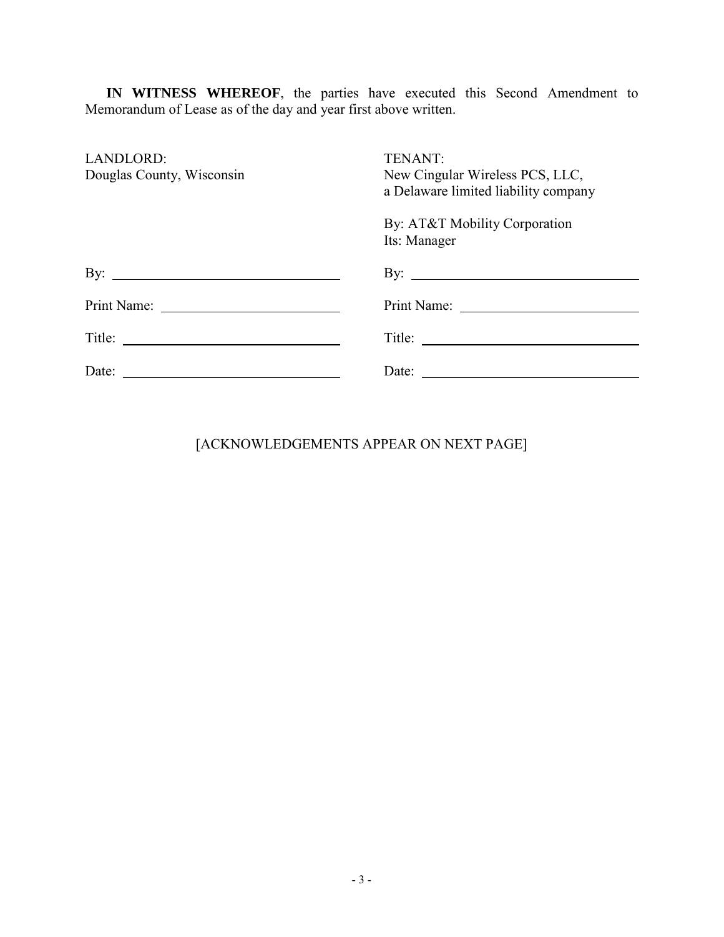**IN WITNESS WHEREOF**, the parties have executed this Second Amendment to Memorandum of Lease as of the day and year first above written.

| LANDLORD:<br>Douglas County, Wisconsin | TENANT:<br>New Cingular Wireless PCS, LLC,<br>a Delaware limited liability company |
|----------------------------------------|------------------------------------------------------------------------------------|
|                                        | By: AT&T Mobility Corporation<br>Its: Manager                                      |
| By: $\qquad \qquad$                    | By: $\qquad \qquad$                                                                |
|                                        |                                                                                    |
|                                        | Title:                                                                             |
| Date: $\qquad \qquad$                  | Date: $\qquad \qquad$                                                              |

# [ACKNOWLEDGEMENTS APPEAR ON NEXT PAGE]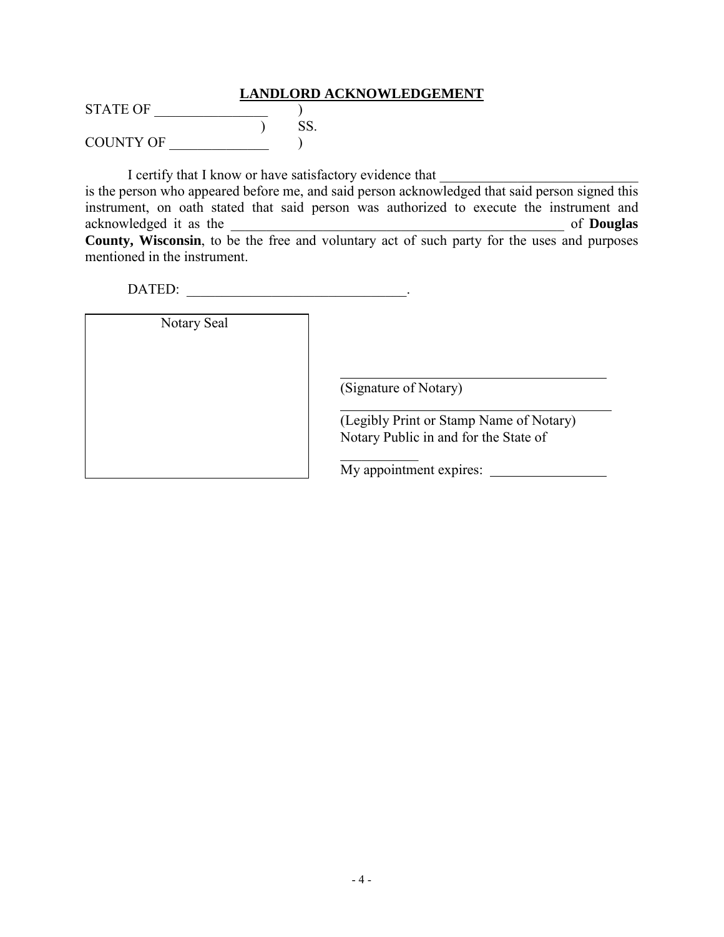#### **LANDLORD ACKNOWLEDGEMENT**

STATE OF  $\qquad \qquad$  ) S ) SS. COUNTY OF \_\_\_\_\_\_\_\_\_\_\_\_\_\_ )

I certify that I know or have satisfactory evidence that

is the person who appeared before me, and said person acknowledged that said person signed this instrument, on oath stated that said person was authorized to execute the instrument and acknowledged it as the **Landsler** and **Douglas of Douglas of Douglas County, Wisconsin**, to be the free and voluntary act of such party for the uses and purposes mentioned in the instrument.

DATED: \_\_\_\_\_\_\_\_\_\_\_\_\_\_\_\_\_\_\_\_\_\_\_\_\_\_\_\_\_\_\_.

Notary Seal

(Signature of Notary)

 $\frac{1}{2}$ 

(Legibly Print or Stamp Name of Notary) Notary Public in and for the State of

My appointment expires: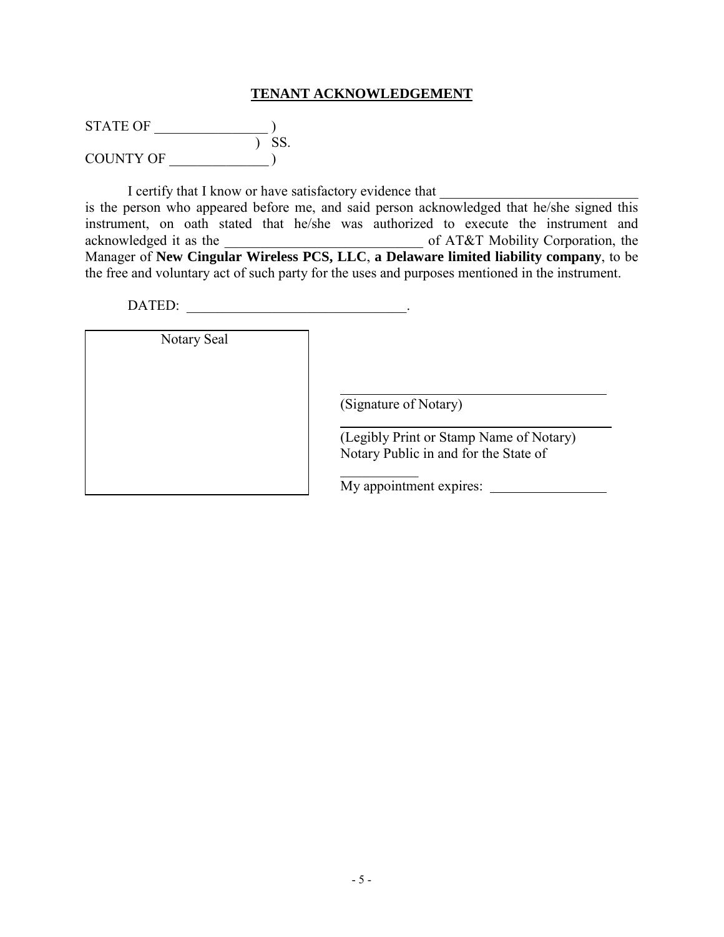### **TENANT ACKNOWLEDGEMENT**

| STATE OF         |     |
|------------------|-----|
|                  | SS. |
| <b>COUNTY OF</b> |     |

I certify that I know or have satisfactory evidence that is the person who appeared before me, and said person acknowledged that he/she signed this instrument, on oath stated that he/she was authorized to execute the instrument and acknowledged it as the  $\qquad \qquad$  of AT&T Mobility Corporation, the Manager of **New Cingular Wireless PCS, LLC**, **a Delaware limited liability company**, to be the free and voluntary act of such party for the uses and purposes mentioned in the instrument.

DATED:

Notary Seal

(Signature of Notary)

 $\frac{1}{2}$ 

(Legibly Print or Stamp Name of Notary) Notary Public in and for the State of

My appointment expires: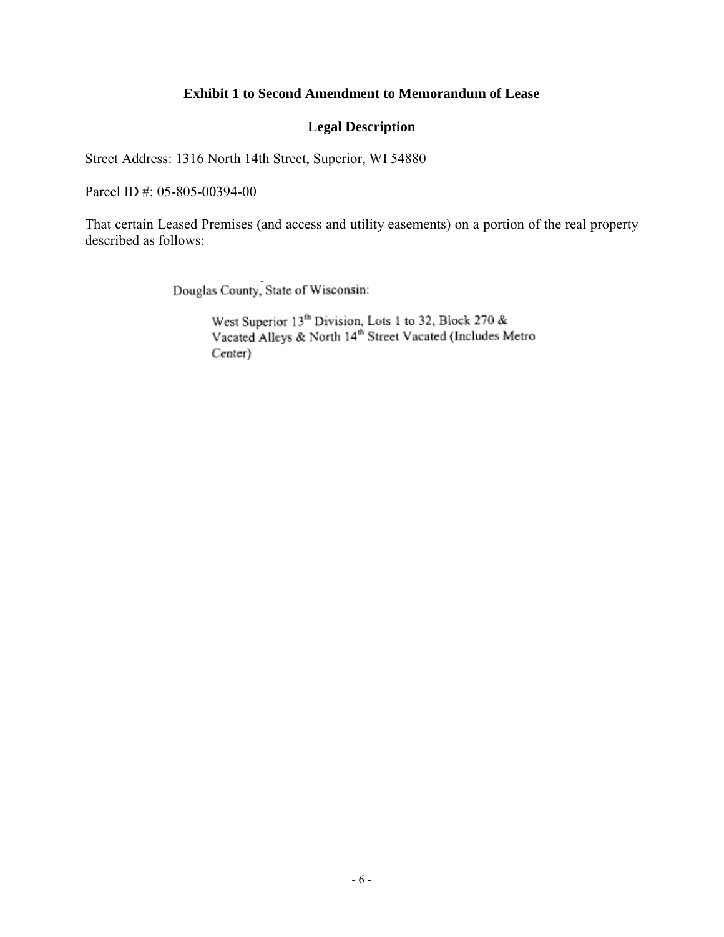## **Exhibit 1 to Second Amendment to Memorandum of Lease**

## **Legal Description**

Street Address: 1316 North 14th Street, Superior, WI 54880

Parcel ID #: 05-805-00394-00

That certain Leased Premises (and access and utility easements) on a portion of the real property described as follows:

Douglas County, State of Wisconsin:

West Superior  $13^{th}$  Division, Lots 1 to 32, Block 270 &<br>Vacated Alleys & North  $14^{th}$  Street Vacated (Includes Metro Center)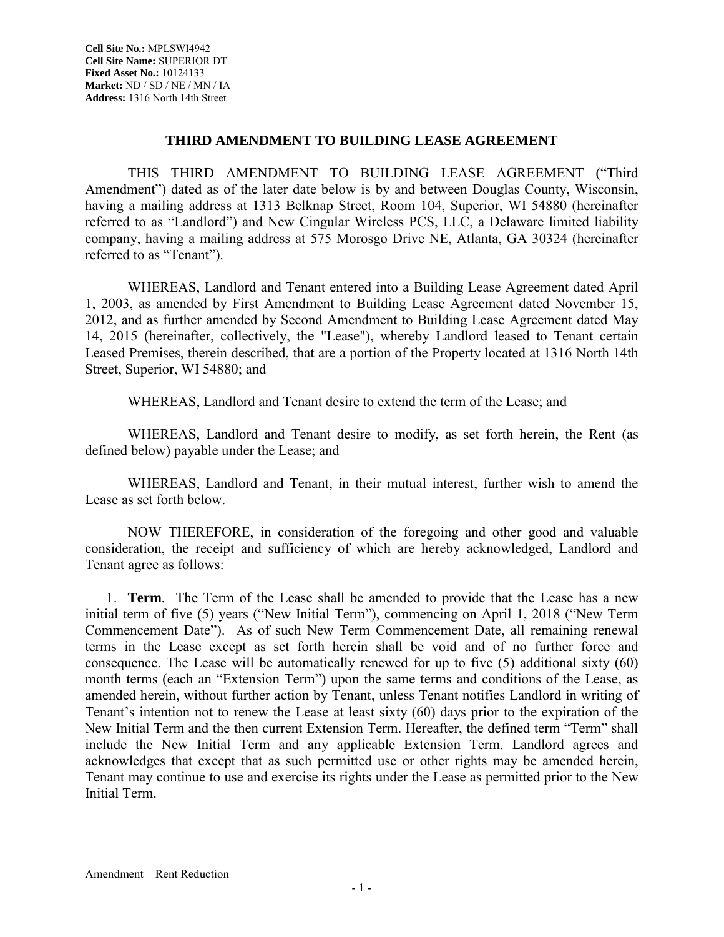#### **THIRD AMENDMENT TO BUILDING LEASE AGREEMENT**

THIS THIRD AMENDMENT TO BUILDING LEASE AGREEMENT ("Third Amendment") dated as of the later date below is by and between Douglas County, Wisconsin, having a mailing address at 1313 Belknap Street, Room 104, Superior, WI 54880 (hereinafter referred to as "Landlord") and New Cingular Wireless PCS, LLC, a Delaware limited liability company, having a mailing address at 575 Morosgo Drive NE, Atlanta, GA 30324 (hereinafter referred to as "Tenant").

WHEREAS, Landlord and Tenant entered into a Building Lease Agreement dated April 1, 2003, as amended by First Amendment to Building Lease Agreement dated November 15, 2012, and as further amended by Second Amendment to Building Lease Agreement dated May 14, 2015 (hereinafter, collectively, the "Lease"), whereby Landlord leased to Tenant certain Leased Premises, therein described, that are a portion of the Property located at 1316 North 14th Street, Superior, WI 54880; and

WHEREAS, Landlord and Tenant desire to extend the term of the Lease; and

WHEREAS, Landlord and Tenant desire to modify, as set forth herein, the Rent (as defined below) payable under the Lease; and

WHEREAS, Landlord and Tenant, in their mutual interest, further wish to amend the Lease as set forth below.

NOW THEREFORE, in consideration of the foregoing and other good and valuable consideration, the receipt and sufficiency of which are hereby acknowledged, Landlord and Tenant agree as follows:

1. **Term**. The Term of the Lease shall be amended to provide that the Lease has a new initial term of five (5) years ("New Initial Term"), commencing on April 1, 2018 ("New Term Commencement Date"). As of such New Term Commencement Date, all remaining renewal terms in the Lease except as set forth herein shall be void and of no further force and consequence. The Lease will be automatically renewed for up to five (5) additional sixty (60) month terms (each an "Extension Term") upon the same terms and conditions of the Lease, as amended herein, without further action by Tenant, unless Tenant notifies Landlord in writing of Tenant's intention not to renew the Lease at least sixty (60) days prior to the expiration of the New Initial Term and the then current Extension Term. Hereafter, the defined term "Term" shall include the New Initial Term and any applicable Extension Term. Landlord agrees and acknowledges that except that as such permitted use or other rights may be amended herein, Tenant may continue to use and exercise its rights under the Lease as permitted prior to the New Initial Term.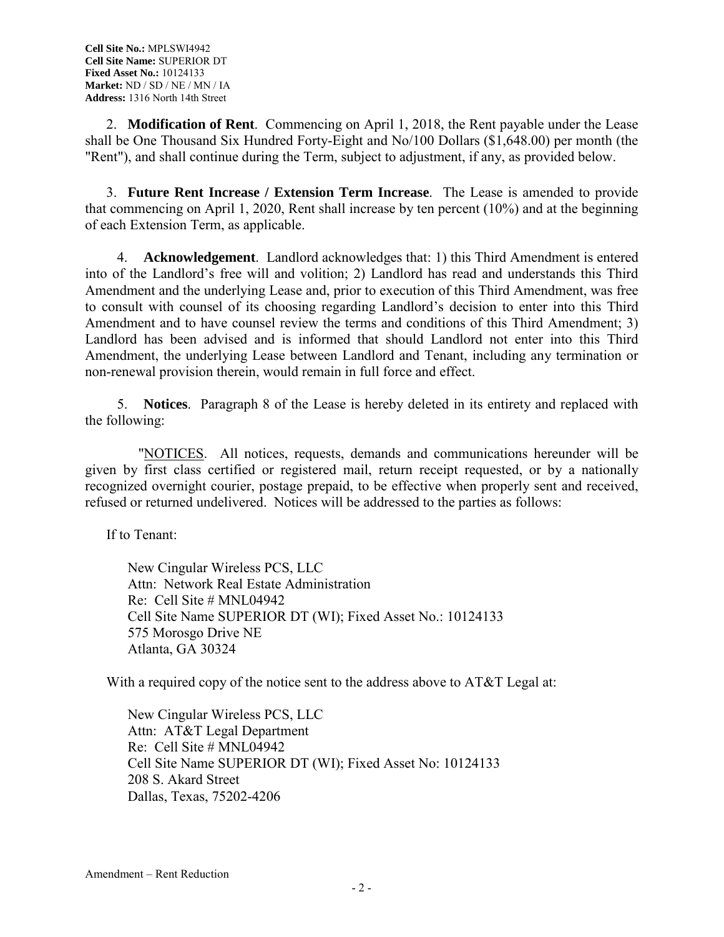2. **Modification of Rent**. Commencing on April 1, 2018, the Rent payable under the Lease shall be One Thousand Six Hundred Forty-Eight and No/100 Dollars (\$1,648.00) per month (the "Rent"), and shall continue during the Term, subject to adjustment, if any, as provided below.

3. **Future Rent Increase / Extension Term Increase**. The Lease is amended to provide that commencing on April 1, 2020, Rent shall increase by ten percent (10%) and at the beginning of each Extension Term, as applicable.

4. **Acknowledgement**.Landlord acknowledges that: 1) this Third Amendment is entered into of the Landlord's free will and volition; 2) Landlord has read and understands this Third Amendment and the underlying Lease and, prior to execution of this Third Amendment, was free to consult with counsel of its choosing regarding Landlord's decision to enter into this Third Amendment and to have counsel review the terms and conditions of this Third Amendment; 3) Landlord has been advised and is informed that should Landlord not enter into this Third Amendment, the underlying Lease between Landlord and Tenant, including any termination or non-renewal provision therein, would remain in full force and effect.

5. **Notices**. Paragraph 8 of the Lease is hereby deleted in its entirety and replaced with the following:

 "NOTICES. All notices, requests, demands and communications hereunder will be given by first class certified or registered mail, return receipt requested, or by a nationally recognized overnight courier, postage prepaid, to be effective when properly sent and received, refused or returned undelivered. Notices will be addressed to the parties as follows:

If to Tenant:

New Cingular Wireless PCS, LLC Attn: Network Real Estate Administration Re: Cell Site # MNL04942 Cell Site Name SUPERIOR DT (WI); Fixed Asset No.: 10124133 575 Morosgo Drive NE Atlanta, GA 30324

With a required copy of the notice sent to the address above to AT&T Legal at:

New Cingular Wireless PCS, LLC Attn: AT&T Legal Department Re: Cell Site # MNL04942 Cell Site Name SUPERIOR DT (WI); Fixed Asset No: 10124133 208 S. Akard Street Dallas, Texas, 75202-4206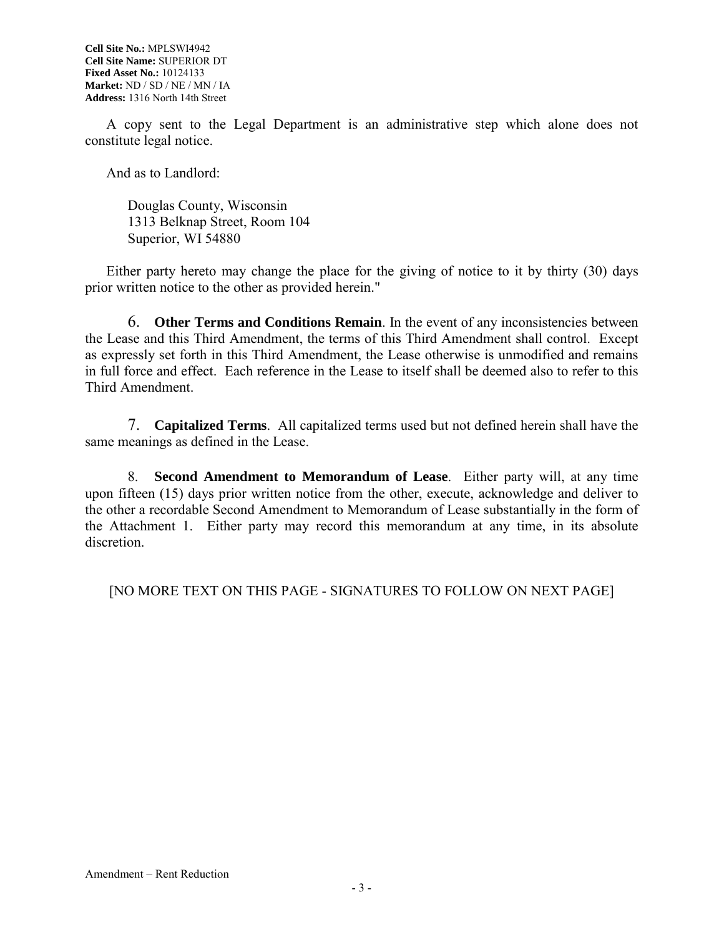A copy sent to the Legal Department is an administrative step which alone does not constitute legal notice.

And as to Landlord:

Douglas County, Wisconsin 1313 Belknap Street, Room 104 Superior, WI 54880

Either party hereto may change the place for the giving of notice to it by thirty (30) days prior written notice to the other as provided herein."

6. **Other Terms and Conditions Remain**. In the event of any inconsistencies between the Lease and this Third Amendment, the terms of this Third Amendment shall control. Except as expressly set forth in this Third Amendment, the Lease otherwise is unmodified and remains in full force and effect. Each reference in the Lease to itself shall be deemed also to refer to this Third Amendment.

7. **Capitalized Terms**. All capitalized terms used but not defined herein shall have the same meanings as defined in the Lease.

8. **Second Amendment to Memorandum of Lease**. Either party will, at any time upon fifteen (15) days prior written notice from the other, execute, acknowledge and deliver to the other a recordable Second Amendment to Memorandum of Lease substantially in the form of the Attachment 1. Either party may record this memorandum at any time, in its absolute discretion.

[NO MORE TEXT ON THIS PAGE - SIGNATURES TO FOLLOW ON NEXT PAGE]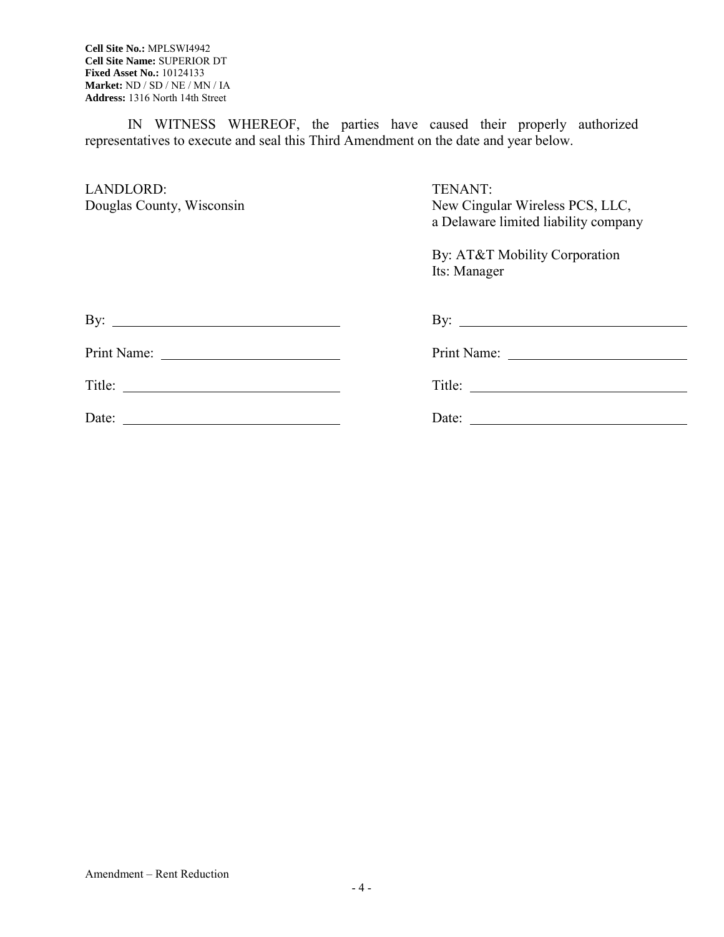IN WITNESS WHEREOF, the parties have caused their properly authorized representatives to execute and seal this Third Amendment on the date and year below.

| LANDLORD:<br>Douglas County, Wisconsin | TENANT:<br>New Cingular Wireless PCS, LLC,<br>a Delaware limited liability company |  |  |
|----------------------------------------|------------------------------------------------------------------------------------|--|--|
|                                        | By: AT&T Mobility Corporation<br>Its: Manager                                      |  |  |
| By: $\qquad \qquad$                    | By: $\qquad \qquad$                                                                |  |  |
|                                        |                                                                                    |  |  |
|                                        |                                                                                    |  |  |
|                                        |                                                                                    |  |  |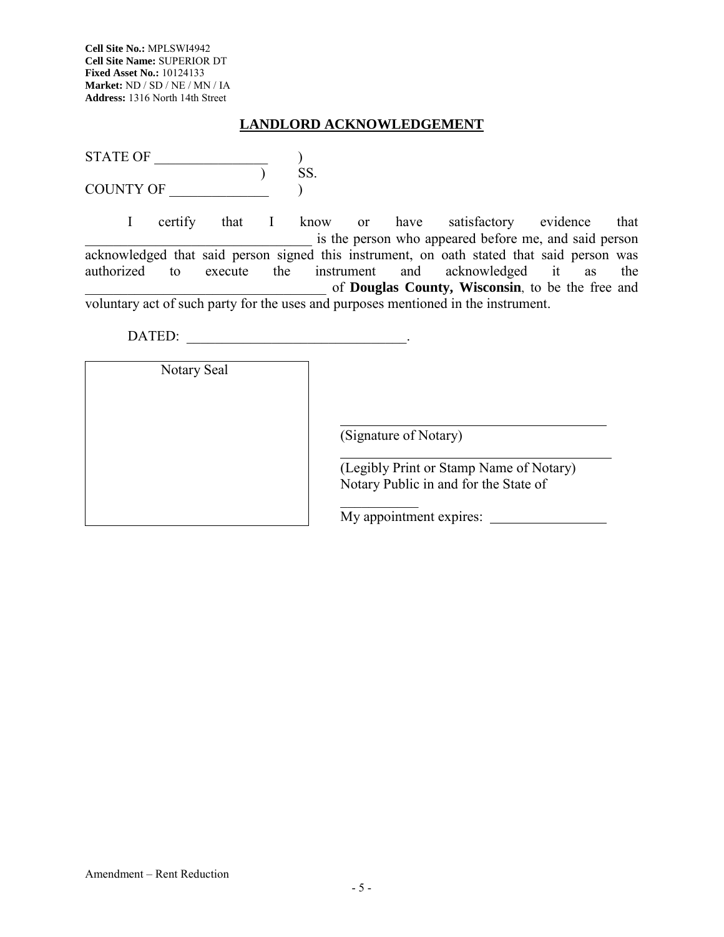### **LANDLORD ACKNOWLEDGEMENT**

| <b>STATE OF</b>  |  |
|------------------|--|
|                  |  |
| <b>COUNTY OF</b> |  |

I certify that I know or have satisfactory evidence that is the person who appeared before me, and said person acknowledged that said person signed this instrument, on oath stated that said person was authorized to execute the instrument and acknowledged it as the \_\_\_\_\_\_\_\_\_\_\_\_\_\_\_\_\_\_\_\_\_\_\_\_\_\_\_\_\_\_\_\_\_\_ of **Douglas County, Wisconsin**, to be the free and voluntary act of such party for the uses and purposes mentioned in the instrument.

DATED:

Notary Seal

(Signature of Notary)

(Legibly Print or Stamp Name of Notary) Notary Public in and for the State of

 $\frac{1}{2}$ My appointment expires: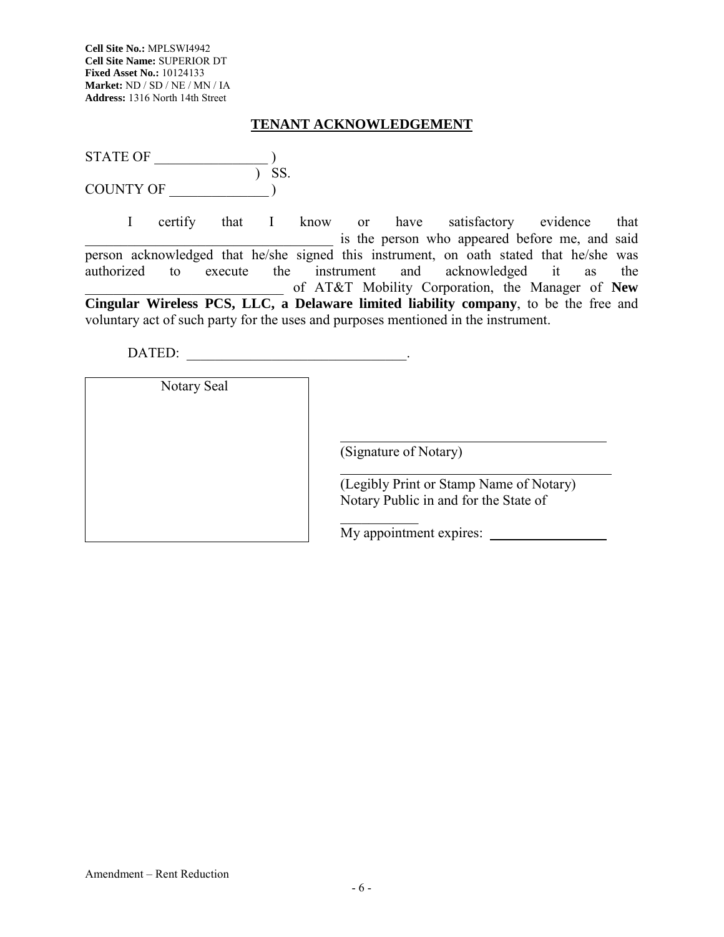## **TENANT ACKNOWLEDGEMENT**

| STATE OF  |    |
|-----------|----|
|           | SS |
| COUNTY OF |    |

I certify that I know or have satisfactory evidence that is the person who appeared before me, and said person acknowledged that he/she signed this instrument, on oath stated that he/she was authorized to execute the instrument and acknowledged it as the \_\_\_\_\_\_\_\_\_\_\_\_\_\_\_\_\_\_\_\_\_\_\_\_\_\_\_\_ of AT&T Mobility Corporation, the Manager of **New Cingular Wireless PCS, LLC, a Delaware limited liability company**, to be the free and voluntary act of such party for the uses and purposes mentioned in the instrument.

DATED: \_\_\_\_\_\_\_\_\_\_\_\_\_\_\_\_\_\_\_\_\_\_\_\_\_\_\_\_\_\_\_.

Notary Seal

(Signature of Notary)

 $\frac{1}{2}$ 

(Legibly Print or Stamp Name of Notary) Notary Public in and for the State of

My appointment expires: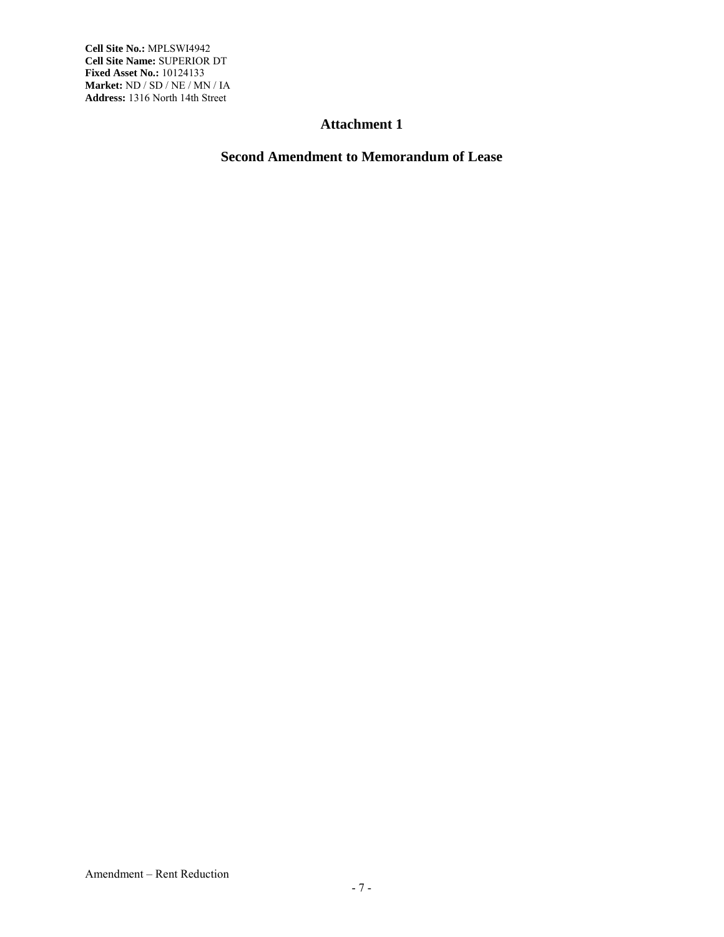### **Attachment 1**

## **Second Amendment to Memorandum of Lease**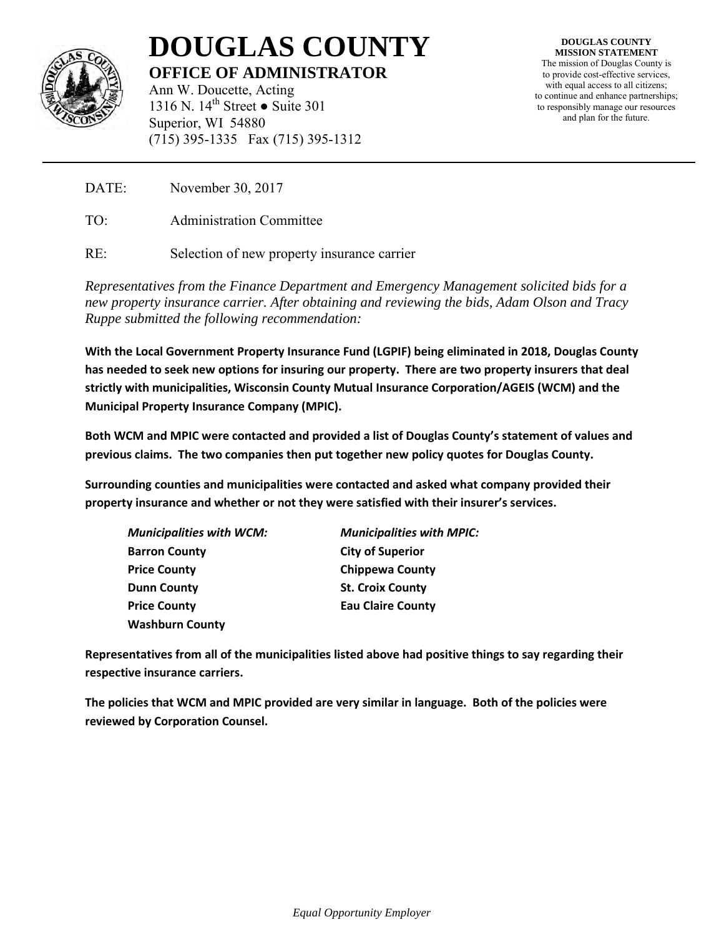

# **DOUGLAS COUNTY OFFICE OF ADMINISTRATOR**

Ann W. Doucette, Acting 1316 N.  $14^{th}$  Street • Suite 301 Superior, WI 54880 (715) 395-1335 Fax (715) 395-1312

**DOUGLAS COUNTY MISSION STATEMENT** The mission of Douglas County is to provide cost-effective services, with equal access to all citizens; to continue and enhance partnerships; to responsibly manage our resources and plan for the future.

DATE: November 30, 2017

TO: Administration Committee

RE: Selection of new property insurance carrier

*Representatives from the Finance Department and Emergency Management solicited bids for a new property insurance carrier. After obtaining and reviewing the bids, Adam Olson and Tracy Ruppe submitted the following recommendation:* 

**With the Local Government Property Insurance Fund (LGPIF) being eliminated in 2018, Douglas County has needed to seek new options for insuring our property. There are two property insurers that deal strictly with municipalities, Wisconsin County Mutual Insurance Corporation/AGEIS (WCM) and the Municipal Property Insurance Company (MPIC).**

**Both WCM and MPIC were contacted and provided a list of Douglas County's statement of values and previous claims. The two companies then put together new policy quotes for Douglas County.** 

**Surrounding counties and municipalities were contacted and asked what company provided their property insurance and whether or not they were satisfied with their insurer's services.** 

| <b>Municipalities with WCM:</b> | <b>Municipalities with MPIC:</b> |  |  |
|---------------------------------|----------------------------------|--|--|
| <b>Barron County</b>            | <b>City of Superior</b>          |  |  |
| <b>Price County</b>             | <b>Chippewa County</b>           |  |  |
| <b>Dunn County</b>              | <b>St. Croix County</b>          |  |  |
| <b>Price County</b>             | <b>Eau Claire County</b>         |  |  |
| <b>Washburn County</b>          |                                  |  |  |

**Representatives from all of the municipalities listed above had positive things to say regarding their respective insurance carriers.** 

**The policies that WCM and MPIC provided are very similar in language. Both of the policies were reviewed by Corporation Counsel.**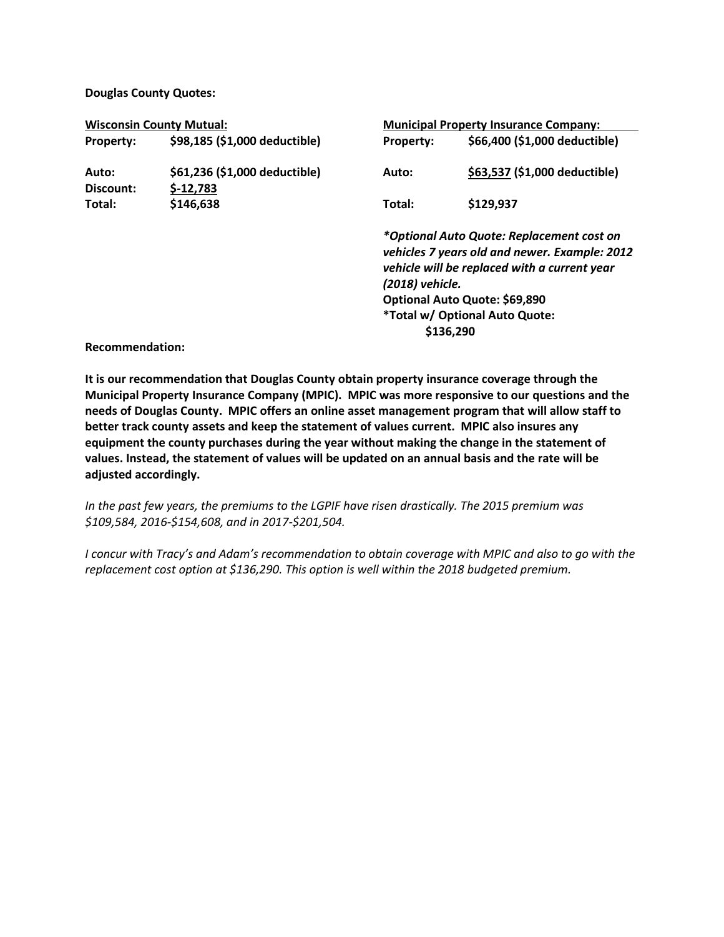**Douglas County Quotes:**

| <b>Wisconsin County Mutual:</b> |                                             | <b>Municipal Property Insurance Company:</b>                                                                                                                                                                                                  |                               |
|---------------------------------|---------------------------------------------|-----------------------------------------------------------------------------------------------------------------------------------------------------------------------------------------------------------------------------------------------|-------------------------------|
| Property:                       | \$98,185 (\$1,000 deductible)               | <b>Property:</b>                                                                                                                                                                                                                              | \$66,400 (\$1,000 deductible) |
| Auto:<br>Discount:              | \$61,236 (\$1,000 deductible)<br>$$-12,783$ | Auto:                                                                                                                                                                                                                                         | \$63,537 (\$1,000 deductible) |
| Total:                          | \$146,638                                   | Total:                                                                                                                                                                                                                                        | \$129,937                     |
|                                 |                                             | *Optional Auto Quote: Replacement cost on<br>vehicles 7 years old and newer. Example: 2012<br>vehicle will be replaced with a current year<br>(2018) vehicle.<br>Optional Auto Quote: \$69,890<br>*Total w/ Optional Auto Quote:<br>\$136,290 |                               |

**Recommendation:**

**It is our recommendation that Douglas County obtain property insurance coverage through the Municipal Property Insurance Company (MPIC). MPIC was more responsive to our questions and the needs of Douglas County. MPIC offers an online asset management program that will allow staff to better track county assets and keep the statement of values current. MPIC also insures any equipment the county purchases during the year without making the change in the statement of values. Instead, the statement of values will be updated on an annual basis and the rate will be adjusted accordingly.**

*In the past few years, the premiums to the LGPIF have risen drastically. The 2015 premium was \$109,584, 2016-\$154,608, and in 2017-\$201,504.* 

*I concur with Tracy's and Adam's recommendation to obtain coverage with MPIC and also to go with the replacement cost option at \$136,290. This option is well within the 2018 budgeted premium.*